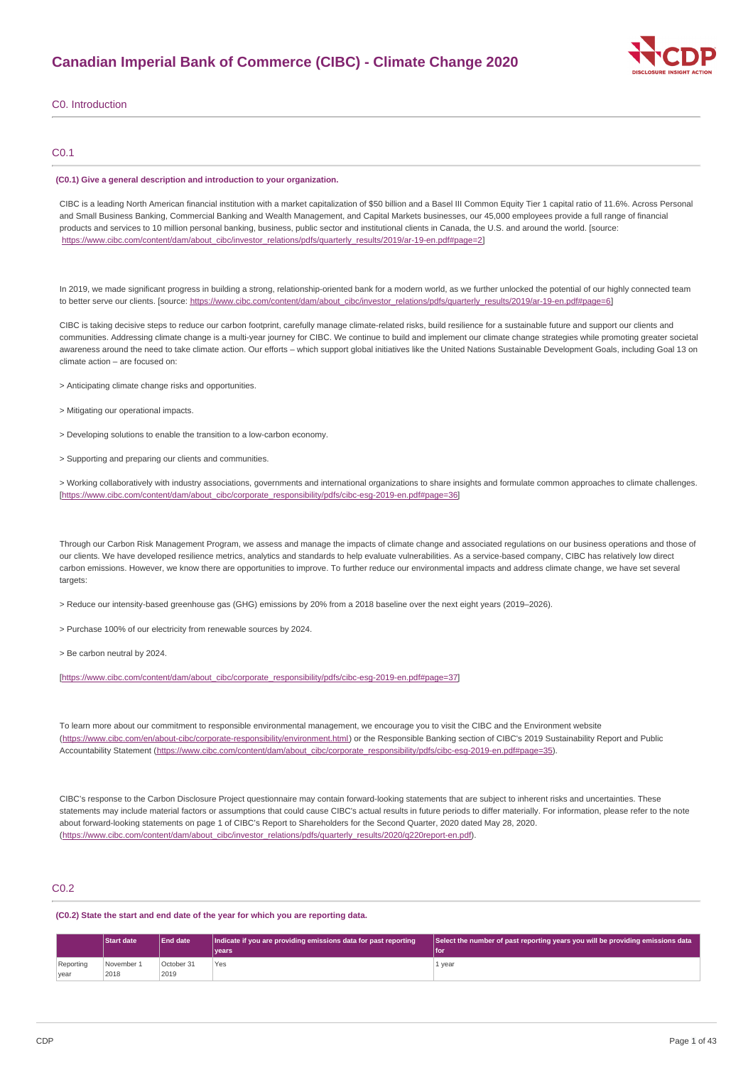

# C0. Introduction

# C0.1

#### **(C0.1) Give a general description and introduction to your organization.**

CIBC is a leading North American financial institution with a market capitalization of \$50 billion and a Basel III Common Equity Tier 1 capital ratio of 11.6%. Across Personal and Small Business Banking, Commercial Banking and Wealth Management, and Capital Markets businesses, our 45,000 employees provide a full range of financial products and services to 10 million personal banking, business, public sector and institutional clients in Canada, the U.S. and around the world. [source: [https://www.cibc.com/content/dam/about\\_cibc/investor\\_relations/pdfs/quarterly\\_results/2019/ar-19-en.pdf#page=2](https://www.cibc.com/content/dam/about_cibc/investor_relations/pdfs/quarterly_results/2019/ar-19-en.pdf#page=2)]

In 2019, we made significant progress in building a strong, relationship-oriented bank for a modern world, as we further unlocked the potential of our highly connected team to better serve our clients. [source: [https://www.cibc.com/content/dam/about\\_cibc/investor\\_relations/pdfs/quarterly\\_results/2019/ar-19-en.pdf#page=6](https://www.cibc.com/content/dam/about_cibc/investor_relations/pdfs/quarterly_results/2019/ar-19-en.pdf#page=6)]

CIBC is taking decisive steps to reduce our carbon footprint, carefully manage climate-related risks, build resilience for a sustainable future and support our clients and communities. Addressing climate change is a multi-year journey for CIBC. We continue to build and implement our climate change strategies while promoting greater societal awareness around the need to take climate action. Our efforts – which support global initiatives like the United Nations Sustainable Development Goals, including Goal 13 on climate action – are focused on:

- > Anticipating climate change risks and opportunities.
- > Mitigating our operational impacts.
- > Developing solutions to enable the transition to a low-carbon economy.
- > Supporting and preparing our clients and communities.

> Working collaboratively with industry associations, governments and international organizations to share insights and formulate common approaches to climate challenges. [[https://www.cibc.com/content/dam/about\\_cibc/corporate\\_responsibility/pdfs/cibc-esg-2019-en.pdf#page=36](https://www.cibc.com/content/dam/about_cibc/corporate_responsibility/pdfs/cibc-esg-2019-en.pdf#page=36)]

Through our Carbon Risk Management Program, we assess and manage the impacts of climate change and associated regulations on our business operations and those of our clients. We have developed resilience metrics, analytics and standards to help evaluate vulnerabilities. As a service-based company, CIBC has relatively low direct carbon emissions. However, we know there are opportunities to improve. To further reduce our environmental impacts and address climate change, we have set several targets:

> Reduce our intensity-based greenhouse gas (GHG) emissions by 20% from a 2018 baseline over the next eight years (2019–2026).

- > Purchase 100% of our electricity from renewable sources by 2024.
- > Be carbon neutral by 2024.

[[https://www.cibc.com/content/dam/about\\_cibc/corporate\\_responsibility/pdfs/cibc-esg-2019-en.pdf#page=37](https://www.cibc.com/content/dam/about_cibc/corporate_responsibility/pdfs/cibc-esg-2019-en.pdf#page=37)]

To learn more about our commitment to responsible environmental management, we encourage you to visit the CIBC and the Environment website (<https://www.cibc.com/en/about-cibc/corporate-responsibility/environment.html>) or the Responsible Banking section of CIBC's 2019 Sustainability Report and Public Accountability Statement ([https://www.cibc.com/content/dam/about\\_cibc/corporate\\_responsibility/pdfs/cibc-esg-2019-en.pdf#page=35](https://www.cibc.com/content/dam/about_cibc/corporate_responsibility/pdfs/cibc-esg-2019-en.pdf#page=35)).

CIBC's response to the Carbon Disclosure Project questionnaire may contain forward-looking statements that are subject to inherent risks and uncertainties. These statements may include material factors or assumptions that could cause CIBC's actual results in future periods to differ materially. For information, please refer to the note about forward-looking statements on page 1 of CIBC's Report to Shareholders for the Second Quarter, 2020 dated May 28, 2020. ([https://www.cibc.com/content/dam/about\\_cibc/investor\\_relations/pdfs/quarterly\\_results/2020/q220report-en.pdf](https://www.cibc.com/content/dam/about_cibc/investor_relations/pdfs/quarterly_results/2020/q220report-en.pdf)).

# C0.2

**(C0.2) State the start and end date of the year for which you are reporting data.**

|                   | <b>Start date</b>  | <b>End date</b>    | Indicate if you are providing emissions data for past reporting<br>vears <sup>®</sup> | Select the number of past reporting years you will be providing emissions data<br>l foi |
|-------------------|--------------------|--------------------|---------------------------------------------------------------------------------------|-----------------------------------------------------------------------------------------|
| Reporting<br>vear | November 1<br>2018 | October 31<br>2019 | Yes                                                                                   | 1 year                                                                                  |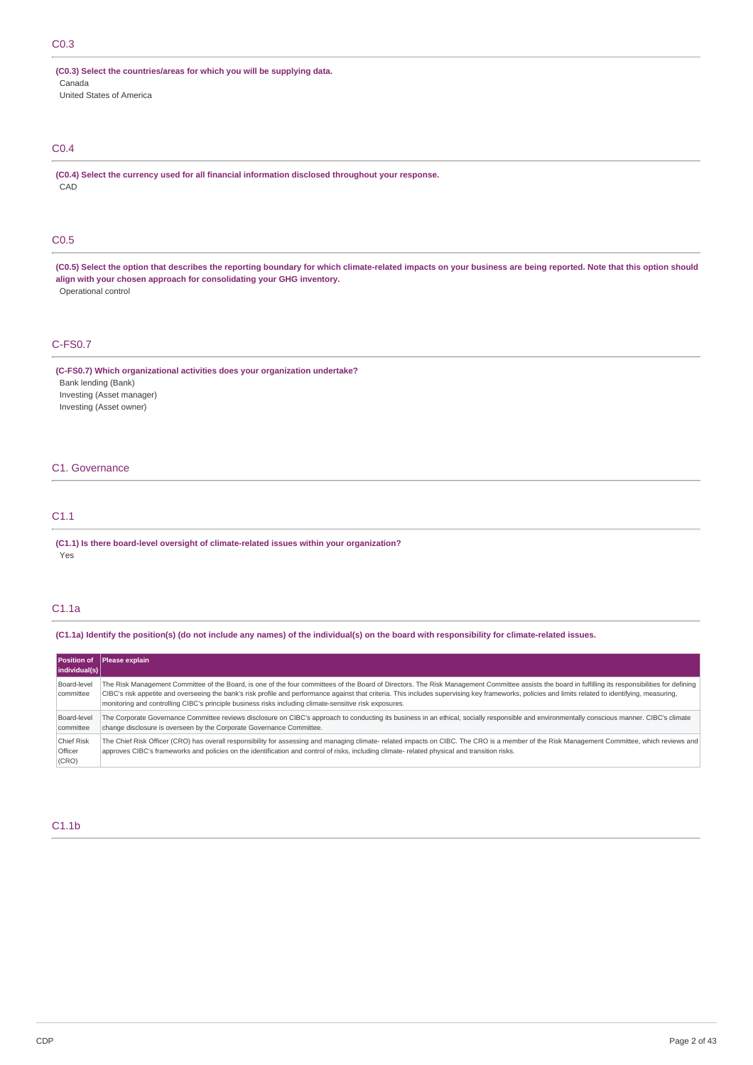# C0.3

# **(C0.3) Select the countries/areas for which you will be supplying data.** Canada

United States of America

# C0.4

**(C0.4) Select the currency used for all financial information disclosed throughout your response.** CAD

# C0.5

(C0.5) Select the option that describes the reporting boundary for which climate-related impacts on your business are being reported. Note that this option should **align with your chosen approach for consolidating your GHG inventory.** Operational control

# C-FS0.7

# **(C-FS0.7) Which organizational activities does your organization undertake?** Bank lending (Bank)

Investing (Asset manager) Investing (Asset owner)

# C1. Governance

# C1.1

**(C1.1) Is there board-level oversight of climate-related issues within your organization?** Yes

# C1.1a

## (C1.1a) Identify the position(s) (do not include any names) of the individual(s) on the board with responsibility for climate-related issues.

| Position of<br>individual(s)                     | <b>Please explain</b>                                                                                                                                                                                                                                                                                                                                                                                                                                                                                                 |
|--------------------------------------------------|-----------------------------------------------------------------------------------------------------------------------------------------------------------------------------------------------------------------------------------------------------------------------------------------------------------------------------------------------------------------------------------------------------------------------------------------------------------------------------------------------------------------------|
| Board-level<br>committee                         | The Risk Management Committee of the Board, is one of the four committees of the Board of Directors. The Risk Management Committee assists the board in fulfilling its responsibilities for defining<br>CIBC's risk appetite and overseeing the bank's risk profile and performance against that criteria. This includes supervising key frameworks, policies and limits related to identifying, measuring,<br>monitoring and controlling CIBC's principle business risks including climate-sensitive risk exposures. |
| Board-level<br>committee                         | The Corporate Governance Committee reviews disclosure on CIBC's approach to conducting its business in an ethical, socially responsible and environmentally conscious manner. CIBC's climate<br>change disclosure is overseen by the Corporate Governance Committee.                                                                                                                                                                                                                                                  |
| <b>Chief Risk</b><br><b>Officer</b><br>$ $ (CRO) | The Chief Risk Officer (CRO) has overall responsibility for assessing and managing climate- related impacts on CIBC. The CRO is a member of the Risk Management Committee, which reviews and<br>approves CIBC's frameworks and policies on the identification and control of risks, including climate- related physical and transition risks.                                                                                                                                                                         |

# C1.1b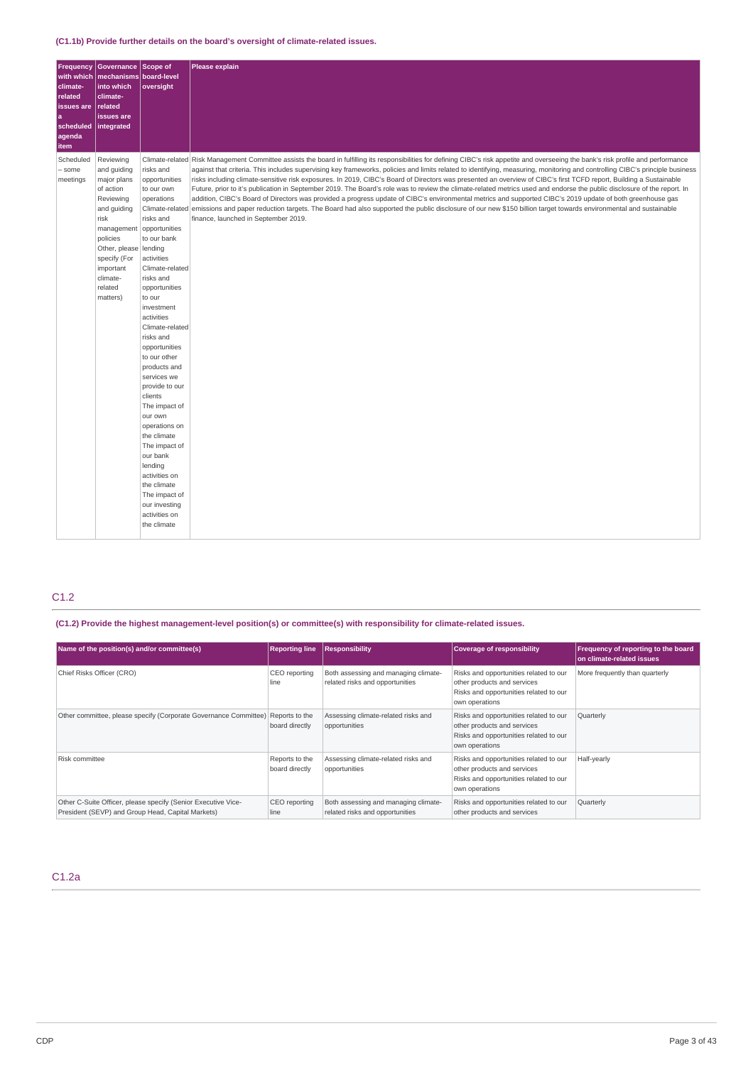# **(C1.1b) Provide further details on the board's oversight of climate-related issues.**

| Frequency<br>climate-<br>related<br>issues are<br>۱a<br>scheduled<br>agenda<br>item | Governance Scope of<br>with which   mechanisms   board-level<br>into which<br>climate-<br>related<br>issues are<br>integrated                                                                 | oversight                                                                                                                                                                                                                                                                                                                                                                                                                                                                                                                                                                 | Please explain                                                                                                                                                                                                                                                                                                                                                                                                                                                                                                                                                                                                                                                                                                                                                                                                                                                                                                                                                                                                                                                                                     |
|-------------------------------------------------------------------------------------|-----------------------------------------------------------------------------------------------------------------------------------------------------------------------------------------------|---------------------------------------------------------------------------------------------------------------------------------------------------------------------------------------------------------------------------------------------------------------------------------------------------------------------------------------------------------------------------------------------------------------------------------------------------------------------------------------------------------------------------------------------------------------------------|----------------------------------------------------------------------------------------------------------------------------------------------------------------------------------------------------------------------------------------------------------------------------------------------------------------------------------------------------------------------------------------------------------------------------------------------------------------------------------------------------------------------------------------------------------------------------------------------------------------------------------------------------------------------------------------------------------------------------------------------------------------------------------------------------------------------------------------------------------------------------------------------------------------------------------------------------------------------------------------------------------------------------------------------------------------------------------------------------|
| Scheduled<br>- some<br>meetings                                                     | Reviewing<br>and quiding<br>major plans<br>of action<br>Reviewing<br>and guiding<br>risk<br>policies<br>Other, please lending<br>specify (For<br>important<br>climate-<br>related<br>matters) | risks and<br>opportunities<br>to our own<br>operations<br>Climate-related<br>risks and<br>management opportunities<br>to our bank<br>activities<br>Climate-related<br>risks and<br>opportunities<br>to our<br>investment<br>activities<br>Climate-related<br>risks and<br>opportunities<br>to our other<br>products and<br>services we<br>provide to our<br>clients<br>The impact of<br>our own<br>operations on<br>the climate<br>The impact of<br>our bank<br>lending<br>activities on<br>the climate<br>The impact of<br>our investing<br>activities on<br>the climate | Climate-related Risk Management Committee assists the board in fulfilling its responsibilities for defining CIBC's risk appetite and overseeing the bank's risk profile and performance<br>against that criteria. This includes supervising key frameworks, policies and limits related to identifying, measuring, monitoring and controlling CIBC's principle business<br>risks including climate-sensitive risk exposures. In 2019, CIBC's Board of Directors was presented an overview of CIBC's first TCFD report, Building a Sustainable<br>Future, prior to it's publication in September 2019. The Board's role was to review the climate-related metrics used and endorse the public disclosure of the report. In<br>addition, CIBC's Board of Directors was provided a progress update of CIBC's environmental metrics and supported CIBC's 2019 update of both greenhouse gas<br>emissions and paper reduction targets. The Board had also supported the public disclosure of our new \$150 billion target towards environmental and sustainable<br>finance, launched in September 2019. |

# C1.2

# **(C1.2) Provide the highest management-level position(s) or committee(s) with responsibility for climate-related issues.**

| Name of the position(s) and/or committee(s)                                                                        | <b>Reporting line</b>            | <b>Responsibility</b>                                                   | <b>Coverage of responsibility</b>                                                                                                 | <b>Frequency of reporting to the board</b><br>on climate-related issues |
|--------------------------------------------------------------------------------------------------------------------|----------------------------------|-------------------------------------------------------------------------|-----------------------------------------------------------------------------------------------------------------------------------|-------------------------------------------------------------------------|
| Chief Risks Officer (CRO)                                                                                          | CEO reporting<br>line            | Both assessing and managing climate-<br>related risks and opportunities | Risks and opportunities related to our<br>other products and services<br>Risks and opportunities related to our<br>own operations | More frequently than quarterly                                          |
| Other committee, please specify (Corporate Governance Committee) Reports to the                                    | board directly                   | Assessing climate-related risks and<br>opportunities                    | Risks and opportunities related to our<br>other products and services<br>Risks and opportunities related to our<br>own operations | Quarterly                                                               |
| Risk committee                                                                                                     | Reports to the<br>board directly | Assessing climate-related risks and<br>opportunities                    | Risks and opportunities related to our<br>other products and services<br>Risks and opportunities related to our<br>own operations | Half-yearly                                                             |
| Other C-Suite Officer, please specify (Senior Executive Vice-<br>President (SEVP) and Group Head, Capital Markets) | CEO reporting<br>line            | Both assessing and managing climate-<br>related risks and opportunities | Risks and opportunities related to our<br>other products and services                                                             | Quarterly                                                               |

# C1.2a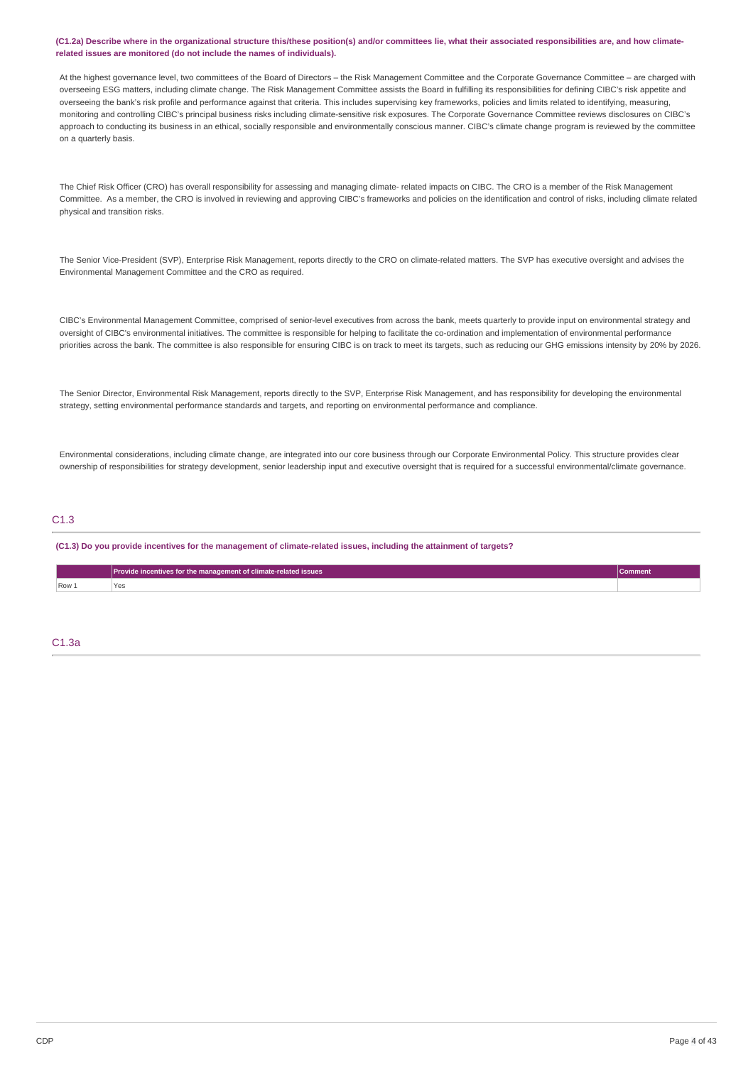(C1.2a) Describe where in the organizational structure this/these position(s) and/or committees lie, what their associated responsibilities are, and how climate**related issues are monitored (do not include the names of individuals).**

At the highest governance level, two committees of the Board of Directors – the Risk Management Committee and the Corporate Governance Committee – are charged with overseeing ESG matters, including climate change. The Risk Management Committee assists the Board in fulfilling its responsibilities for defining CIBC's risk appetite and overseeing the bank's risk profile and performance against that criteria. This includes supervising key frameworks, policies and limits related to identifying, measuring, monitoring and controlling CIBC's principal business risks including climate-sensitive risk exposures. The Corporate Governance Committee reviews disclosures on CIBC's approach to conducting its business in an ethical, socially responsible and environmentally conscious manner. CIBC's climate change program is reviewed by the committee on a quarterly basis.

The Chief Risk Officer (CRO) has overall responsibility for assessing and managing climate- related impacts on CIBC. The CRO is a member of the Risk Management Committee. As a member, the CRO is involved in reviewing and approving CIBC's frameworks and policies on the identification and control of risks, including climate related physical and transition risks.

The Senior Vice-President (SVP), Enterprise Risk Management, reports directly to the CRO on climate-related matters. The SVP has executive oversight and advises the Environmental Management Committee and the CRO as required.

CIBC's Environmental Management Committee, comprised of senior-level executives from across the bank, meets quarterly to provide input on environmental strategy and oversight of CIBC's environmental initiatives. The committee is responsible for helping to facilitate the co-ordination and implementation of environmental performance priorities across the bank. The committee is also responsible for ensuring CIBC is on track to meet its targets, such as reducing our GHG emissions intensity by 20% by 2026.

The Senior Director, Environmental Risk Management, reports directly to the SVP, Enterprise Risk Management, and has responsibility for developing the environmental strategy, setting environmental performance standards and targets, and reporting on environmental performance and compliance.

Environmental considerations, including climate change, are integrated into our core business through our Corporate Environmental Policy. This structure provides clear ownership of responsibilities for strategy development, senior leadership input and executive oversight that is required for a successful environmental/climate governance.

# C1.3

(C1.3) Do you provide incentives for the management of climate-related issues, including the attainment of targets?

|         | <b>Provide incentives for the management of climate-related issues</b><br><b>.Comment</b> |  |
|---------|-------------------------------------------------------------------------------------------|--|
| $Row_+$ | Yes                                                                                       |  |

# C1.3a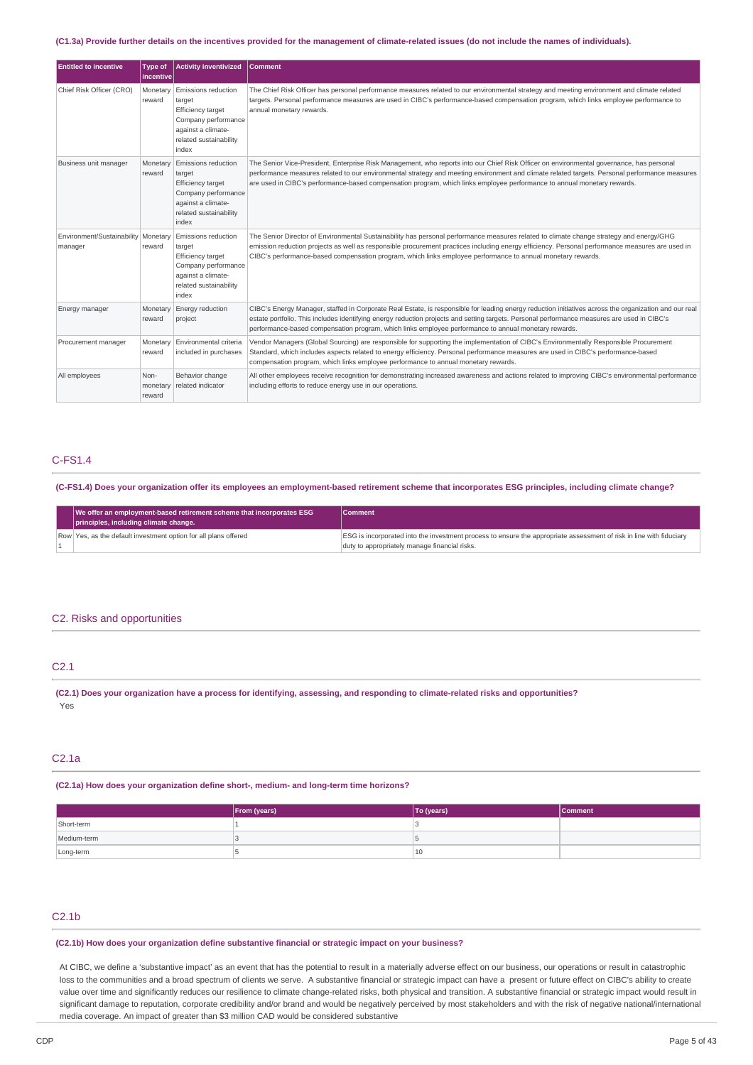#### (C1.3a) Provide further details on the incentives provided for the management of climate-related issues (do not include the names of individuals).

| <b>Entitled to incentive</b>                     | <b>Type of</b><br>incentive | <b>Activity inventivized</b>                                                                                                              | Comment                                                                                                                                                                                                                                                                                                                                                                                                              |
|--------------------------------------------------|-----------------------------|-------------------------------------------------------------------------------------------------------------------------------------------|----------------------------------------------------------------------------------------------------------------------------------------------------------------------------------------------------------------------------------------------------------------------------------------------------------------------------------------------------------------------------------------------------------------------|
| Chief Risk Officer (CRO)                         | Monetary<br>reward          | Emissions reduction<br>target<br><b>Efficiency target</b><br>Company performance<br>against a climate-<br>related sustainability<br>index | The Chief Risk Officer has personal performance measures related to our environmental strategy and meeting environment and climate related<br>targets. Personal performance measures are used in CIBC's performance-based compensation program, which links employee performance to<br>annual monetary rewards.                                                                                                      |
| Business unit manager                            | Monetary<br>reward          | Emissions reduction<br>target<br><b>Efficiency target</b><br>Company performance<br>against a climate-<br>related sustainability<br>index | The Senior Vice-President, Enterprise Risk Management, who reports into our Chief Risk Officer on environmental governance, has personal<br>performance measures related to our environmental strategy and meeting environment and climate related targets. Personal performance measures<br>are used in CIBC's performance-based compensation program, which links employee performance to annual monetary rewards. |
| Environment/Sustainability   Monetary<br>manager | reward                      | Emissions reduction<br>target<br><b>Efficiency target</b><br>Company performance<br>against a climate-<br>related sustainability<br>index | The Senior Director of Environmental Sustainability has personal performance measures related to climate change strategy and energy/GHG<br>emission reduction projects as well as responsible procurement practices including energy efficiency. Personal performance measures are used in<br>CIBC's performance-based compensation program, which links employee performance to annual monetary rewards.            |
| Energy manager                                   | Monetary<br>reward          | Energy reduction<br>project                                                                                                               | CIBC's Energy Manager, staffed in Corporate Real Estate, is responsible for leading energy reduction initiatives across the organization and our real<br>estate portfolio. This includes identifying energy reduction projects and setting targets. Personal performance measures are used in CIBC's<br>performance-based compensation program, which links employee performance to annual monetary rewards.         |
| Procurement manager                              | Monetary<br>reward          | Environmental criteria<br>included in purchases                                                                                           | Vendor Managers (Global Sourcing) are responsible for supporting the implementation of CIBC's Environmentally Responsible Procurement<br>Standard, which includes aspects related to energy efficiency. Personal performance measures are used in CIBC's performance-based<br>compensation program, which links employee performance to annual monetary rewards.                                                     |
| All employees                                    | Non-<br>monetary<br>reward  | Behavior change<br>related indicator                                                                                                      | All other employees receive recognition for demonstrating increased awareness and actions related to improving CIBC's environmental performance<br>including efforts to reduce energy use in our operations.                                                                                                                                                                                                         |

# C-FS1.4

(C-FS1.4) Does your organization offer its employees an employment-based retirement scheme that incorporates ESG principles, including climate change?

| $\mid$ We offer an employment-based retirement scheme that incorporates ESG $^+$ | <b>Comment</b>                                                                                                      |
|----------------------------------------------------------------------------------|---------------------------------------------------------------------------------------------------------------------|
| principles, including climate change.                                            |                                                                                                                     |
| Row Yes, as the default investment option for all plans offered                  | ESG is incorporated into the investment process to ensure the appropriate assessment of risk in line with fiduciary |
|                                                                                  | duty to appropriately manage financial risks.                                                                       |

# C2. Risks and opportunities

# C2.1

(C2.1) Does your organization have a process for identifying, assessing, and responding to climate-related risks and opportunities? Yes

# C2.1a

**(C2.1a) How does your organization define short-, medium- and long-term time horizons?**

|             | <b>From (years)</b> | To (years) | <b>Comment</b> |
|-------------|---------------------|------------|----------------|
| Short-term  |                     |            |                |
| Medium-term |                     |            |                |
| Long-term   |                     | 10         |                |

## C2.1b

#### **(C2.1b) How does your organization define substantive financial or strategic impact on your business?**

At CIBC, we define a 'substantive impact' as an event that has the potential to result in a materially adverse effect on our business, our operations or result in catastrophic loss to the communities and a broad spectrum of clients we serve. A substantive financial or strategic impact can have a present or future effect on CIBC's ability to create value over time and significantly reduces our resilience to climate change-related risks, both physical and transition. A substantive financial or strategic impact would result in significant damage to reputation, corporate credibility and/or brand and would be negatively perceived by most stakeholders and with the risk of negative national/international media coverage. An impact of greater than \$3 million CAD would be considered substantive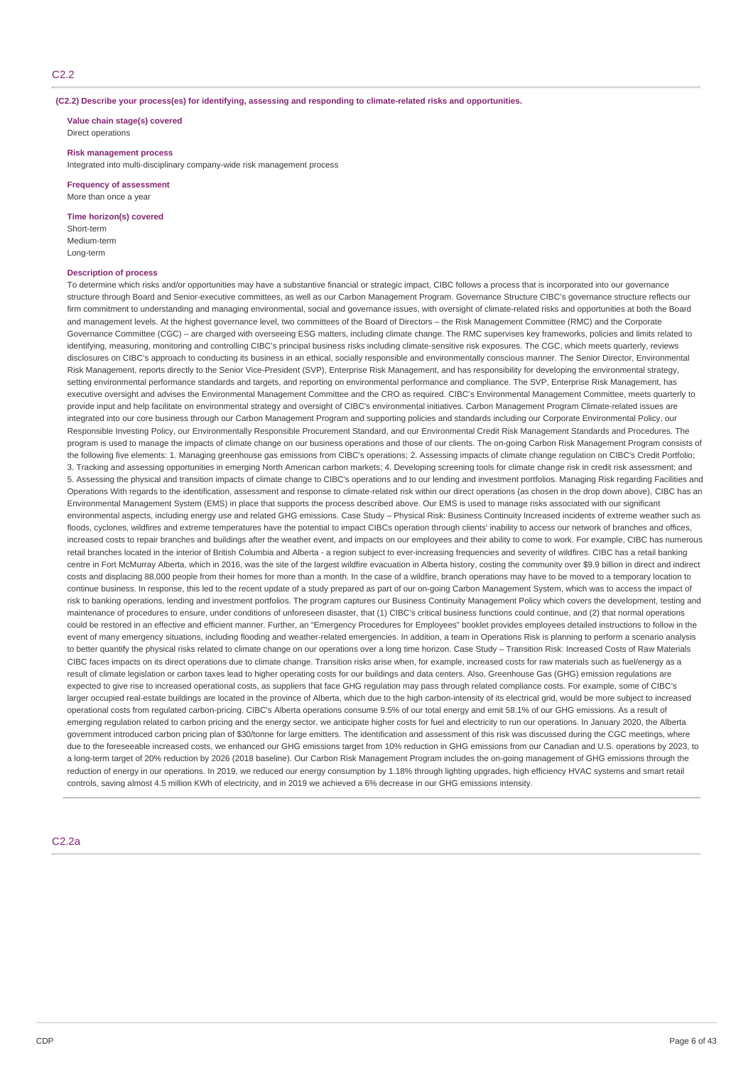# C<sub>2.2</sub>

**(C2.2) Describe your process(es) for identifying, assessing and responding to climate-related risks and opportunities.**

**Value chain stage(s) covered** Direct operations

#### **Risk management process**

Integrated into multi-disciplinary company-wide risk management process

**Frequency of assessment** More than once a year

**Time horizon(s) covered**

Short-term Medium-term Long-term

## **Description of process**

To determine which risks and/or opportunities may have a substantive financial or strategic impact, CIBC follows a process that is incorporated into our governance structure through Board and Senior-executive committees, as well as our Carbon Management Program. Governance Structure CIBC's governance structure reflects our firm commitment to understanding and managing environmental, social and governance issues, with oversight of climate-related risks and opportunities at both the Board and management levels. At the highest governance level, two committees of the Board of Directors – the Risk Management Committee (RMC) and the Corporate Governance Committee (CGC) – are charged with overseeing ESG matters, including climate change. The RMC supervises key frameworks, policies and limits related to identifying, measuring, monitoring and controlling CIBC's principal business risks including climate-sensitive risk exposures. The CGC, which meets quarterly, reviews disclosures on CIBC's approach to conducting its business in an ethical, socially responsible and environmentally conscious manner. The Senior Director, Environmental Risk Management, reports directly to the Senior Vice-President (SVP), Enterprise Risk Management, and has responsibility for developing the environmental strategy, setting environmental performance standards and targets, and reporting on environmental performance and compliance. The SVP, Enterprise Risk Management, has executive oversight and advises the Environmental Management Committee and the CRO as required. CIBC's Environmental Management Committee, meets quarterly to provide input and help facilitate on environmental strategy and oversight of CIBC's environmental initiatives. Carbon Management Program Climate-related issues are integrated into our core business through our Carbon Management Program and supporting policies and standards including our Corporate Environmental Policy, our Responsible Investing Policy, our Environmentally Responsible Procurement Standard, and our Environmental Credit Risk Management Standards and Procedures. The program is used to manage the impacts of climate change on our business operations and those of our clients. The on-going Carbon Risk Management Program consists of the following five elements: 1. Managing greenhouse gas emissions from CIBC's operations; 2. Assessing impacts of climate change regulation on CIBC's Credit Portfolio; 3. Tracking and assessing opportunities in emerging North American carbon markets; 4. Developing screening tools for climate change risk in credit risk assessment; and 5. Assessing the physical and transition impacts of climate change to CIBC's operations and to our lending and investment portfolios. Managing Risk regarding Facilities and Operations With regards to the identification, assessment and response to climate-related risk within our direct operations (as chosen in the drop down above), CIBC has an Environmental Management System (EMS) in place that supports the process described above. Our EMS is used to manage risks associated with our significant environmental aspects, including energy use and related GHG emissions. Case Study – Physical Risk: Business Continuity Increased incidents of extreme weather such as floods, cyclones, wildfires and extreme temperatures have the potential to impact CIBCs operation through clients' inability to access our network of branches and offices, increased costs to repair branches and buildings after the weather event, and impacts on our employees and their ability to come to work. For example, CIBC has numerous retail branches located in the interior of British Columbia and Alberta - a region subject to ever-increasing frequencies and severity of wildfires. CIBC has a retail banking centre in Fort McMurray Alberta, which in 2016, was the site of the largest wildfire evacuation in Alberta history, costing the community over \$9.9 billion in direct and indirect costs and displacing 88,000 people from their homes for more than a month. In the case of a wildfire, branch operations may have to be moved to a temporary location to continue business. In response, this led to the recent update of a study prepared as part of our on-going Carbon Management System, which was to access the impact of risk to banking operations, lending and investment portfolios. The program captures our Business Continuity Management Policy which covers the development, testing and maintenance of procedures to ensure, under conditions of unforeseen disaster, that (1) CIBC's critical business functions could continue, and (2) that normal operations could be restored in an effective and efficient manner. Further, an "Emergency Procedures for Employees" booklet provides employees detailed instructions to follow in the event of many emergency situations, including flooding and weather-related emergencies. In addition, a team in Operations Risk is planning to perform a scenario analysis to better quantify the physical risks related to climate change on our operations over a long time horizon. Case Study – Transition Risk: Increased Costs of Raw Materials CIBC faces impacts on its direct operations due to climate change. Transition risks arise when, for example, increased costs for raw materials such as fuel/energy as a result of climate legislation or carbon taxes lead to higher operating costs for our buildings and data centers. Also, Greenhouse Gas (GHG) emission regulations are expected to give rise to increased operational costs, as suppliers that face GHG regulation may pass through related compliance costs. For example, some of CIBC's larger occupied real-estate buildings are located in the province of Alberta, which due to the high carbon-intensity of its electrical grid, would be more subject to increased operational costs from regulated carbon-pricing. CIBC's Alberta operations consume 9.5% of our total energy and emit 58.1% of our GHG emissions. As a result of emerging regulation related to carbon pricing and the energy sector, we anticipate higher costs for fuel and electricity to run our operations. In January 2020, the Alberta government introduced carbon pricing plan of \$30/tonne for large emitters. The identification and assessment of this risk was discussed during the CGC meetings, where due to the foreseeable increased costs, we enhanced our GHG emissions target from 10% reduction in GHG emissions from our Canadian and U.S. operations by 2023, to a long-term target of 20% reduction by 2026 (2018 baseline). Our Carbon Risk Management Program includes the on-going management of GHG emissions through the reduction of energy in our operations. In 2019, we reduced our energy consumption by 1.18% through lighting upgrades, high efficiency HVAC systems and smart retail controls, saving almost 4.5 million KWh of electricity, and in 2019 we achieved a 6% decrease in our GHG emissions intensity.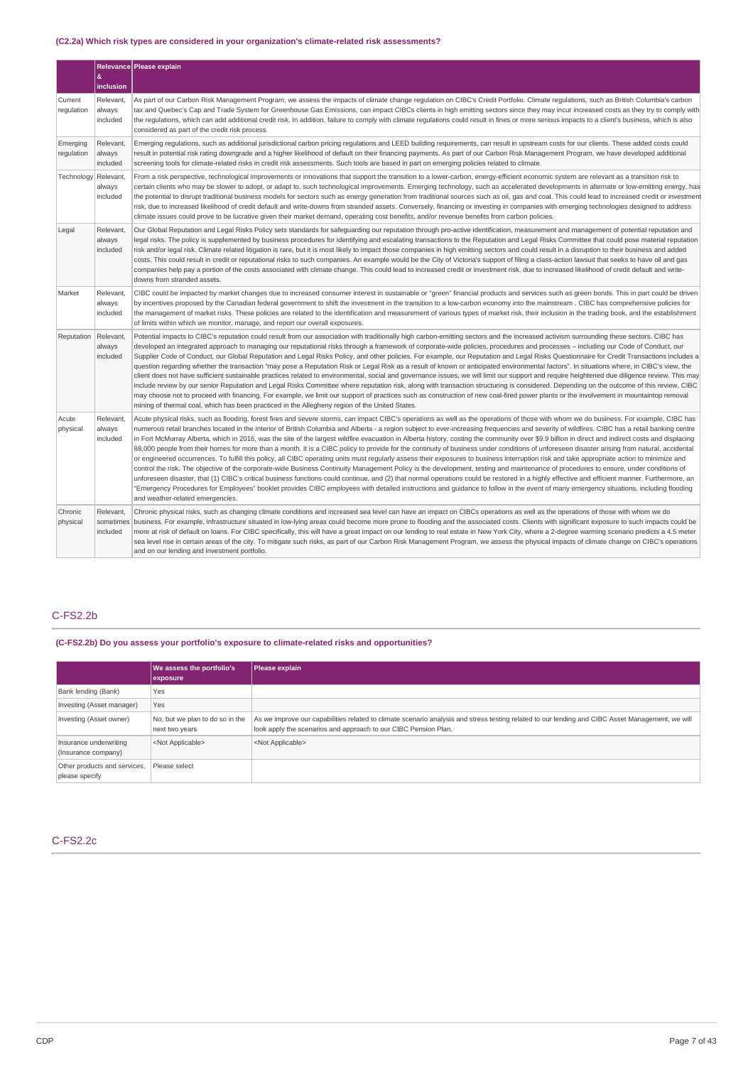# **(C2.2a) Which risk types are considered in your organization's climate-related risk assessments?**

|                        |                                    | Relevance Please explain                                                                                                                                                                                                                                                                                                                                                                                                                                                                                                                                                                                                                                                                                                                                                                                                                                                                                                                                                                                                                                                                                                                                                                                                                                                                                                                                                                                                                                                                                                                                                                                           |
|------------------------|------------------------------------|--------------------------------------------------------------------------------------------------------------------------------------------------------------------------------------------------------------------------------------------------------------------------------------------------------------------------------------------------------------------------------------------------------------------------------------------------------------------------------------------------------------------------------------------------------------------------------------------------------------------------------------------------------------------------------------------------------------------------------------------------------------------------------------------------------------------------------------------------------------------------------------------------------------------------------------------------------------------------------------------------------------------------------------------------------------------------------------------------------------------------------------------------------------------------------------------------------------------------------------------------------------------------------------------------------------------------------------------------------------------------------------------------------------------------------------------------------------------------------------------------------------------------------------------------------------------------------------------------------------------|
|                        | &<br>inclusion                     |                                                                                                                                                                                                                                                                                                                                                                                                                                                                                                                                                                                                                                                                                                                                                                                                                                                                                                                                                                                                                                                                                                                                                                                                                                                                                                                                                                                                                                                                                                                                                                                                                    |
| Current<br>requlation  | Relevant,<br>always<br>included    | As part of our Carbon Risk Management Program, we assess the impacts of climate change regulation on CIBC's Credit Portfolio. Climate regulations, such as British Columbia's carbon<br>tax and Quebec's Cap and Trade System for Greenhouse Gas Emissions, can impact CIBCs clients in high emitting sectors since they may incur increased costs as they try to comply with<br>the regulations, which can add additional credit risk. In addition, failure to comply with climate regulations could result in fines or more serious impacts to a client's business, which is also<br>considered as part of the credit risk process.                                                                                                                                                                                                                                                                                                                                                                                                                                                                                                                                                                                                                                                                                                                                                                                                                                                                                                                                                                              |
| Emerging<br>regulation | Relevant,<br>always<br>included    | Emerging regulations, such as additional jurisdictional carbon pricing regulations and LEED building requirements, can result in upstream costs for our clients. These added costs could<br>result in potential risk rating downgrade and a higher likelihood of default on their financing payments. As part of our Carbon Risk Management Program, we have developed additional<br>screening tools for climate-related risks in credit risk assessments. Such tools are based in part on emerging policies related to climate.                                                                                                                                                                                                                                                                                                                                                                                                                                                                                                                                                                                                                                                                                                                                                                                                                                                                                                                                                                                                                                                                                   |
| Technology             | Relevant,<br>always<br>included    | From a risk perspective, technological improvements or innovations that support the transition to a lower-carbon, energy-efficient economic system are relevant as a transition risk to<br>certain clients who may be slower to adopt, or adapt to, such technological improvements. Emerging technology, such as accelerated developments in alternate or low-emitting energy, has<br>the potential to disrupt traditional business models for sectors such as energy generation from traditional sources such as oil, gas and coal. This could lead to increased credit or investment<br>risk, due to increased likelihood of credit default and write-downs from stranded assets. Conversely, financing or investing in companies with emerging technologies designed to address<br>climate issues could prove to be lucrative given their market demand, operating cost benefits, and/or revenue benefits from carbon policies.                                                                                                                                                                                                                                                                                                                                                                                                                                                                                                                                                                                                                                                                                |
| Legal                  | Relevant,<br>always<br>included    | Our Global Reputation and Legal Risks Policy sets standards for safeguarding our reputation through pro-active identification, measurement and management of potential reputation and<br>legal risks. The policy is supplemented by business procedures for identifying and escalating transactions to the Reputation and Legal Risks Committee that could pose material reputation<br>risk and/or legal risk. Climate related litigation is rare, but it is most likely to impact those companies in high emitting sectors and could result in a disruption to their business and added<br>costs. This could result in credit or reputational risks to such companies. An example would be the City of Victoria's support of filing a class-action lawsuit that seeks to have oil and gas<br>companies help pay a portion of the costs associated with climate change. This could lead to increased credit or investment risk, due to increased likelihood of credit default and write-<br>downs from stranded assets.                                                                                                                                                                                                                                                                                                                                                                                                                                                                                                                                                                                            |
| Market                 | Relevant,<br>always<br>included    | CIBC could be impacted by market changes due to increased consumer interest in sustainable or "green" financial products and services such as green bonds. This in part could be driven<br>by incentives proposed by the Canadian federal government to shift the investment in the transition to a low-carbon economy into the mainstream. CIBC has comprehensive policies for<br>the management of market risks. These policies are related to the identification and measurement of various types of market risk, their inclusion in the trading book, and the establishment<br>of limits within which we monitor, manage, and report our overall exposures.                                                                                                                                                                                                                                                                                                                                                                                                                                                                                                                                                                                                                                                                                                                                                                                                                                                                                                                                                    |
| Reputation             | Relevant,<br>always<br>included    | Potential impacts to CIBC's reputation could result from our association with traditionally high carbon-emitting sectors and the increased activism surrounding these sectors. CIBC has<br>developed an integrated approach to managing our reputational risks through a framework of corporate-wide policies, procedures and processes - including our Code of Conduct, our<br>Supplier Code of Conduct, our Global Reputation and Legal Risks Policy, and other policies. For example, our Reputation and Legal Risks Questionnaire for Credit Transactions includes a<br>question regarding whether the transaction "may pose a Reputation Risk or Legal Risk as a result of known or anticipated environmental factors". In situations where, in CIBC's view, the<br>client does not have sufficient sustainable practices related to environmental, social and governance issues, we will limit our support and require heightened due diligence review. This may<br>include review by our senior Reputation and Legal Risks Committee where reputation risk, along with transaction structuring is considered. Depending on the outcome of this review, CIBC<br>may choose not to proceed with financing. For example, we limit our support of practices such as construction of new coal-fired power plants or the involvement in mountaintop removal<br>mining of thermal coal, which has been practiced in the Allegheny region of the United States.                                                                                                                                                     |
| Acute<br>physical      | Relevant,<br>always<br>included    | Acute physical risks, such as flooding, forest fires and severe storms, can impact CIBC's operations as well as the operations of those with whom we do business. For example, CIBC has<br>numerous retail branches located in the interior of British Columbia and Alberta - a region subject to ever-increasing frequencies and severity of wildfires. CIBC has a retail banking centre<br>in Fort McMurray Alberta, which in 2016, was the site of the largest wildfire evacuation in Alberta history, costing the community over \$9.9 billion in direct and indirect costs and displacing<br>88,000 people from their homes for more than a month. It is a CIBC policy to provide for the continuity of business under conditions of unforeseen disaster arising from natural, accidental<br>or engineered occurrences. To fulfill this policy, all CIBC operating units must regularly assess their exposures to business interruption risk and take appropriate action to minimize and<br>control the risk. The objective of the corporate-wide Business Continuity Management Policy is the development, testing and maintenance of procedures to ensure, under conditions of<br>unforeseen disaster, that (1) CIBC's critical business functions could continue, and (2) that normal operations could be restored in a highly effective and efficient manner. Furthermore, an<br>"Emergency Procedures for Employees" booklet provides CIBC employees with detailed instructions and quidance to follow in the event of many emergency situations, including flooding<br>and weather-related emergencies. |
| Chronic<br>physical    | Relevant,<br>sometimes<br>included | Chronic physical risks, such as changing climate conditions and increased sea level can have an impact on CIBCs operations as well as the operations of those with whom we do<br>business. For example, infrastructure situated in low-lying areas could become more prone to flooding and the associated costs. Clients with significant exposure to such impacts could be<br>more at risk of default on loans. For CIBC specifically, this will have a great impact on our lending to real estate in New York City, where a 2-degree warming scenario predicts a 4.5 meter<br>sea level rise in certain areas of the city. To mitigate such risks, as part of our Carbon Risk Management Program, we assess the physical impacts of climate change on CIBC's operations<br>and on our lending and investment portfolio.                                                                                                                                                                                                                                                                                                                                                                                                                                                                                                                                                                                                                                                                                                                                                                                          |

# C-FS2.2b

**(C-FS2.2b) Do you assess your portfolio's exposure to climate-related risks and opportunities?**

|                                                | We assess the portfolio's<br>exposure             | Please explain                                                                                                                                                                                                      |
|------------------------------------------------|---------------------------------------------------|---------------------------------------------------------------------------------------------------------------------------------------------------------------------------------------------------------------------|
| Bank lending (Bank)                            | Yes                                               |                                                                                                                                                                                                                     |
| Investing (Asset manager)                      | Yes                                               |                                                                                                                                                                                                                     |
| Investing (Asset owner)                        | No, but we plan to do so in the<br>next two years | As we improve our capabilities related to climate scenario analysis and stress testing related to our lending and CIBC Asset Management, we will<br>look apply the scenarios and approach to our CIBC Pension Plan. |
| Insurance underwriting<br>(Insurance company)  | <not applicable=""></not>                         | <not applicable=""></not>                                                                                                                                                                                           |
| Other products and services,<br>please specify | Please select                                     |                                                                                                                                                                                                                     |

# C-FS2.2c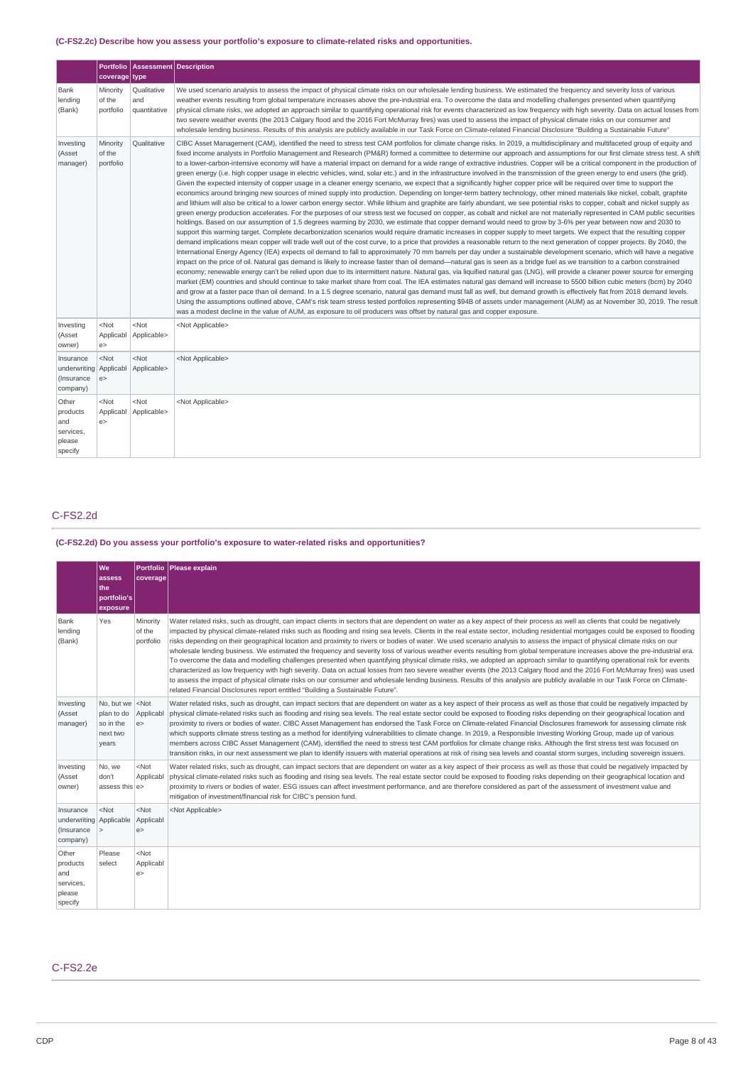# **(C-FS2.2c) Describe how you assess your portfolio's exposure to climate-related risks and opportunities.**

|                                                               | coverage type                   | Portfolio   Assessment   Description |                                                                                                                                                                                                                                                                                                                                                                                                                                                                                                                                                                                                                                                                                                                                                                                                                                                                                                                                                                                                                                                                                                                                                                                                                                                                                                                                                                                                                                                                                                                                                                                                                                                                                                                                                                                                                                                                                                                                                                                                                                                                                                                                                                                                                                                                                                                                                                                                                                                                                                                                                                                                                                                                                                                                                                                                                                                                                                                                                                                                                                                                                                                                                                                     |
|---------------------------------------------------------------|---------------------------------|--------------------------------------|-------------------------------------------------------------------------------------------------------------------------------------------------------------------------------------------------------------------------------------------------------------------------------------------------------------------------------------------------------------------------------------------------------------------------------------------------------------------------------------------------------------------------------------------------------------------------------------------------------------------------------------------------------------------------------------------------------------------------------------------------------------------------------------------------------------------------------------------------------------------------------------------------------------------------------------------------------------------------------------------------------------------------------------------------------------------------------------------------------------------------------------------------------------------------------------------------------------------------------------------------------------------------------------------------------------------------------------------------------------------------------------------------------------------------------------------------------------------------------------------------------------------------------------------------------------------------------------------------------------------------------------------------------------------------------------------------------------------------------------------------------------------------------------------------------------------------------------------------------------------------------------------------------------------------------------------------------------------------------------------------------------------------------------------------------------------------------------------------------------------------------------------------------------------------------------------------------------------------------------------------------------------------------------------------------------------------------------------------------------------------------------------------------------------------------------------------------------------------------------------------------------------------------------------------------------------------------------------------------------------------------------------------------------------------------------------------------------------------------------------------------------------------------------------------------------------------------------------------------------------------------------------------------------------------------------------------------------------------------------------------------------------------------------------------------------------------------------------------------------------------------------------------------------------------------------|
| Bank<br>lending<br>(Bank)                                     | Minority<br>of the<br>portfolio | Qualitative<br>and<br>quantitative   | We used scenario analysis to assess the impact of physical climate risks on our wholesale lending business. We estimated the frequency and severity loss of various<br>weather events resulting from global temperature increases above the pre-industrial era. To overcome the data and modelling challenges presented when quantifying<br>physical climate risks, we adopted an approach similar to quantifying operational risk for events characterized as low frequency with high severity. Data on actual losses from<br>two severe weather events (the 2013 Calgary flood and the 2016 Fort McMurray fires) was used to assess the impact of physical climate risks on our consumer and<br>wholesale lending business. Results of this analysis are publicly available in our Task Force on Climate-related Financial Disclosure "Building a Sustainable Future"                                                                                                                                                                                                                                                                                                                                                                                                                                                                                                                                                                                                                                                                                                                                                                                                                                                                                                                                                                                                                                                                                                                                                                                                                                                                                                                                                                                                                                                                                                                                                                                                                                                                                                                                                                                                                                                                                                                                                                                                                                                                                                                                                                                                                                                                                                             |
| Investing<br>(Asset<br>manager)                               | Minority<br>of the<br>portfolio | Qualitative                          | CIBC Asset Management (CAM), identified the need to stress test CAM portfolios for climate change risks. In 2019, a multidisciplinary and multifaceted group of equity and<br>fixed income analysts in Portfolio Management and Research (PM&R) formed a committee to determine our approach and assumptions for our first climate stress test. A shift<br>to a lower-carbon-intensive economy will have a material impact on demand for a wide range of extractive industries. Copper will be a critical component in the production of<br>green energy (i.e. high copper usage in electric vehicles, wind, solar etc.) and in the infrastructure involved in the transmission of the green energy to end users (the grid).<br>Given the expected intensity of copper usage in a cleaner energy scenario, we expect that a significantly higher copper price will be required over time to support the<br>economics around bringing new sources of mined supply into production. Depending on longer-term battery technology, other mined materials like nickel, cobalt, graphite<br>and lithium will also be critical to a lower carbon energy sector. While lithium and graphite are fairly abundant, we see potential risks to copper, cobalt and nickel supply as<br>green energy production accelerates. For the purposes of our stress test we focused on copper, as cobalt and nickel are not materially represented in CAM public securities<br>holdings. Based on our assumption of 1.5 degrees warming by 2030, we estimate that copper demand would need to grow by 3-6% per year between now and 2030 to<br>support this warming target. Complete decarbonization scenarios would require dramatic increases in copper supply to meet targets. We expect that the resulting copper<br>demand implications mean copper will trade well out of the cost curve, to a price that provides a reasonable return to the next generation of copper projects. By 2040, the<br>International Energy Agency (IEA) expects oil demand to fall to approximately 70 mm barrels per day under a sustainable development scenario, which will have a negative<br>impact on the price of oil. Natural gas demand is likely to increase faster than oil demand—natural gas is seen as a bridge fuel as we transition to a carbon constrained<br>economy; renewable energy can't be relied upon due to its intermittent nature. Natural gas, via liquified natural gas (LNG), will provide a cleaner power source for emerging<br>market (EM) countries and should continue to take market share from coal. The IEA estimates natural gas demand will increase to 5500 billion cubic meters (bcm) by 2040<br>and grow at a faster pace than oil demand. In a 1.5 degree scenario, natural gas demand must fall as well, but demand growth is effectively flat from 2018 demand levels.<br>Using the assumptions outlined above, CAM's risk team stress tested portfolios representing \$94B of assets under management (AUM) as at November 30, 2019. The result<br>was a modest decline in the value of AUM, as exposure to oil producers was offset by natural gas and copper exposure. |
| Investing<br>(Asset<br>owner)                                 | $<$ Not<br>Applicabl<br>e >     | $<$ Not<br>Applicable>               | <not applicable=""></not>                                                                                                                                                                                                                                                                                                                                                                                                                                                                                                                                                                                                                                                                                                                                                                                                                                                                                                                                                                                                                                                                                                                                                                                                                                                                                                                                                                                                                                                                                                                                                                                                                                                                                                                                                                                                                                                                                                                                                                                                                                                                                                                                                                                                                                                                                                                                                                                                                                                                                                                                                                                                                                                                                                                                                                                                                                                                                                                                                                                                                                                                                                                                                           |
| Insurance<br>underwriting Applicabl<br>(Insurance<br>company) | $<$ Not<br>e                    | $<$ Not<br>Applicable>               | <not applicable=""></not>                                                                                                                                                                                                                                                                                                                                                                                                                                                                                                                                                                                                                                                                                                                                                                                                                                                                                                                                                                                                                                                                                                                                                                                                                                                                                                                                                                                                                                                                                                                                                                                                                                                                                                                                                                                                                                                                                                                                                                                                                                                                                                                                                                                                                                                                                                                                                                                                                                                                                                                                                                                                                                                                                                                                                                                                                                                                                                                                                                                                                                                                                                                                                           |
| Other<br>products<br>and<br>services,<br>please<br>specify    | $<$ Not<br>Applicabl<br>e >     | $<$ Not<br>Applicable>               | <not applicable=""></not>                                                                                                                                                                                                                                                                                                                                                                                                                                                                                                                                                                                                                                                                                                                                                                                                                                                                                                                                                                                                                                                                                                                                                                                                                                                                                                                                                                                                                                                                                                                                                                                                                                                                                                                                                                                                                                                                                                                                                                                                                                                                                                                                                                                                                                                                                                                                                                                                                                                                                                                                                                                                                                                                                                                                                                                                                                                                                                                                                                                                                                                                                                                                                           |

# C-FS2.2d

# **(C-FS2.2d) Do you assess your portfolio's exposure to water-related risks and opportunities?**

|                                                                | lwe<br>lassess<br><b>Ithe</b><br>portfolio's<br>exposure                        | coverage                        | Portfolio   Please explain                                                                                                                                                                                                                                                                                                                                                                                                                                                                                                                                                                                                                                                                                                                                                                                                                                                                                                                                                                                                                                                                                                                                                                                                                                                                                                                                     |
|----------------------------------------------------------------|---------------------------------------------------------------------------------|---------------------------------|----------------------------------------------------------------------------------------------------------------------------------------------------------------------------------------------------------------------------------------------------------------------------------------------------------------------------------------------------------------------------------------------------------------------------------------------------------------------------------------------------------------------------------------------------------------------------------------------------------------------------------------------------------------------------------------------------------------------------------------------------------------------------------------------------------------------------------------------------------------------------------------------------------------------------------------------------------------------------------------------------------------------------------------------------------------------------------------------------------------------------------------------------------------------------------------------------------------------------------------------------------------------------------------------------------------------------------------------------------------|
| Bank<br>lending<br>(Bank)                                      | Yes                                                                             | Minority<br>of the<br>portfolio | Water related risks, such as drought, can impact clients in sectors that are dependent on water as a key aspect of their process as well as clients that could be negatively<br>impacted by physical climate-related risks such as flooding and rising sea levels. Clients in the real estate sector, including residential mortgages could be exposed to flooding<br>risks depending on their geographical location and proximity to rivers or bodies of water. We used scenario analysis to assess the impact of physical climate risks on our<br>wholesale lending business. We estimated the frequency and severity loss of various weather events resulting from global temperature increases above the pre-industrial era.<br>To overcome the data and modelling challenges presented when quantifying physical climate risks, we adopted an approach similar to quantifying operational risk for events<br>characterized as low frequency with high severity. Data on actual losses from two severe weather events (the 2013 Calgary flood and the 2016 Fort McMurray fires) was used<br>to assess the impact of physical climate risks on our consumer and wholesale lending business. Results of this analysis are publicly available in our Task Force on Climate-<br>related Financial Disclosures report entitled "Building a Sustainable Future". |
| Investing<br>(Asset<br>manager)                                | No, but we $ $ <not<br>plan to do<br/>so in the<br/>next two<br/>years</not<br> | Applicabl<br>e                  | Water related risks, such as drought, can impact sectors that are dependent on water as a key aspect of their process as well as those that could be negatively impacted by<br>physical climate-related risks such as flooding and rising sea levels. The real estate sector could be exposed to flooding risks depending on their geographical location and<br>proximity to rivers or bodies of water. CIBC Asset Management has endorsed the Task Force on Climate-related Financial Disclosures framework for assessing climate risk<br>which supports climate stress testing as a method for identifying vulnerabilities to climate change. In 2019, a Responsible Investing Working Group, made up of various<br>members across CIBC Asset Management (CAM), identified the need to stress test CAM portfolios for climate change risks. Although the first stress test was focused on<br>transition risks, in our next assessment we plan to identify issuers with material operations at risk of rising sea levels and coastal storm surges, including sovereign issuers.                                                                                                                                                                                                                                                                               |
| Investing<br>(Asset<br>owner)                                  | No, we<br>don't<br>assess this e>                                               | $<$ Not<br>Applicabl            | Water related risks, such as drought, can impact sectors that are dependent on water as a key aspect of their process as well as those that could be negatively impacted by<br>physical climate-related risks such as flooding and rising sea levels. The real estate sector could be exposed to flooding risks depending on their geographical location and<br>proximity to rivers or bodies of water. ESG issues can affect investment performance, and are therefore considered as part of the assessment of investment value and<br>mitigation of investment/financial risk for CIBC's pension fund.                                                                                                                                                                                                                                                                                                                                                                                                                                                                                                                                                                                                                                                                                                                                                       |
| Insurance<br>underwriting Applicable<br>(Insurance<br>company) | $<$ Not                                                                         | $<$ Not<br>Applicabl<br>e >     | <not applicable=""></not>                                                                                                                                                                                                                                                                                                                                                                                                                                                                                                                                                                                                                                                                                                                                                                                                                                                                                                                                                                                                                                                                                                                                                                                                                                                                                                                                      |
| Other<br>products<br>and<br>services,<br>please<br>specify     | Please<br>select                                                                | $<$ Not<br>Applicabl<br>e       |                                                                                                                                                                                                                                                                                                                                                                                                                                                                                                                                                                                                                                                                                                                                                                                                                                                                                                                                                                                                                                                                                                                                                                                                                                                                                                                                                                |

# C-FS2.2e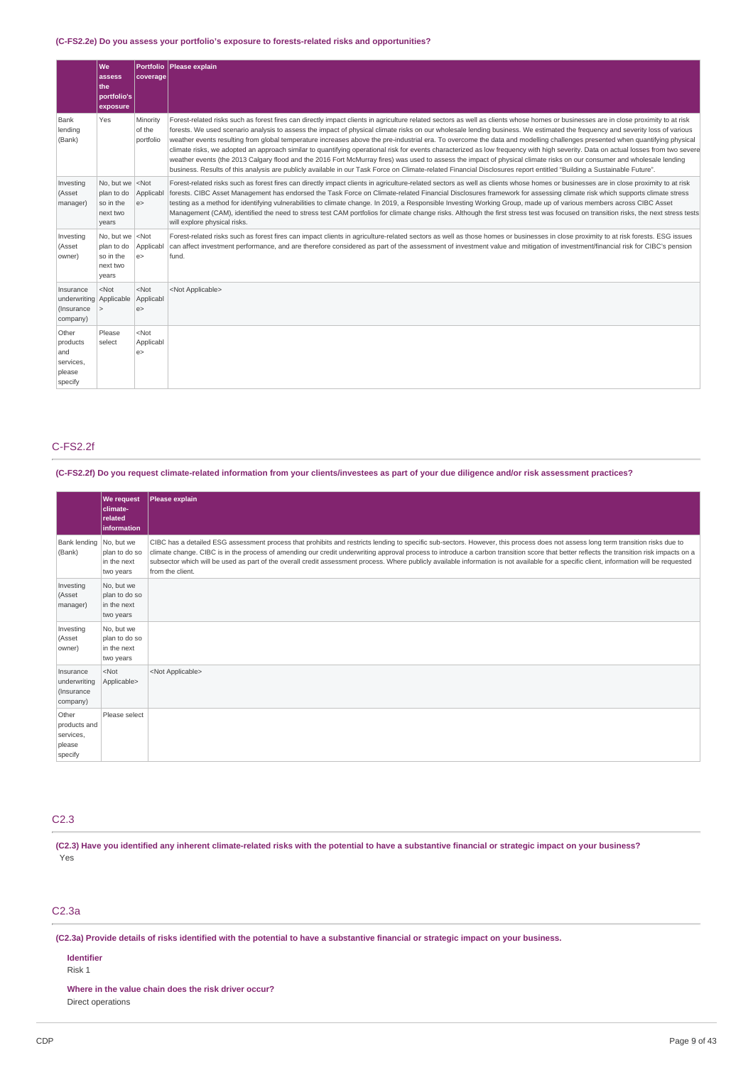# **(C-FS2.2e) Do you assess your portfolio's exposure to forests-related risks and opportunities?**

| Bank<br>lending<br>(Bank)                                      | We<br>assess<br><b>the</b><br>portfolio's<br>exposure<br>Yes                                | <b>Portfolio</b><br>coverage<br>Minority<br>of the<br>portfolio | Please explain<br>Forest-related risks such as forest fires can directly impact clients in agriculture related sectors as well as clients whose homes or businesses are in close proximity to at risk<br>forests. We used scenario analysis to assess the impact of physical climate risks on our wholesale lending business. We estimated the frequency and severity loss of various<br>weather events resulting from global temperature increases above the pre-industrial era. To overcome the data and modelling challenges presented when quantifying physical<br>climate risks, we adopted an approach similar to quantifying operational risk for events characterized as low frequency with high severity. Data on actual losses from two severe    |
|----------------------------------------------------------------|---------------------------------------------------------------------------------------------|-----------------------------------------------------------------|-------------------------------------------------------------------------------------------------------------------------------------------------------------------------------------------------------------------------------------------------------------------------------------------------------------------------------------------------------------------------------------------------------------------------------------------------------------------------------------------------------------------------------------------------------------------------------------------------------------------------------------------------------------------------------------------------------------------------------------------------------------|
|                                                                |                                                                                             |                                                                 | weather events (the 2013 Calgary flood and the 2016 Fort McMurray fires) was used to assess the impact of physical climate risks on our consumer and wholesale lending<br>business. Results of this analysis are publicly available in our Task Force on Climate-related Financial Disclosures report entitled "Building a Sustainable Future".                                                                                                                                                                                                                                                                                                                                                                                                             |
| Investing<br>(Asset<br>manager)                                | No, but we $ $ <not<br>plan to do<br/>so in the<br/>next two<br/>years</not<br>             | Applicabl<br>e                                                  | Forest-related risks such as forest fires can directly impact clients in agriculture-related sectors as well as clients whose homes or businesses are in close proximity to at risk<br>forests. CIBC Asset Management has endorsed the Task Force on Climate-related Financial Disclosures framework for assessing climate risk which supports climate stress<br>testing as a method for identifying vulnerabilities to climate change. In 2019, a Responsible Investing Working Group, made up of various members across CIBC Asset<br>Management (CAM), identified the need to stress test CAM portfolios for climate change risks. Although the first stress test was focused on transition risks, the next stress tests<br>will explore physical risks. |
| Investing<br>(Asset<br>owner)                                  | $\vert$ No, but we $\vert$ <not<br>plan to do<br/>so in the<br/>next two<br/>years</not<br> | Applicabl<br>e                                                  | Forest-related risks such as forest fires can impact clients in agriculture-related sectors as well as those homes or businesses in close proximity to at risk forests. ESG issues<br>can affect investment performance, and are therefore considered as part of the assessment of investment value and mitigation of investment/financial risk for CIBC's pension<br>fund.                                                                                                                                                                                                                                                                                                                                                                                 |
| Insurance<br>underwriting Applicable<br>(Insurance<br>company) | $<$ Not                                                                                     | $<$ Not<br>Applicabl<br>e >                                     | <not applicable=""></not>                                                                                                                                                                                                                                                                                                                                                                                                                                                                                                                                                                                                                                                                                                                                   |
| Other<br>products<br>and<br>services,<br>please<br>specify     | Please<br>select                                                                            | $<$ Not<br>Applicabl<br>e                                       |                                                                                                                                                                                                                                                                                                                                                                                                                                                                                                                                                                                                                                                                                                                                                             |

# C-FS2.2f

(C-FS2.2f) Do you request climate-related information from your clients/investees as part of your due diligence and/or risk assessment practices?

|                                                         | We request<br>climate-<br>related<br>information        | Please explain                                                                                                                                                                                                                                                                                                                                                                                                                                                                                                                                                                                |
|---------------------------------------------------------|---------------------------------------------------------|-----------------------------------------------------------------------------------------------------------------------------------------------------------------------------------------------------------------------------------------------------------------------------------------------------------------------------------------------------------------------------------------------------------------------------------------------------------------------------------------------------------------------------------------------------------------------------------------------|
| Bank lending<br>(Bank)                                  | No, but we<br>plan to do so<br>in the next<br>two years | CIBC has a detailed ESG assessment process that prohibits and restricts lending to specific sub-sectors. However, this process does not assess long term transition risks due to<br>climate change. CIBC is in the process of amending our credit underwriting approval process to introduce a carbon transition score that better reflects the transition risk impacts on a<br>subsector which will be used as part of the overall credit assessment process. Where publicly available information is not available for a specific client, information will be requested<br>from the client. |
| Investing<br>(Asset<br>manager)                         | No, but we<br>plan to do so<br>in the next<br>two years |                                                                                                                                                                                                                                                                                                                                                                                                                                                                                                                                                                                               |
| Investing<br>(Asset<br>owner)                           | No, but we<br>plan to do so<br>in the next<br>two years |                                                                                                                                                                                                                                                                                                                                                                                                                                                                                                                                                                                               |
| Insurance<br>underwriting<br>(Insurance<br>company)     | $<$ Not<br>Applicable>                                  | <not applicable=""></not>                                                                                                                                                                                                                                                                                                                                                                                                                                                                                                                                                                     |
| Other<br>products and<br>services,<br>please<br>specify | Please select                                           |                                                                                                                                                                                                                                                                                                                                                                                                                                                                                                                                                                                               |

# C2.3

(C2.3) Have you identified any inherent climate-related risks with the potential to have a substantive financial or strategic impact on your business? Yes

# C2.3a

(C2.3a) Provide details of risks identified with the potential to have a substantive financial or strategic impact on your business.

#### **Identifier**

Risk 1

**Where in the value chain does the risk driver occur?** Direct operations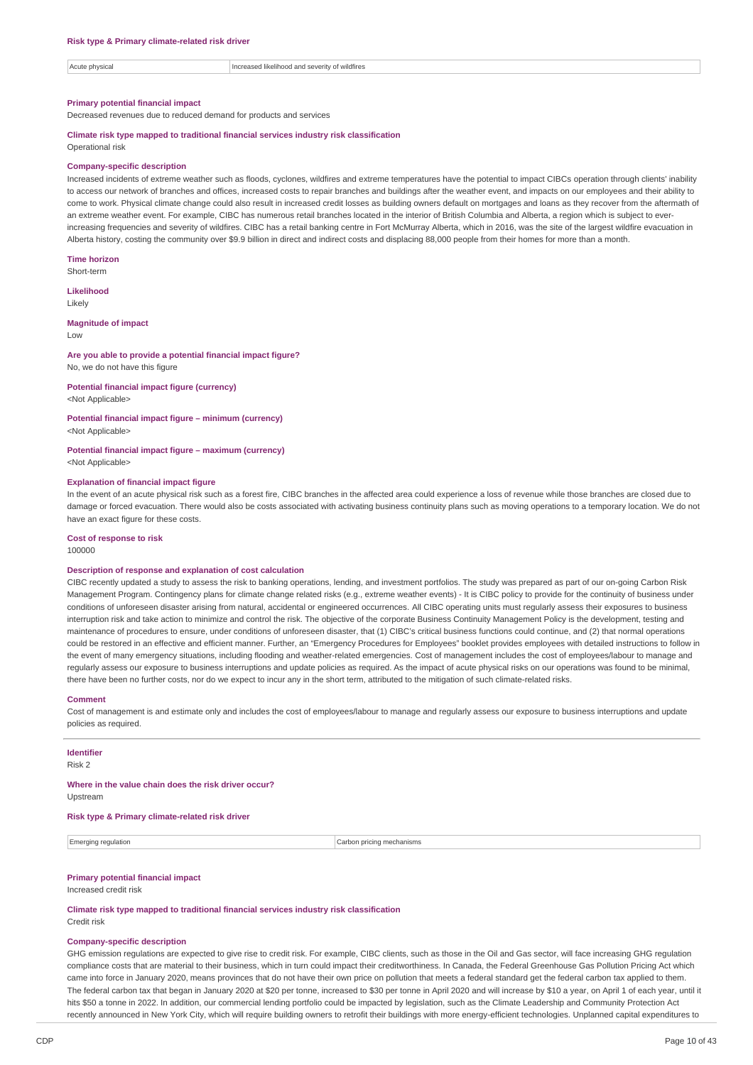| Acute physical | Increased likelihood and severity of wildfires |
|----------------|------------------------------------------------|
|----------------|------------------------------------------------|

#### **Primary potential financial impact**

Decreased revenues due to reduced demand for products and services

# **Climate risk type mapped to traditional financial services industry risk classification**

Operational risk

#### **Company-specific description**

Increased incidents of extreme weather such as floods, cyclones, wildfires and extreme temperatures have the potential to impact CIBCs operation through clients' inability to access our network of branches and offices, increased costs to repair branches and buildings after the weather event, and impacts on our employees and their ability to come to work. Physical climate change could also result in increased credit losses as building owners default on mortgages and loans as they recover from the aftermath of an extreme weather event. For example, CIBC has numerous retail branches located in the interior of British Columbia and Alberta, a region which is subject to everincreasing frequencies and severity of wildfires. CIBC has a retail banking centre in Fort McMurray Alberta, which in 2016, was the site of the largest wildfire evacuation in Alberta history, costing the community over \$9.9 billion in direct and indirect costs and displacing 88,000 people from their homes for more than a month.

**Time horizon**

Short-term

**Likelihood** Likely

#### **Magnitude of impact**

Low

#### **Are you able to provide a potential financial impact figure?** No, we do not have this figure

**Potential financial impact figure (currency)**

## <Not Applicable>

#### **Potential financial impact figure – minimum (currency)**

<Not Applicable>

**Potential financial impact figure – maximum (currency)** <Not Applicable>

#### **Explanation of financial impact figure**

In the event of an acute physical risk such as a forest fire, CIBC branches in the affected area could experience a loss of revenue while those branches are closed due to damage or forced evacuation. There would also be costs associated with activating business continuity plans such as moving operations to a temporary location. We do not have an exact figure for these costs.

**Cost of response to risk**

100000

#### **Description of response and explanation of cost calculation**

CIBC recently updated a study to assess the risk to banking operations, lending, and investment portfolios. The study was prepared as part of our on-going Carbon Risk Management Program. Contingency plans for climate change related risks (e.g., extreme weather events) - It is CIBC policy to provide for the continuity of business under conditions of unforeseen disaster arising from natural, accidental or engineered occurrences. All CIBC operating units must regularly assess their exposures to business interruption risk and take action to minimize and control the risk. The objective of the corporate Business Continuity Management Policy is the development, testing and maintenance of procedures to ensure, under conditions of unforeseen disaster, that (1) CIBC's critical business functions could continue, and (2) that normal operations could be restored in an effective and efficient manner. Further, an "Emergency Procedures for Employees" booklet provides employees with detailed instructions to follow in the event of many emergency situations, including flooding and weather-related emergencies. Cost of management includes the cost of employees/labour to manage and regularly assess our exposure to business interruptions and update policies as required. As the impact of acute physical risks on our operations was found to be minimal, there have been no further costs, nor do we expect to incur any in the short term, attributed to the mitigation of such climate-related risks.

#### **Comment**

Cost of management is and estimate only and includes the cost of employees/labour to manage and regularly assess our exposure to business interruptions and update policies as required.

## **Identifier**

Risk 2

## **Where in the value chain does the risk driver occur?**

Upstream

#### **Risk type & Primary climate-related risk driver**

Emerging regulation Carbon pricing mechanisms

# **Primary potential financial impact**

Increased credit risk

**Climate risk type mapped to traditional financial services industry risk classification**

Credit risk

#### **Company-specific description**

GHG emission regulations are expected to give rise to credit risk. For example, CIBC clients, such as those in the Oil and Gas sector, will face increasing GHG regulation compliance costs that are material to their business, which in turn could impact their creditworthiness. In Canada, the Federal Greenhouse Gas Pollution Pricing Act which came into force in January 2020, means provinces that do not have their own price on pollution that meets a federal standard get the federal carbon tax applied to them. The federal carbon tax that began in January 2020 at \$20 per tonne, increased to \$30 per tonne in April 2020 and will increase by \$10 a year, on April 1 of each year, until it hits \$50 a tonne in 2022. In addition, our commercial lending portfolio could be impacted by legislation, such as the Climate Leadership and Community Protection Act recently announced in New York City, which will require building owners to retrofit their buildings with more energy-efficient technologies. Unplanned capital expenditures to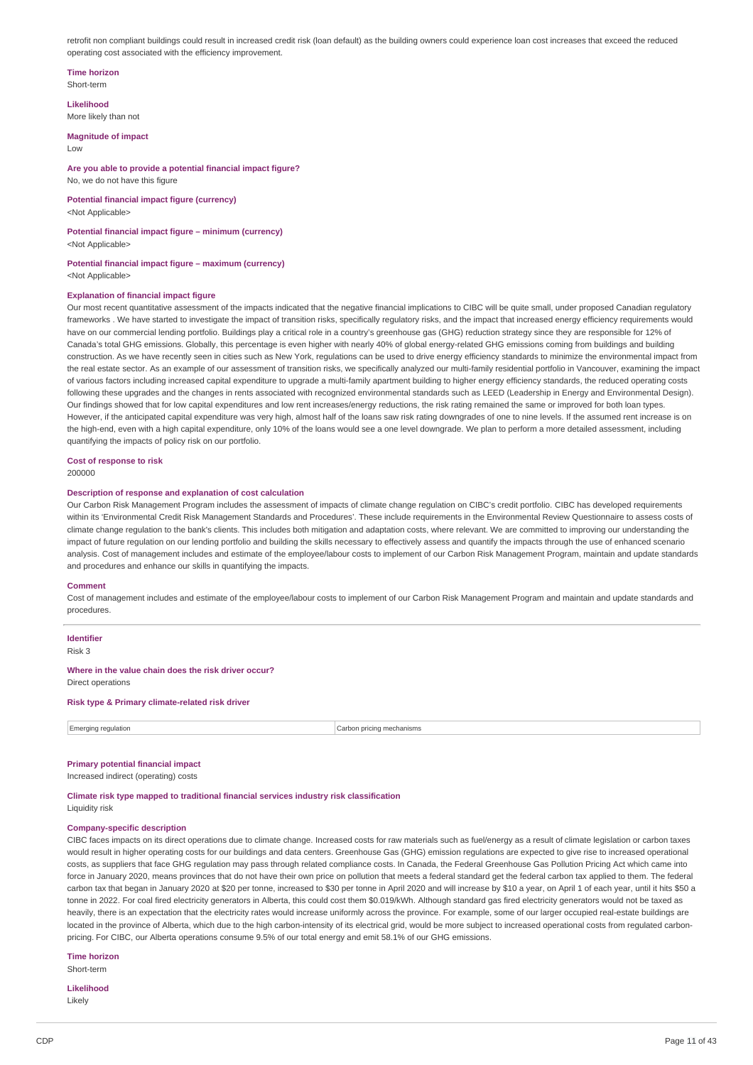retrofit non compliant buildings could result in increased credit risk (loan default) as the building owners could experience loan cost increases that exceed the reduced operating cost associated with the efficiency improvement.

#### **Time horizon** Short-term

**Likelihood**

More likely than not

#### **Magnitude of impact** Low

**Are you able to provide a potential financial impact figure?** No, we do not have this figure

**Potential financial impact figure (currency)** <Not Applicable>

**Potential financial impact figure – minimum (currency)** <Not Applicable>

**Potential financial impact figure – maximum (currency)** <Not Applicable>

# **Explanation of financial impact figure**

Our most recent quantitative assessment of the impacts indicated that the negative financial implications to CIBC will be quite small, under proposed Canadian regulatory frameworks. We have started to investigate the impact of transition risks, specifically regulatory risks, and the impact that increased energy efficiency requirements would have on our commercial lending portfolio. Buildings play a critical role in a country's greenhouse gas (GHG) reduction strategy since they are responsible for 12% of Canada's total GHG emissions. Globally, this percentage is even higher with nearly 40% of global energy-related GHG emissions coming from buildings and building construction. As we have recently seen in cities such as New York, regulations can be used to drive energy efficiency standards to minimize the environmental impact from the real estate sector. As an example of our assessment of transition risks, we specifically analyzed our multi-family residential portfolio in Vancouver, examining the impact of various factors including increased capital expenditure to upgrade a multi-family apartment building to higher energy efficiency standards, the reduced operating costs following these upgrades and the changes in rents associated with recognized environmental standards such as LEED (Leadership in Energy and Environmental Design). Our findings showed that for low capital expenditures and low rent increases/energy reductions, the risk rating remained the same or improved for both loan types. However, if the anticipated capital expenditure was very high, almost half of the loans saw risk rating downgrades of one to nine levels. If the assumed rent increase is on the high-end, even with a high capital expenditure, only 10% of the loans would see a one level downgrade. We plan to perform a more detailed assessment, including quantifying the impacts of policy risk on our portfolio.

**Cost of response to risk**

200000

## **Description of response and explanation of cost calculation**

Our Carbon Risk Management Program includes the assessment of impacts of climate change regulation on CIBC's credit portfolio. CIBC has developed requirements within its 'Environmental Credit Risk Management Standards and Procedures'. These include requirements in the Environmental Review Questionnaire to assess costs of climate change regulation to the bank's clients. This includes both mitigation and adaptation costs, where relevant. We are committed to improving our understanding the impact of future regulation on our lending portfolio and building the skills necessary to effectively assess and quantify the impacts through the use of enhanced scenario analysis. Cost of management includes and estimate of the employee/labour costs to implement of our Carbon Risk Management Program, maintain and update standards and procedures and enhance our skills in quantifying the impacts.

#### **Comment**

Cost of management includes and estimate of the employee/labour costs to implement of our Carbon Risk Management Program and maintain and update standards and procedures.

#### **Identifier**

Risk 3

**Where in the value chain does the risk driver occur?** Direct operations

#### **Risk type & Primary climate-related risk driver**

Emerging regulation Carbon pricing mechanisms

#### **Primary potential financial impact**

Increased indirect (operating) costs

**Climate risk type mapped to traditional financial services industry risk classification**

# Liquidity risk

## **Company-specific description**

CIBC faces impacts on its direct operations due to climate change. Increased costs for raw materials such as fuel/energy as a result of climate legislation or carbon taxes would result in higher operating costs for our buildings and data centers. Greenhouse Gas (GHG) emission regulations are expected to give rise to increased operational costs, as suppliers that face GHG regulation may pass through related compliance costs. In Canada, the Federal Greenhouse Gas Pollution Pricing Act which came into force in January 2020, means provinces that do not have their own price on pollution that meets a federal standard get the federal carbon tax applied to them. The federal carbon tax that began in January 2020 at \$20 per tonne, increased to \$30 per tonne in April 2020 and will increase by \$10 a year, on April 1 of each year, until it hits \$50 a tonne in 2022. For coal fired electricity generators in Alberta, this could cost them \$0.019/kWh. Although standard gas fired electricity generators would not be taxed as heavily, there is an expectation that the electricity rates would increase uniformly across the province. For example, some of our larger occupied real-estate buildings are located in the province of Alberta, which due to the high carbon-intensity of its electrical grid, would be more subject to increased operational costs from regulated carbonpricing. For CIBC, our Alberta operations consume 9.5% of our total energy and emit 58.1% of our GHG emissions.

**Time horizon** Short-term

# **Likelihood**

Likely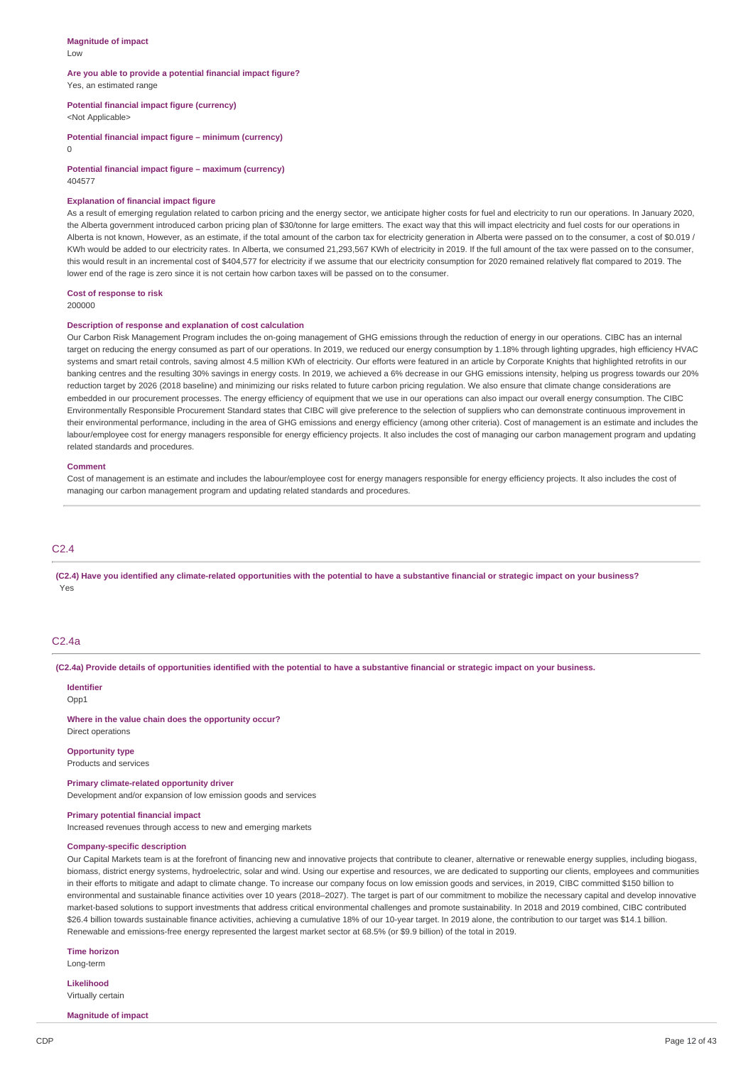#### **Magnitude of impact** Low

**Are you able to provide a potential financial impact figure?** Yes, an estimated range

**Potential financial impact figure (currency)**

<Not Applicable>

**Potential financial impact figure – minimum (currency)**

 $\Omega$ 

**Potential financial impact figure – maximum (currency)** 404577

#### **Explanation of financial impact figure**

As a result of emerging regulation related to carbon pricing and the energy sector, we anticipate higher costs for fuel and electricity to run our operations. In January 2020, the Alberta government introduced carbon pricing plan of \$30/tonne for large emitters. The exact way that this will impact electricity and fuel costs for our operations in Alberta is not known, However, as an estimate, if the total amount of the carbon tax for electricity generation in Alberta were passed on to the consumer, a cost of \$0.019 / KWh would be added to our electricity rates. In Alberta, we consumed 21,293,567 KWh of electricity in 2019. If the full amount of the tax were passed on to the consumer, this would result in an incremental cost of \$404,577 for electricity if we assume that our electricity consumption for 2020 remained relatively flat compared to 2019. The lower end of the rage is zero since it is not certain how carbon taxes will be passed on to the consumer.

#### **Cost of response to risk**

200000

#### **Description of response and explanation of cost calculation**

Our Carbon Risk Management Program includes the on-going management of GHG emissions through the reduction of energy in our operations. CIBC has an internal target on reducing the energy consumed as part of our operations. In 2019, we reduced our energy consumption by 1.18% through lighting upgrades, high efficiency HVAC systems and smart retail controls, saving almost 4.5 million KWh of electricity. Our efforts were featured in an article by Corporate Knights that highlighted retrofits in our banking centres and the resulting 30% savings in energy costs. In 2019, we achieved a 6% decrease in our GHG emissions intensity, helping us progress towards our 20% reduction target by 2026 (2018 baseline) and minimizing our risks related to future carbon pricing regulation. We also ensure that climate change considerations are embedded in our procurement processes. The energy efficiency of equipment that we use in our operations can also impact our overall energy consumption. The CIBC Environmentally Responsible Procurement Standard states that CIBC will give preference to the selection of suppliers who can demonstrate continuous improvement in their environmental performance, including in the area of GHG emissions and energy efficiency (among other criteria). Cost of management is an estimate and includes the labour/employee cost for energy managers responsible for energy efficiency projects. It also includes the cost of managing our carbon management program and updating related standards and procedures.

#### **Comment**

Cost of management is an estimate and includes the labour/employee cost for energy managers responsible for energy efficiency projects. It also includes the cost of managing our carbon management program and updating related standards and procedures.

# $C<sub>2</sub>$  4

(C2.4) Have you identified any climate-related opportunities with the potential to have a substantive financial or strategic impact on your business? Yes

#### C2.4a

(C2.4a) Provide details of opportunities identified with the potential to have a substantive financial or strategic impact on your business.

**Identifier**

Opp<sub>1</sub>

**Where in the value chain does the opportunity occur?** Direct operations

**Opportunity type**

Products and services

**Primary climate-related opportunity driver** Development and/or expansion of low emission goods and services

#### **Primary potential financial impact**

Increased revenues through access to new and emerging markets

#### **Company-specific description**

Our Capital Markets team is at the forefront of financing new and innovative projects that contribute to cleaner, alternative or renewable energy supplies, including biogass, biomass, district energy systems, hydroelectric, solar and wind. Using our expertise and resources, we are dedicated to supporting our clients, employees and communities in their efforts to mitigate and adapt to climate change. To increase our company focus on low emission goods and services, in 2019, CIBC committed \$150 billion to environmental and sustainable finance activities over 10 years (2018–2027). The target is part of our commitment to mobilize the necessary capital and develop innovative market-based solutions to support investments that address critical environmental challenges and promote sustainability. In 2018 and 2019 combined, CIBC contributed \$26.4 billion towards sustainable finance activities, achieving a cumulative 18% of our 10-year target. In 2019 alone, the contribution to our target was \$14.1 billion. Renewable and emissions-free energy represented the largest market sector at 68.5% (or \$9.9 billion) of the total in 2019.

**Time horizon**

Long-term

**Likelihood** Virtually certain

**Magnitude of impact**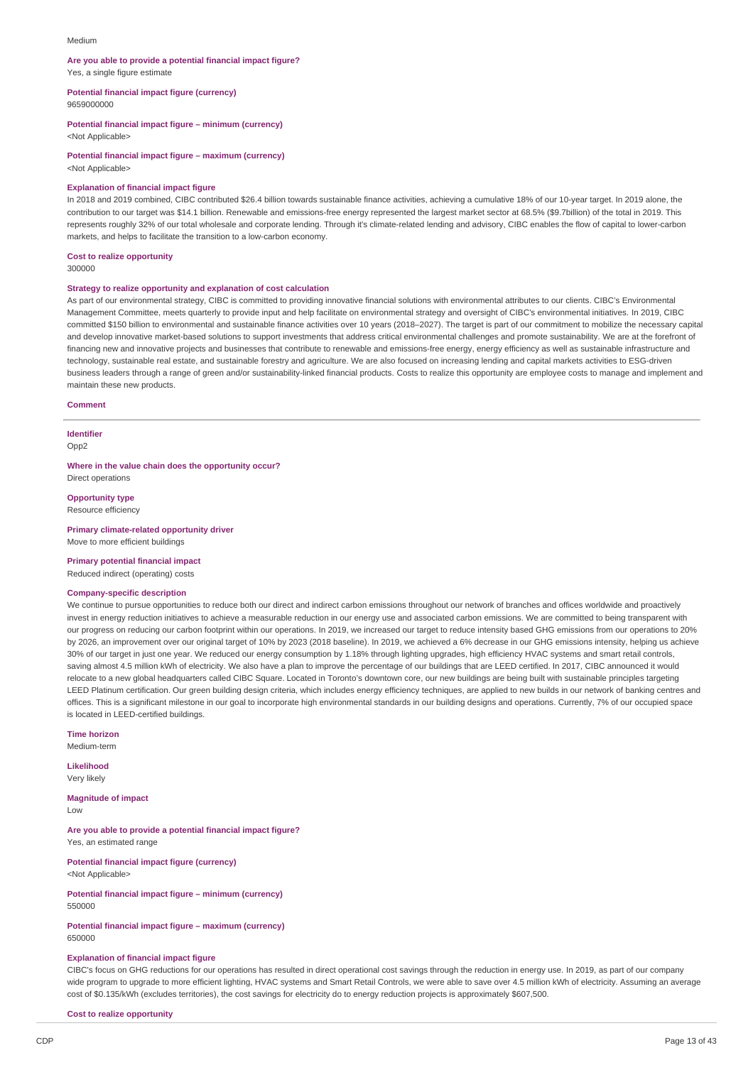#### Medium

#### **Are you able to provide a potential financial impact figure?**

Yes, a single figure estimate

**Potential financial impact figure (currency)**

9659000000

## **Potential financial impact figure – minimum (currency)**

<Not Applicable>

# **Potential financial impact figure – maximum (currency)**

<Not Applicable>

## **Explanation of financial impact figure**

In 2018 and 2019 combined, CIBC contributed \$26.4 billion towards sustainable finance activities, achieving a cumulative 18% of our 10-year target. In 2019 alone, the contribution to our target was \$14.1 billion. Renewable and emissions-free energy represented the largest market sector at 68.5% (\$9.7billion) of the total in 2019. This represents roughly 32% of our total wholesale and corporate lending. Through it's climate-related lending and advisory, CIBC enables the flow of capital to lower-carbon markets, and helps to facilitate the transition to a low-carbon economy.

#### **Cost to realize opportunity**

300000

## **Strategy to realize opportunity and explanation of cost calculation**

As part of our environmental strategy, CIBC is committed to providing innovative financial solutions with environmental attributes to our clients. CIBC's Environmental Management Committee, meets quarterly to provide input and help facilitate on environmental strategy and oversight of CIBC's environmental initiatives. In 2019, CIBC committed \$150 billion to environmental and sustainable finance activities over 10 years (2018–2027). The target is part of our commitment to mobilize the necessary capital and develop innovative market-based solutions to support investments that address critical environmental challenges and promote sustainability. We are at the forefront of financing new and innovative projects and businesses that contribute to renewable and emissions-free energy, energy efficiency as well as sustainable infrastructure and technology, sustainable real estate, and sustainable forestry and agriculture. We are also focused on increasing lending and capital markets activities to ESG-driven business leaders through a range of green and/or sustainability-linked financial products. Costs to realize this opportunity are employee costs to manage and implement and maintain these new products.

#### **Comment**

# **Identifier**

 $Onn2$ 

**Where in the value chain does the opportunity occur?** Direct operations

#### **Opportunity type**

Resource efficiency

**Primary climate-related opportunity driver** Move to more efficient buildings

#### **Primary potential financial impact**

Reduced indirect (operating) costs

#### **Company-specific description**

We continue to pursue opportunities to reduce both our direct and indirect carbon emissions throughout our network of branches and offices worldwide and proactively invest in energy reduction initiatives to achieve a measurable reduction in our energy use and associated carbon emissions. We are committed to being transparent with our progress on reducing our carbon footprint within our operations. In 2019, we increased our target to reduce intensity based GHG emissions from our operations to 20% by 2026, an improvement over our original target of 10% by 2023 (2018 baseline). In 2019, we achieved a 6% decrease in our GHG emissions intensity, helping us achieve 30% of our target in just one year. We reduced our energy consumption by 1.18% through lighting upgrades, high efficiency HVAC systems and smart retail controls, saving almost 4.5 million kWh of electricity. We also have a plan to improve the percentage of our buildings that are LEED certified. In 2017, CIBC announced it would relocate to a new global headquarters called CIBC Square. Located in Toronto's downtown core, our new buildings are being built with sustainable principles targeting LEED Platinum certification. Our green building design criteria, which includes energy efficiency techniques, are applied to new builds in our network of banking centres and offices. This is a significant milestone in our goal to incorporate high environmental standards in our building designs and operations. Currently, 7% of our occupied space is located in LEED-certified buildings.

**Time horizon** Medium-term

**Likelihood** Very likely

**Magnitude of impact** Low

**Are you able to provide a potential financial impact figure?** Yes, an estimated range

**Potential financial impact figure (currency)** <Not Applicable>

**Potential financial impact figure – minimum (currency)** 550000

**Potential financial impact figure – maximum (currency)** 650000

#### **Explanation of financial impact figure**

CIBC's focus on GHG reductions for our operations has resulted in direct operational cost savings through the reduction in energy use. In 2019, as part of our company wide program to upgrade to more efficient lighting, HVAC systems and Smart Retail Controls, we were able to save over 4.5 million kWh of electricity. Assuming an average cost of \$0.135/kWh (excludes territories), the cost savings for electricity do to energy reduction projects is approximately \$607,500.

**Cost to realize opportunity**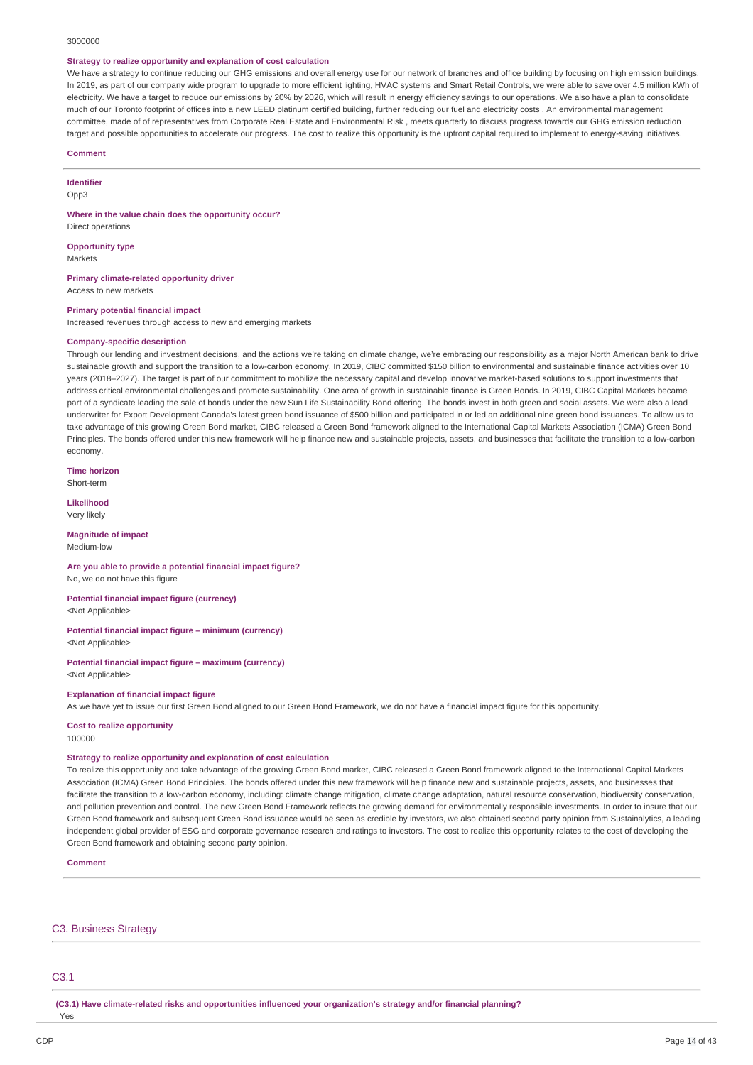#### 3000000

#### **Strategy to realize opportunity and explanation of cost calculation**

We have a strategy to continue reducing our GHG emissions and overall energy use for our network of branches and office building by focusing on high emission buildings. In 2019, as part of our company wide program to upgrade to more efficient lighting, HVAC systems and Smart Retail Controls, we were able to save over 4.5 million kWh of electricity. We have a target to reduce our emissions by 20% by 2026, which will result in energy efficiency savings to our operations. We also have a plan to consolidate much of our Toronto footprint of offices into a new LEED platinum certified building, further reducing our fuel and electricity costs . An environmental management committee, made of of representatives from Corporate Real Estate and Environmental Risk , meets quarterly to discuss progress towards our GHG emission reduction target and possible opportunities to accelerate our progress. The cost to realize this opportunity is the upfront capital required to implement to energy-saving initiatives.

#### **Comment**

**Identifier**

Opp3

**Where in the value chain does the opportunity occur?** Direct operations

**Opportunity type** Markets

**Primary climate-related opportunity driver**

Access to new markets

## **Primary potential financial impact**

Increased revenues through access to new and emerging markets

#### **Company-specific description**

Through our lending and investment decisions, and the actions we're taking on climate change, we're embracing our responsibility as a major North American bank to drive sustainable growth and support the transition to a low-carbon economy. In 2019, CIBC committed \$150 billion to environmental and sustainable finance activities over 10 years (2018–2027). The target is part of our commitment to mobilize the necessary capital and develop innovative market-based solutions to support investments that address critical environmental challenges and promote sustainability. One area of growth in sustainable finance is Green Bonds. In 2019, CIBC Capital Markets became part of a syndicate leading the sale of bonds under the new Sun Life Sustainability Bond offering. The bonds invest in both green and social assets. We were also a lead underwriter for Export Development Canada's latest green bond issuance of \$500 billion and participated in or led an additional nine green bond issuances. To allow us to take advantage of this growing Green Bond market, CIBC released a Green Bond framework aligned to the International Capital Markets Association (ICMA) Green Bond Principles. The bonds offered under this new framework will help finance new and sustainable projects, assets, and businesses that facilitate the transition to a low-carbon economy.

**Time horizon** Short-term

**Likelihood** Very likely

**Magnitude of impact** Medium-low

#### **Are you able to provide a potential financial impact figure?** No, we do not have this figure

**Potential financial impact figure (currency)** <Not Applicable>

**Potential financial impact figure – minimum (currency)** <Not Applicable>

**Potential financial impact figure – maximum (currency)** <Not Applicable>

# **Explanation of financial impact figure**

As we have yet to issue our first Green Bond aligned to our Green Bond Framework, we do not have a financial impact figure for this opportunity.

**Cost to realize opportunity** 100000

#### **Strategy to realize opportunity and explanation of cost calculation**

To realize this opportunity and take advantage of the growing Green Bond market, CIBC released a Green Bond framework aligned to the International Capital Markets Association (ICMA) Green Bond Principles. The bonds offered under this new framework will help finance new and sustainable projects, assets, and businesses that facilitate the transition to a low-carbon economy, including: climate change mitigation, climate change adaptation, natural resource conservation, biodiversity conservation, and pollution prevention and control. The new Green Bond Framework reflects the growing demand for environmentally responsible investments. In order to insure that our Green Bond framework and subsequent Green Bond issuance would be seen as credible by investors, we also obtained second party opinion from Sustainalytics, a leading independent global provider of ESG and corporate governance research and ratings to investors. The cost to realize this opportunity relates to the cost of developing the Green Bond framework and obtaining second party opinion.

**Comment**

#### C3. Business Strategy

# C3.1

**(C3.1) Have climate-related risks and opportunities influenced your organization's strategy and/or financial planning?** Yes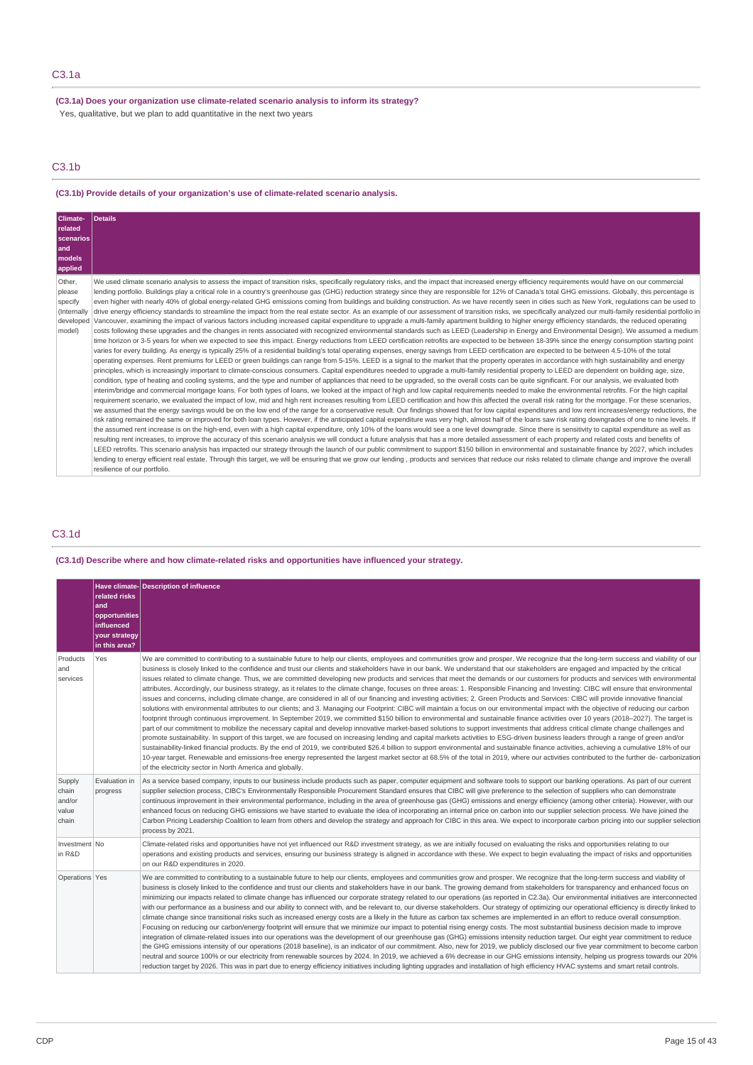**(C3.1a) Does your organization use climate-related scenario analysis to inform its strategy?**

Yes, qualitative, but we plan to add quantitative in the next two years

# C3.1b

# **(C3.1b) Provide details of your organization's use of climate-related scenario analysis.**

| Climate-<br>related<br>scenarios<br>and                           | <b>Details</b>                                                                                                                                                                                                                                                                                                                                                                                                                                                                                                                                                                                                                                                                                                                                                                                                                                                                                                                                                                                                                                                                                                                                                                                                                                                                                                                                                                                                                                                                                                                                                                                                                                                                                                                                                                                                                                                                                                                                                                                                                                                                                                                                                                                                                                                                                                                                                                                                                                                                                                                                                                                                                                                                                                                                                                                                                                                                                                                                                                                                                                                                                                                                                                                                                                                                                                                                                                                                                                                                                                                                                                                                                                                                                                                                                                                                                                                                                                                                                                                           |
|-------------------------------------------------------------------|----------------------------------------------------------------------------------------------------------------------------------------------------------------------------------------------------------------------------------------------------------------------------------------------------------------------------------------------------------------------------------------------------------------------------------------------------------------------------------------------------------------------------------------------------------------------------------------------------------------------------------------------------------------------------------------------------------------------------------------------------------------------------------------------------------------------------------------------------------------------------------------------------------------------------------------------------------------------------------------------------------------------------------------------------------------------------------------------------------------------------------------------------------------------------------------------------------------------------------------------------------------------------------------------------------------------------------------------------------------------------------------------------------------------------------------------------------------------------------------------------------------------------------------------------------------------------------------------------------------------------------------------------------------------------------------------------------------------------------------------------------------------------------------------------------------------------------------------------------------------------------------------------------------------------------------------------------------------------------------------------------------------------------------------------------------------------------------------------------------------------------------------------------------------------------------------------------------------------------------------------------------------------------------------------------------------------------------------------------------------------------------------------------------------------------------------------------------------------------------------------------------------------------------------------------------------------------------------------------------------------------------------------------------------------------------------------------------------------------------------------------------------------------------------------------------------------------------------------------------------------------------------------------------------------------------------------------------------------------------------------------------------------------------------------------------------------------------------------------------------------------------------------------------------------------------------------------------------------------------------------------------------------------------------------------------------------------------------------------------------------------------------------------------------------------------------------------------------------------------------------------------------------------------------------------------------------------------------------------------------------------------------------------------------------------------------------------------------------------------------------------------------------------------------------------------------------------------------------------------------------------------------------------------------------------------------------------------------------------------------------------|
| models<br>applied                                                 |                                                                                                                                                                                                                                                                                                                                                                                                                                                                                                                                                                                                                                                                                                                                                                                                                                                                                                                                                                                                                                                                                                                                                                                                                                                                                                                                                                                                                                                                                                                                                                                                                                                                                                                                                                                                                                                                                                                                                                                                                                                                                                                                                                                                                                                                                                                                                                                                                                                                                                                                                                                                                                                                                                                                                                                                                                                                                                                                                                                                                                                                                                                                                                                                                                                                                                                                                                                                                                                                                                                                                                                                                                                                                                                                                                                                                                                                                                                                                                                                          |
| Other,<br>please<br>specify<br>(Internally<br>developed<br>model) | We used climate scenario analysis to assess the impact of transition risks, specifically requlatory risks, and the impact that increased energy efficiency requirements would have on our commercial<br>lending portfolio. Buildings play a critical role in a country's greenhouse gas (GHG) reduction strategy since they are responsible for 12% of Canada's total GHG emissions. Globally, this percentage is<br>even higher with nearly 40% of global energy-related GHG emissions coming from buildings and building construction. As we have recently seen in cities such as New York, regulations can be used to<br>drive energy efficiency standards to streamline the impact from the real estate sector. As an example of our assessment of transition risks, we specifically analyzed our multi-family residential portfolio in<br>Vancouver, examining the impact of various factors including increased capital expenditure to upgrade a multi-family apartment building to higher energy efficiency standards, the reduced operating<br>costs following these upgrades and the changes in rents associated with recognized environmental standards such as LEED (Leadership in Energy and Environmental Design). We assumed a medium<br>time horizon or 3-5 years for when we expected to see this impact. Energy reductions from LEED certification retrofits are expected to be between 18-39% since the energy consumption starting point<br>varies for every building. As energy is typically 25% of a residential building's total operating expenses, energy savings from LEED certification are expected to be between 4.5-10% of the total<br>operating expenses. Rent premiums for LEED or green buildings can range from 5-15%. LEED is a signal to the market that the property operates in accordance with high sustainability and energy<br>principles, which is increasingly important to climate-conscious consumers. Capital expenditures needed to upgrade a multi-family residential property to LEED are dependent on building age, size,<br>condition, type of heating and cooling systems, and the type and number of appliances that need to be upgraded, so the overall costs can be quite significant. For our analysis, we evaluated both<br>interim/bridge and commercial mortgage loans. For both types of loans, we looked at the impact of high and low capital requirements needed to make the environmental retrofits. For the high capital<br>requirement scenario, we evaluated the impact of low, mid and high rent increases resulting from LEED certification and how this affected the overall risk rating for the mortgage. For these scenarios,<br>we assumed that the energy savings would be on the low end of the range for a conservative result. Our findings showed that for low capital expenditures and low rent increases/energy reductions, the<br>risk rating remained the same or improved for both loan types. However, if the anticipated capital expenditure was very high, almost half of the loans saw risk rating downgrades of one to nine levels. If<br>the assumed rent increase is on the high-end, even with a high capital expenditure, only 10% of the loans would see a one level downgrade. Since there is sensitivity to capital expenditure as well as<br>resulting rent increases, to improve the accuracy of this scenario analysis we will conduct a future analysis that has a more detailed assessment of each property and related costs and benefits of<br>LEED retrofits. This scenario analysis has impacted our strategy through the launch of our public commitment to support \$150 billion in environmental and sustainable finance by 2027, which includes<br>lending to energy efficient real estate. Through this target, we will be ensuring that we grow our lending, products and services that reduce our risks related to climate change and improve the overall<br>resilience of our portfolio. |

# C3.1d

# **(C3.1d) Describe where and how climate-related risks and opportunities have influenced your strategy.**

|                                             | related risks<br>and<br>opportunities<br>influenced<br>your strategy<br>in this area? | Have climate-Description of influence                                                                                                                                                                                                                                                                                                                                                                                                                                                                                                                                                                                                                                                                                                                                                                                                                                                                                                                                                                                                                                                                                                                                                                                                                                                                                                                                                                                                                                                                                                                                                                                                                                                                                                                                                                                                                                                                                                                                                                                                                                                                                                                                            |
|---------------------------------------------|---------------------------------------------------------------------------------------|----------------------------------------------------------------------------------------------------------------------------------------------------------------------------------------------------------------------------------------------------------------------------------------------------------------------------------------------------------------------------------------------------------------------------------------------------------------------------------------------------------------------------------------------------------------------------------------------------------------------------------------------------------------------------------------------------------------------------------------------------------------------------------------------------------------------------------------------------------------------------------------------------------------------------------------------------------------------------------------------------------------------------------------------------------------------------------------------------------------------------------------------------------------------------------------------------------------------------------------------------------------------------------------------------------------------------------------------------------------------------------------------------------------------------------------------------------------------------------------------------------------------------------------------------------------------------------------------------------------------------------------------------------------------------------------------------------------------------------------------------------------------------------------------------------------------------------------------------------------------------------------------------------------------------------------------------------------------------------------------------------------------------------------------------------------------------------------------------------------------------------------------------------------------------------|
| Products<br>and<br>services                 | Yes                                                                                   | We are committed to contributing to a sustainable future to help our clients, employees and communities grow and prosper. We recognize that the long-term success and viability of our<br>business is closely linked to the confidence and trust our clients and stakeholders have in our bank. We understand that our stakeholders are engaged and impacted by the critical<br>issues related to climate change. Thus, we are committed developing new products and services that meet the demands or our customers for products and services with environmental<br>attributes. Accordingly, our business strategy, as it relates to the climate change, focuses on three areas: 1. Responsible Financing and Investing: CIBC will ensure that environmental<br>issues and concerns, including climate change, are considered in all of our financing and investing activities; 2. Green Products and Services: CIBC will provide innovative financial<br>solutions with environmental attributes to our clients; and 3. Managing our Footprint: CIBC will maintain a focus on our environmental impact with the objective of reducing our carbon<br>footprint through continuous improvement. In September 2019, we committed \$150 billion to environmental and sustainable finance activities over 10 years (2018-2027). The target is<br>part of our commitment to mobilize the necessary capital and develop innovative market-based solutions to support investments that address critical climate change challenges and<br>promote sustainability. In support of this target, we are focused on increasing lending and capital markets activities to ESG-driven business leaders through a range of green and/or<br>sustainability-linked financial products. By the end of 2019, we contributed \$26.4 billion to support environmental and sustainable finance activities, achieving a cumulative 18% of our<br>10-year target. Renewable and emissions-free energy represented the largest market sector at 68.5% of the total in 2019, where our activities contributed to the further de- carbonization<br>of the electricity sector in North America and globally. |
| Supply<br>chain<br>and/or<br>value<br>chain | Evaluation in<br>progress                                                             | As a service based company, inputs to our business include products such as paper, computer equipment and software tools to support our banking operations. As part of our current<br>supplier selection process, CIBC's Environmentally Responsible Procurement Standard ensures that CIBC will give preference to the selection of suppliers who can demonstrate<br>continuous improvement in their environmental performance, including in the area of greenhouse gas (GHG) emissions and energy efficiency (among other criteria). However, with our<br>enhanced focus on reducing GHG emissions we have started to evaluate the idea of incorporating an internal price on carbon into our supplier selection process. We have joined the<br>Carbon Pricing Leadership Coalition to learn from others and develop the strategy and approach for CIBC in this area. We expect to incorporate carbon pricing into our supplier selection<br>process by 2021.                                                                                                                                                                                                                                                                                                                                                                                                                                                                                                                                                                                                                                                                                                                                                                                                                                                                                                                                                                                                                                                                                                                                                                                                                  |
| Investment No<br>in R&D                     |                                                                                       | Climate-related risks and opportunities have not yet influenced our R&D investment strategy, as we are initially focused on evaluating the risks and opportunities relating to our<br>operations and existing products and services, ensuring our business strategy is aligned in accordance with these. We expect to begin evaluating the impact of risks and opportunities<br>on our R&D expenditures in 2020.                                                                                                                                                                                                                                                                                                                                                                                                                                                                                                                                                                                                                                                                                                                                                                                                                                                                                                                                                                                                                                                                                                                                                                                                                                                                                                                                                                                                                                                                                                                                                                                                                                                                                                                                                                 |
| Operations Yes                              |                                                                                       | We are committed to contributing to a sustainable future to help our clients, employees and communities grow and prosper. We recognize that the long-term success and viability of<br>business is closely linked to the confidence and trust our clients and stakeholders have in our bank. The growing demand from stakeholders for transparency and enhanced focus on<br>minimizing our impacts related to climate change has influenced our corporate strategy related to our operations (as reported in C2.3a). Our environmental initiatives are interconnected<br>with our performance as a business and our ability to connect with, and be relevant to, our diverse stakeholders. Our strategy of optimizing our operational efficiency is directly linked to<br>climate change since transitional risks such as increased energy costs are a likely in the future as carbon tax schemes are implemented in an effort to reduce overall consumption.<br>Focusing on reducing our carbon/energy footprint will ensure that we minimize our impact to potential rising energy costs. The most substantial business decision made to improve<br>integration of climate-related issues into our operations was the development of our greenhouse gas (GHG) emissions intensity reduction target. Our eight year commitment to reduce<br>the GHG emissions intensity of our operations (2018 baseline), is an indicator of our commitment. Also, new for 2019, we publicly disclosed our five year commitment to become carbon<br>neutral and source 100% or our electricity from renewable sources by 2024. In 2019, we achieved a 6% decrease in our GHG emissions intensity, helping us progress towards our 20%<br>reduction target by 2026. This was in part due to energy efficiency initiatives including lighting upgrades and installation of high efficiency HVAC systems and smart retail controls.                                                                                                                                                                                                                                                                |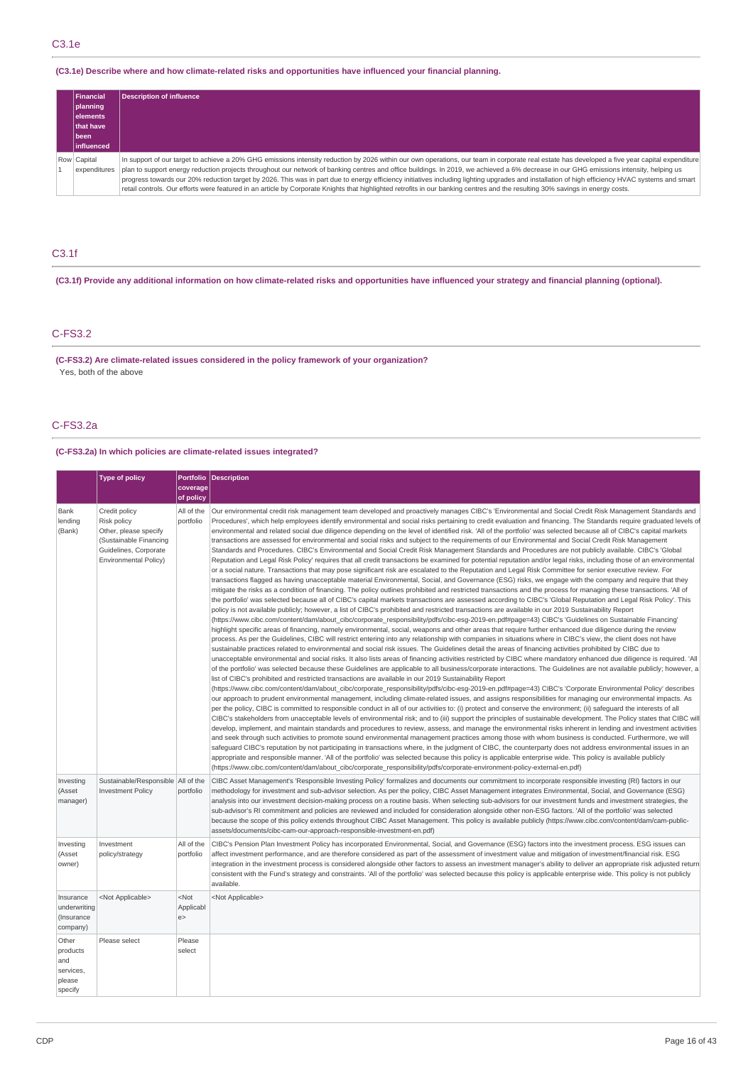**(C3.1e) Describe where and how climate-related risks and opportunities have influenced your financial planning.**

| Financial<br>  planning<br>lelements | <b>Description of influence</b>                                                                                                                                                                                                                                                                                                                                                   |
|--------------------------------------|-----------------------------------------------------------------------------------------------------------------------------------------------------------------------------------------------------------------------------------------------------------------------------------------------------------------------------------------------------------------------------------|
| <b>Ithat have</b>                    |                                                                                                                                                                                                                                                                                                                                                                                   |
| l been                               |                                                                                                                                                                                                                                                                                                                                                                                   |
| <b>linfluenced</b>                   |                                                                                                                                                                                                                                                                                                                                                                                   |
| Row Capital                          | In support of our target to achieve a 20% GHG emissions intensity reduction by 2026 within our own operations, our team in corporate real estate has developed a five year capital expenditure                                                                                                                                                                                    |
| expenditures                         | plan to support energy reduction projects throughout our network of banking centres and office buildings. In 2019, we achieved a 6% decrease in our GHG emissions intensity, helping us                                                                                                                                                                                           |
|                                      | progress towards our 20% reduction target by 2026. This was in part due to energy efficiency initiatives including lighting upgrades and installation of high efficiency HVAC systems and smart<br>retail controls. Our efforts were featured in an article by Corporate Knights that highlighted retrofits in our banking centres and the resulting 30% savings in energy costs. |

# C3.1f

(C3.1f) Provide any additional information on how climate-related risks and opportunities have influenced your strategy and financial planning (optional).

# C-FS3.2

**(C-FS3.2) Are climate-related issues considered in the policy framework of your organization?** Yes, both of the above

# C-FS3.2a

# **(C-FS3.2a) In which policies are climate-related issues integrated?**

|                                                            | <b>Type of policy</b>                                                                                                             | coverage<br>of policy     | Portfolio   Description                                                                                                                                                                                                                                                                                                                                                                                                                                                                                                                                                                                                                                                                                                                                                                                                                                                                                                                                                                                                                                                                                                                                                                                                                                                                                                                                                                                                                                                                                                                                                                                                                                                                                                                                                                                                                                                                                                                                                                                                                                                                                                                                                                                                                                                                                                                                                                                                                                                                                                                                                                                                                                                                                                                                                                                                                                                                                                                                                                                                                                                                                                                                                                                                                                                                                                                                                                                                                                                                                                                                                                                                                                                                                                                                                                                                                                                                                                                                                                                                                                                                                                                                                                                                                                                                                                                                                                             |
|------------------------------------------------------------|-----------------------------------------------------------------------------------------------------------------------------------|---------------------------|-----------------------------------------------------------------------------------------------------------------------------------------------------------------------------------------------------------------------------------------------------------------------------------------------------------------------------------------------------------------------------------------------------------------------------------------------------------------------------------------------------------------------------------------------------------------------------------------------------------------------------------------------------------------------------------------------------------------------------------------------------------------------------------------------------------------------------------------------------------------------------------------------------------------------------------------------------------------------------------------------------------------------------------------------------------------------------------------------------------------------------------------------------------------------------------------------------------------------------------------------------------------------------------------------------------------------------------------------------------------------------------------------------------------------------------------------------------------------------------------------------------------------------------------------------------------------------------------------------------------------------------------------------------------------------------------------------------------------------------------------------------------------------------------------------------------------------------------------------------------------------------------------------------------------------------------------------------------------------------------------------------------------------------------------------------------------------------------------------------------------------------------------------------------------------------------------------------------------------------------------------------------------------------------------------------------------------------------------------------------------------------------------------------------------------------------------------------------------------------------------------------------------------------------------------------------------------------------------------------------------------------------------------------------------------------------------------------------------------------------------------------------------------------------------------------------------------------------------------------------------------------------------------------------------------------------------------------------------------------------------------------------------------------------------------------------------------------------------------------------------------------------------------------------------------------------------------------------------------------------------------------------------------------------------------------------------------------------------------------------------------------------------------------------------------------------------------------------------------------------------------------------------------------------------------------------------------------------------------------------------------------------------------------------------------------------------------------------------------------------------------------------------------------------------------------------------------------------------------------------------------------------------------------------------------------------------------------------------------------------------------------------------------------------------------------------------------------------------------------------------------------------------------------------------------------------------------------------------------------------------------------------------------------------------------------------------------------------------------------------------------------------------------|
| Bank<br>lending<br>(Bank)                                  | Credit policy<br>Risk policy<br>Other, please specify<br>(Sustainable Financing<br>Guidelines, Corporate<br>Environmental Policy) | All of the<br>portfolio   | Our environmental credit risk management team developed and proactively manages CIBC's 'Environmental and Social Credit Risk Management Standards and<br>Procedures', which help employees identify environmental and social risks pertaining to credit evaluation and financing. The Standards require graduated levels of<br>environmental and related social due diligence depending on the level of identified risk. 'All of the portfolio' was selected because all of CIBC's capital markets<br>transactions are assessed for environmental and social risks and subject to the requirements of our Environmental and Social Credit Risk Management<br>Standards and Procedures. CIBC's Environmental and Social Credit Risk Management Standards and Procedures are not publicly available. CIBC's 'Global<br>Reputation and Legal Risk Policy' requires that all credit transactions be examined for potential reputation and/or legal risks, including those of an environmental<br>or a social nature. Transactions that may pose significant risk are escalated to the Reputation and Legal Risk Committee for senior executive review. For<br>transactions flagged as having unacceptable material Environmental, Social, and Governance (ESG) risks, we engage with the company and require that they<br>mitigate the risks as a condition of financing. The policy outlines prohibited and restricted transactions and the process for managing these transactions. 'All of<br>the portfolio' was selected because all of CIBC's capital markets transactions are assessed according to CIBC's 'Global Reputation and Legal Risk Policy'. This<br>policy is not available publicly; however, a list of CIBC's prohibited and restricted transactions are available in our 2019 Sustainability Report<br>(https://www.cibc.com/content/dam/about cibc/corporate responsibility/pdfs/cibc-esq-2019-en.pdf#paqe=43) CIBC's 'Guidelines on Sustainable Financing'<br>highlight specific areas of financing, namely environmental, social, weapons and other areas that require further enhanced due diligence during the review<br>process. As per the Guidelines, CIBC will restrict entering into any relationship with companies in situations where in CIBC's view, the client does not have<br>sustainable practices related to environmental and social risk issues. The Guidelines detail the areas of financing activities prohibited by CIBC due to<br>unacceptable environmental and social risks. It also lists areas of financing activities restricted by CIBC where mandatory enhanced due diligence is required. 'All<br>of the portfolio' was selected because these Guidelines are applicable to all business/corporate interactions. The Guidelines are not available publicly; however, a<br>list of CIBC's prohibited and restricted transactions are available in our 2019 Sustainability Report<br>(https://www.cibc.com/content/dam/about cibc/corporate responsibility/pdfs/cibc-esq-2019-en.pdf#paqe=43) CIBC's 'Corporate Environmental Policy' describes<br>our approach to prudent environmental management, including climate-related issues, and assigns responsibilities for managing our environmental impacts. As<br>per the policy, CIBC is committed to responsible conduct in all of our activities to: (i) protect and conserve the environment; (ii) safequard the interests of all<br>CIBC's stakeholders from unacceptable levels of environmental risk; and to (iii) support the principles of sustainable development. The Policy states that CIBC will<br>develop, implement, and maintain standards and procedures to review, assess, and manage the environmental risks inherent in lending and investment activities<br>and seek through such activities to promote sound environmental management practices among those with whom business is conducted. Furthermore, we will<br>safequard CIBC's reputation by not participating in transactions where, in the judgment of CIBC, the counterparty does not address environmental issues in an<br>appropriate and responsible manner. 'All of the portfolio' was selected because this policy is applicable enterprise wide. This policy is available publicly<br>(https://www.cibc.com/content/dam/about_cibc/corporate_responsibility/pdfs/corporate-environment-policy-external-en.pdf) |
| Investing<br>(Asset<br>manager)                            | Sustainable/Responsible All of the<br><b>Investment Policy</b>                                                                    | portfolio                 | CIBC Asset Management's 'Responsible Investing Policy' formalizes and documents our commitment to incorporate responsible investing (RI) factors in our<br>methodology for investment and sub-advisor selection. As per the policy, CIBC Asset Management integrates Environmental, Social, and Governance (ESG)<br>analysis into our investment decision-making process on a routine basis. When selecting sub-advisors for our investment funds and investment strategies, the<br>sub-advisor's RI commitment and policies are reviewed and included for consideration alongside other non-ESG factors. 'All of the portfolio' was selected<br>because the scope of this policy extends throughout CIBC Asset Management. This policy is available publicly (https://www.cibc.com/content/dam/cam-public-<br>assets/documents/cibc-cam-our-approach-responsible-investment-en.pdf)                                                                                                                                                                                                                                                                                                                                                                                                                                                                                                                                                                                                                                                                                                                                                                                                                                                                                                                                                                                                                                                                                                                                                                                                                                                                                                                                                                                                                                                                                                                                                                                                                                                                                                                                                                                                                                                                                                                                                                                                                                                                                                                                                                                                                                                                                                                                                                                                                                                                                                                                                                                                                                                                                                                                                                                                                                                                                                                                                                                                                                                                                                                                                                                                                                                                                                                                                                                                                                                                                                                |
| Investing<br>(Asset<br>owner)                              | Investment<br>policy/strategy                                                                                                     | All of the<br>portfolio   | CIBC's Pension Plan Investment Policy has incorporated Environmental, Social, and Governance (ESG) factors into the investment process. ESG issues can<br>affect investment performance, and are therefore considered as part of the assessment of investment value and mitigation of investment/financial risk. ESG<br>integration in the investment process is considered alongside other factors to assess an investment manager's ability to deliver an appropriate risk adjusted return<br>consistent with the Fund's strategy and constraints. 'All of the portfolio' was selected because this policy is applicable enterprise wide. This policy is not publicly<br>available.                                                                                                                                                                                                                                                                                                                                                                                                                                                                                                                                                                                                                                                                                                                                                                                                                                                                                                                                                                                                                                                                                                                                                                                                                                                                                                                                                                                                                                                                                                                                                                                                                                                                                                                                                                                                                                                                                                                                                                                                                                                                                                                                                                                                                                                                                                                                                                                                                                                                                                                                                                                                                                                                                                                                                                                                                                                                                                                                                                                                                                                                                                                                                                                                                                                                                                                                                                                                                                                                                                                                                                                                                                                                                                               |
| Insurance<br>underwriting<br>(Insurance<br>company)        | <not applicable=""></not>                                                                                                         | $<$ Not<br>Applicabl<br>e | <not applicable=""></not>                                                                                                                                                                                                                                                                                                                                                                                                                                                                                                                                                                                                                                                                                                                                                                                                                                                                                                                                                                                                                                                                                                                                                                                                                                                                                                                                                                                                                                                                                                                                                                                                                                                                                                                                                                                                                                                                                                                                                                                                                                                                                                                                                                                                                                                                                                                                                                                                                                                                                                                                                                                                                                                                                                                                                                                                                                                                                                                                                                                                                                                                                                                                                                                                                                                                                                                                                                                                                                                                                                                                                                                                                                                                                                                                                                                                                                                                                                                                                                                                                                                                                                                                                                                                                                                                                                                                                                           |
| Other<br>products<br>and<br>services,<br>please<br>specify | Please select                                                                                                                     | Please<br>select          |                                                                                                                                                                                                                                                                                                                                                                                                                                                                                                                                                                                                                                                                                                                                                                                                                                                                                                                                                                                                                                                                                                                                                                                                                                                                                                                                                                                                                                                                                                                                                                                                                                                                                                                                                                                                                                                                                                                                                                                                                                                                                                                                                                                                                                                                                                                                                                                                                                                                                                                                                                                                                                                                                                                                                                                                                                                                                                                                                                                                                                                                                                                                                                                                                                                                                                                                                                                                                                                                                                                                                                                                                                                                                                                                                                                                                                                                                                                                                                                                                                                                                                                                                                                                                                                                                                                                                                                                     |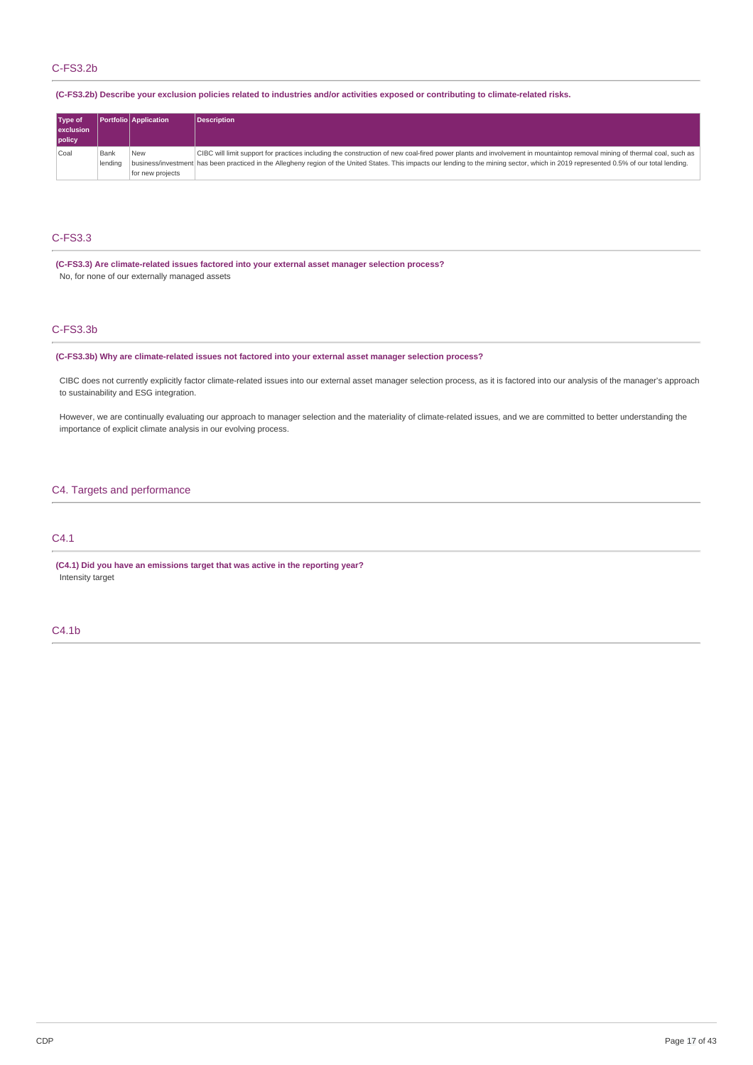# (C-FS3.2b) Describe your exclusion policies related to industries and/or activities exposed or contributing to climate-related risks.

| Type of<br>exclusion<br>policy. |         | <b>Portfolio Application</b> | <b>Description</b>                                                                                                                                                                       |
|---------------------------------|---------|------------------------------|------------------------------------------------------------------------------------------------------------------------------------------------------------------------------------------|
| Coal                            | Bank    | <b>New</b>                   | CIBC will limit support for practices including the construction of new coal-fired power plants and involvement in mountaintop removal mining of thermal coal, such as                   |
|                                 | lendina | for new projects             | business/investment has been practiced in the Allegheny region of the United States. This impacts our lending to the mining sector, which in 2019 represented 0.5% of our total lending. |

## C-FS3.3

**(C-FS3.3) Are climate-related issues factored into your external asset manager selection process?** No, for none of our externally managed assets

# C-FS3.3b

# **(C-FS3.3b) Why are climate-related issues not factored into your external asset manager selection process?**

CIBC does not currently explicitly factor climate-related issues into our external asset manager selection process, as it is factored into our analysis of the manager's approach to sustainability and ESG integration.

However, we are continually evaluating our approach to manager selection and the materiality of climate-related issues, and we are committed to better understanding the importance of explicit climate analysis in our evolving process.

# C4. Targets and performance

# C4.1

**(C4.1) Did you have an emissions target that was active in the reporting year?** Intensity target

# C4.1b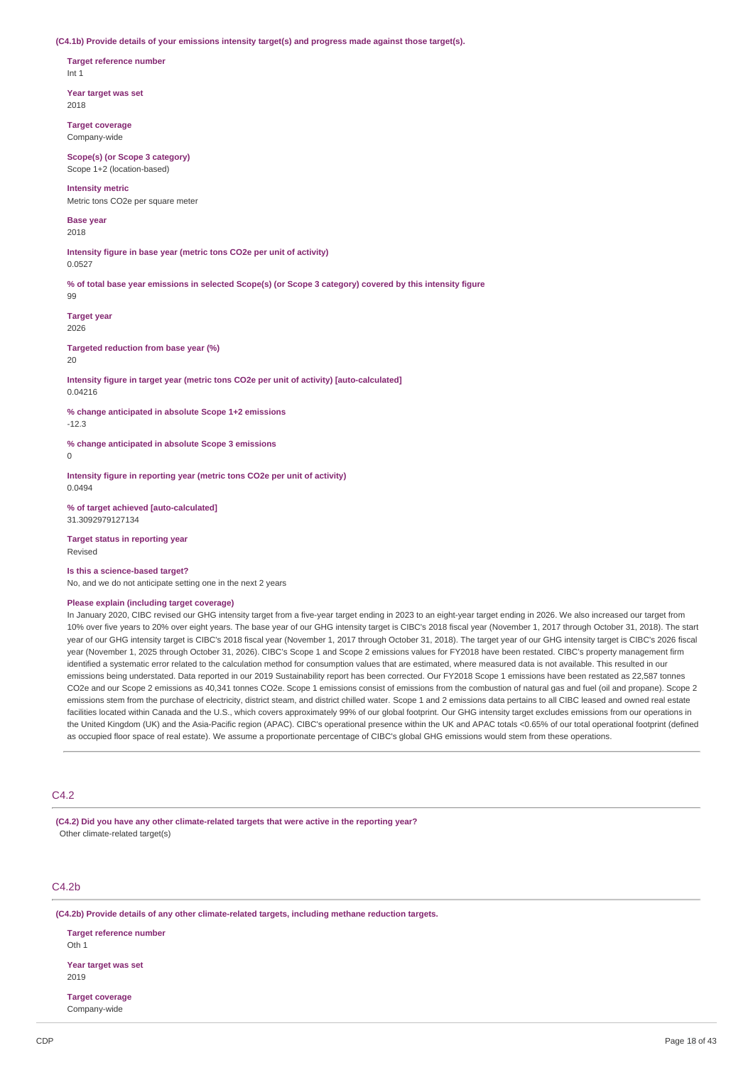**(C4.1b) Provide details of your emissions intensity target(s) and progress made against those target(s).**

**Target reference number** Int 1

**Year target was set** 2018

**Target coverage** Company-wide

**Scope(s) (or Scope 3 category)** Scope 1+2 (location-based)

**Intensity metric** Metric tons CO2e per square meter

**Base year** 2018

**Intensity figure in base year (metric tons CO2e per unit of activity)** 0.0527

% of total base year emissions in selected Scope(s) (or Scope 3 category) covered by this intensity figure 99

**Target year** 2026

**Targeted reduction from base year (%)**

 $20$ 

**Intensity figure in target year (metric tons CO2e per unit of activity) [auto-calculated]** 0.04216

**% change anticipated in absolute Scope 1+2 emissions** -12.3

**% change anticipated in absolute Scope 3 emissions**

 $\Omega$ 

**Intensity figure in reporting year (metric tons CO2e per unit of activity)** 0.0494

**% of target achieved [auto-calculated]** 31.3092979127134

**Target status in reporting year** Revised

**Is this a science-based target?** No, and we do not anticipate setting one in the next 2 years

#### **Please explain (including target coverage)**

In January 2020, CIBC revised our GHG intensity target from a five-year target ending in 2023 to an eight-year target ending in 2026. We also increased our target from 10% over five years to 20% over eight years. The base year of our GHG intensity target is CIBC's 2018 fiscal year (November 1, 2017 through October 31, 2018). The start year of our GHG intensity target is CIBC's 2018 fiscal year (November 1, 2017 through October 31, 2018). The target year of our GHG intensity target is CIBC's 2026 fiscal year (November 1, 2025 through October 31, 2026). CIBC's Scope 1 and Scope 2 emissions values for FY2018 have been restated. CIBC's property management firm identified a systematic error related to the calculation method for consumption values that are estimated, where measured data is not available. This resulted in our emissions being understated. Data reported in our 2019 Sustainability report has been corrected. Our FY2018 Scope 1 emissions have been restated as 22,587 tonnes CO2e and our Scope 2 emissions as 40,341 tonnes CO2e. Scope 1 emissions consist of emissions from the combustion of natural gas and fuel (oil and propane). Scope 2 emissions stem from the purchase of electricity, district steam, and district chilled water. Scope 1 and 2 emissions data pertains to all CIBC leased and owned real estate facilities located within Canada and the U.S., which covers approximately 99% of our global footprint. Our GHG intensity target excludes emissions from our operations in the United Kingdom (UK) and the Asia-Pacific region (APAC). CIBC's operational presence within the UK and APAC totals <0.65% of our total operational footprint (defined as occupied floor space of real estate). We assume a proportionate percentage of CIBC's global GHG emissions would stem from these operations.

# C4.2

**(C4.2) Did you have any other climate-related targets that were active in the reporting year?** Other climate-related target(s)

# $C_4$ .2b

**(C4.2b) Provide details of any other climate-related targets, including methane reduction targets.**

**Target reference number** Oth 1 **Year target was set** 2019

**Target coverage** Company-wide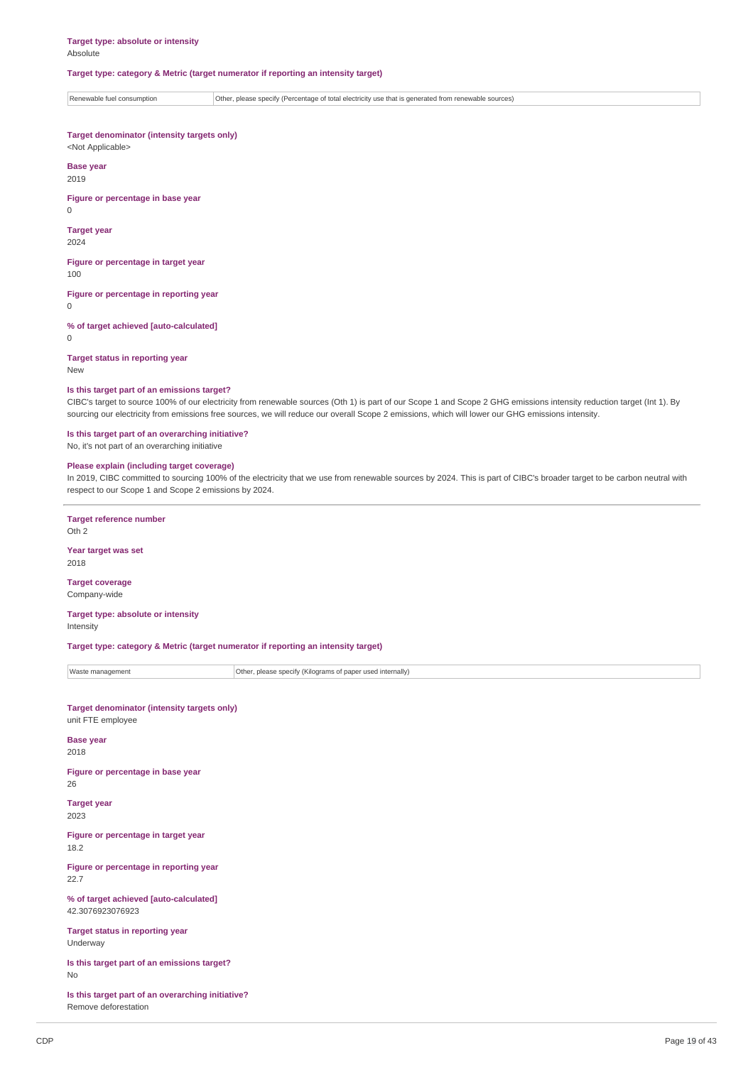#### **Target type: category & Metric (target numerator if reporting an intensity target)**

Renewable fuel consumption  $\qquad$  Other, please specify (Percentage of total electricity use that is generated from renewable sources)

# **Target denominator (intensity targets only)**

<Not Applicable>

**Base year** 2019

**Figure or percentage in base year**

**Target year**

2024

 $\Omega$ 

**Figure or percentage in target year** 100

**Figure or percentage in reporting year** 0

**% of target achieved [auto-calculated]**  $\overline{0}$ 

**Target status in reporting year** New

#### **Is this target part of an emissions target?**

CIBC's target to source 100% of our electricity from renewable sources (Oth 1) is part of our Scope 1 and Scope 2 GHG emissions intensity reduction target (Int 1). By sourcing our electricity from emissions free sources, we will reduce our overall Scope 2 emissions, which will lower our GHG emissions intensity.

# **Is this target part of an overarching initiative?**

No, it's not part of an overarching initiative

# **Please explain (including target coverage)**

In 2019, CIBC committed to sourcing 100% of the electricity that we use from renewable sources by 2024. This is part of CIBC's broader target to be carbon neutral with respect to our Scope 1 and Scope 2 emissions by 2024.

**Target reference number** Oth 2

**Year target was set** 2018

**Target coverage** Company-wide

**Target type: absolute or intensity** Intensity

**Target type: category & Metric (target numerator if reporting an intensity target)**

| . <b>. .</b>                                       |                                                            |
|----------------------------------------------------|------------------------------------------------------------|
| Waste management                                   | Other, please specify (Kilograms of paper used internally) |
|                                                    |                                                            |
| <b>Target denominator (intensity targets only)</b> |                                                            |
| unit FTE employee                                  |                                                            |
| <b>Base year</b>                                   |                                                            |
| 2018                                               |                                                            |
| Figure or percentage in base year                  |                                                            |
| 26                                                 |                                                            |
| <b>Target year</b>                                 |                                                            |
| 2023                                               |                                                            |
| Figure or percentage in target year                |                                                            |
| 18.2                                               |                                                            |
| Figure or percentage in reporting year             |                                                            |
| 22.7                                               |                                                            |
| % of target achieved [auto-calculated]             |                                                            |
| 42.3076923076923                                   |                                                            |
| Target status in reporting year                    |                                                            |
| Underway                                           |                                                            |

**Is this target part of an emissions target?** No

**Is this target part of an overarching initiative?** Remove deforestation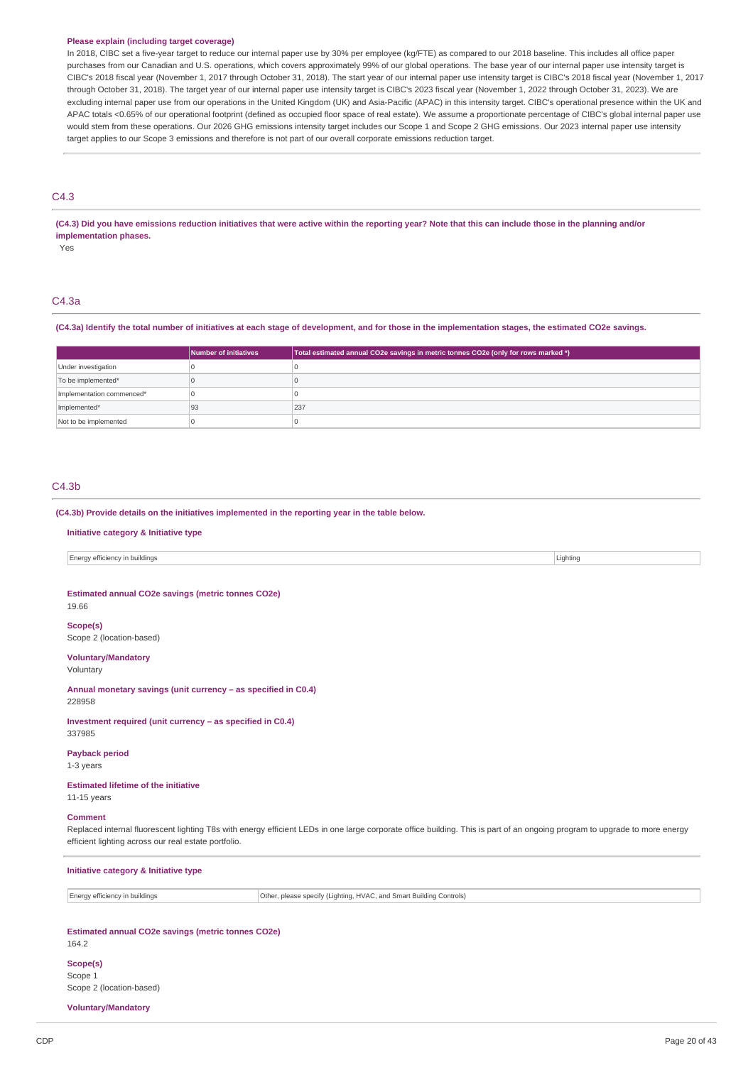#### **Please explain (including target coverage)**

In 2018, CIBC set a five-year target to reduce our internal paper use by 30% per employee (kg/FTE) as compared to our 2018 baseline. This includes all office paper purchases from our Canadian and U.S. operations, which covers approximately 99% of our global operations. The base year of our internal paper use intensity target is CIBC's 2018 fiscal year (November 1, 2017 through October 31, 2018). The start year of our internal paper use intensity target is CIBC's 2018 fiscal year (November 1, 2017 through October 31, 2018). The target year of our internal paper use intensity target is CIBC's 2023 fiscal year (November 1, 2022 through October 31, 2023). We are excluding internal paper use from our operations in the United Kingdom (UK) and Asia-Pacific (APAC) in this intensity target. CIBC's operational presence within the UK and APAC totals <0.65% of our operational footprint (defined as occupied floor space of real estate). We assume a proportionate percentage of CIBC's global internal paper use would stem from these operations. Our 2026 GHG emissions intensity target includes our Scope 1 and Scope 2 GHG emissions. Our 2023 internal paper use intensity target applies to our Scope 3 emissions and therefore is not part of our overall corporate emissions reduction target.

## C4.3

(C4.3) Did you have emissions reduction initiatives that were active within the reporting year? Note that this can include those in the planning and/or **implementation phases.**

Yes

# C4.3a

## (C4.3a) Identify the total number of initiatives at each stage of development, and for those in the implementation stages, the estimated CO2e savings.

|                           | Number of initiatives | Total estimated annual CO2e savings in metric tonnes CO2e (only for rows marked *) |
|---------------------------|-----------------------|------------------------------------------------------------------------------------|
| Under investigation       |                       |                                                                                    |
| To be implemented*        |                       |                                                                                    |
| Implementation commenced* |                       |                                                                                    |
| Implemented*              | 93                    | 237                                                                                |
| Not to be implemented     |                       |                                                                                    |

## C4.3b

**(C4.3b) Provide details on the initiatives implemented in the reporting year in the table below.**

#### **Initiative category & Initiative type**

Energy efficiency in buildings and the contract of the contract of the contract of the contract of the contract of the contract of the contract of the contract of the contract of the contract of the contract of the contrac

#### **Estimated annual CO2e savings (metric tonnes CO2e)**

19.66

## **Scope(s)**

Scope 2 (location-based)

# **Voluntary/Mandatory**

Voluntary

**Annual monetary savings (unit currency – as specified in C0.4)** 228958

**Investment required (unit currency – as specified in C0.4)** 337985

**Payback period**

1-3 years

**Estimated lifetime of the initiative** 11-15 years

#### **Comment**

Replaced internal fluorescent lighting T8s with energy efficient LEDs in one large corporate office building. This is part of an ongoing program to upgrade to more energy efficient lighting across our real estate portfolio.

| Initiative category & Initiative type |                                                                     |  |  |
|---------------------------------------|---------------------------------------------------------------------|--|--|
| Energy efficiency in buildings        | Other, please specify (Lighting, HVAC, and Smart Building Controls) |  |  |

# **Estimated annual CO2e savings (metric tonnes CO2e)**

164.2

**Scope(s)** Scope 1 Scope 2 (location-based)

**Voluntary/Mandatory**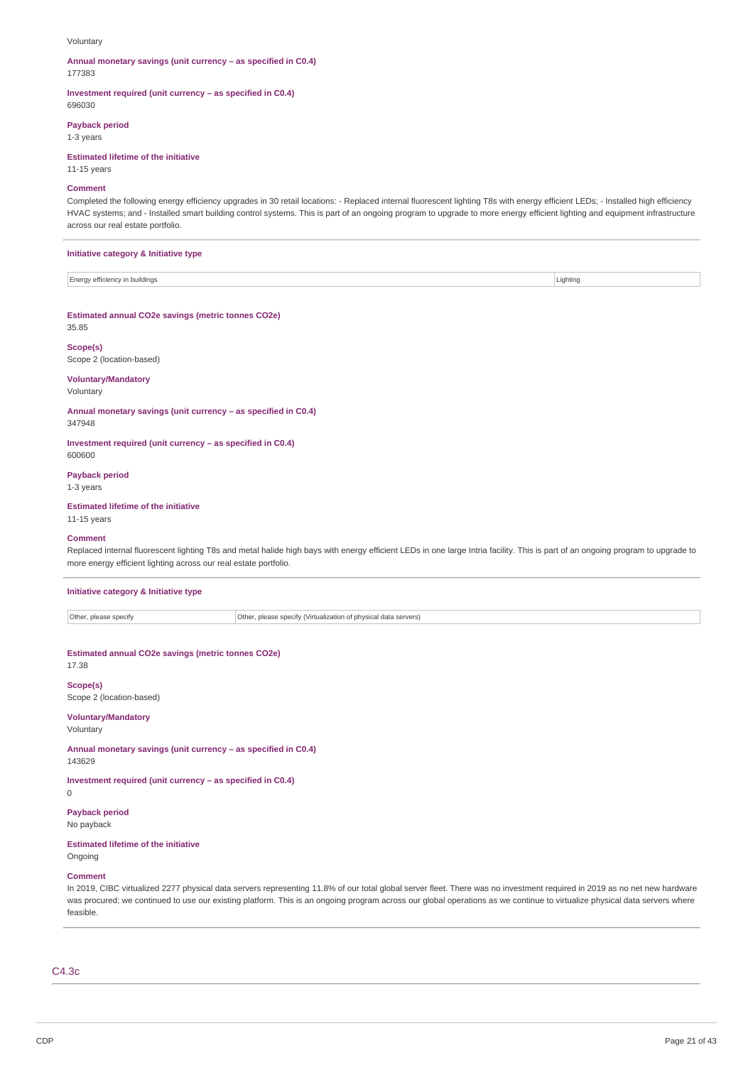#### Voluntary

#### **Annual monetary savings (unit currency – as specified in C0.4)** 177383

**Investment required (unit currency – as specified in C0.4)**

696030

**Payback period** 1-3 years

# **Estimated lifetime of the initiative**

11-15 years

## **Comment**

Completed the following energy efficiency upgrades in 30 retail locations: - Replaced internal fluorescent lighting T8s with energy efficient LEDs; - Installed high efficiency HVAC systems; and - Installed smart building control systems. This is part of an ongoing program to upgrade to more energy efficient lighting and equipment infrastructure across our real estate portfolio.

# **Initiative category & Initiative type**

| -<br>Energy efficiency<br>≅ in buildinαs<br>◡ | ∟ighting |
|-----------------------------------------------|----------|

# **Estimated annual CO2e savings (metric tonnes CO2e)**

35.85 **Scope(s)**

Scope 2 (location-based)

# **Voluntary/Mandatory**

Voluntary

**Annual monetary savings (unit currency – as specified in C0.4)** 347948

**Investment required (unit currency – as specified in C0.4)** 600600

# **Payback period**

1-3 years

# **Estimated lifetime of the initiative**

11-15 years

# **Comment**

Replaced internal fluorescent lighting T8s and metal halide high bays with energy efficient LEDs in one large Intria facility. This is part of an ongoing program to upgrade to more energy efficient lighting across our real estate portfolio.

# **Initiative category & Initiative type**

Other, please specify Other, please specify (Virtualization of physical data servers)

# **Estimated annual CO2e savings (metric tonnes CO2e)**

17.38

#### **Scope(s)** Scope 2 (location-based)

**Voluntary/Mandatory**

#### Voluntary

**Annual monetary savings (unit currency – as specified in C0.4)** 143629

**Investment required (unit currency – as specified in C0.4)**

# $\Omega$

**Payback period**

No payback

# **Estimated lifetime of the initiative**

**Ongoing** 

# **Comment**

In 2019, CIBC virtualized 2277 physical data servers representing 11.8% of our total global server fleet. There was no investment required in 2019 as no net new hardware was procured; we continued to use our existing platform. This is an ongoing program across our global operations as we continue to virtualize physical data servers where feasible.

# C4.3c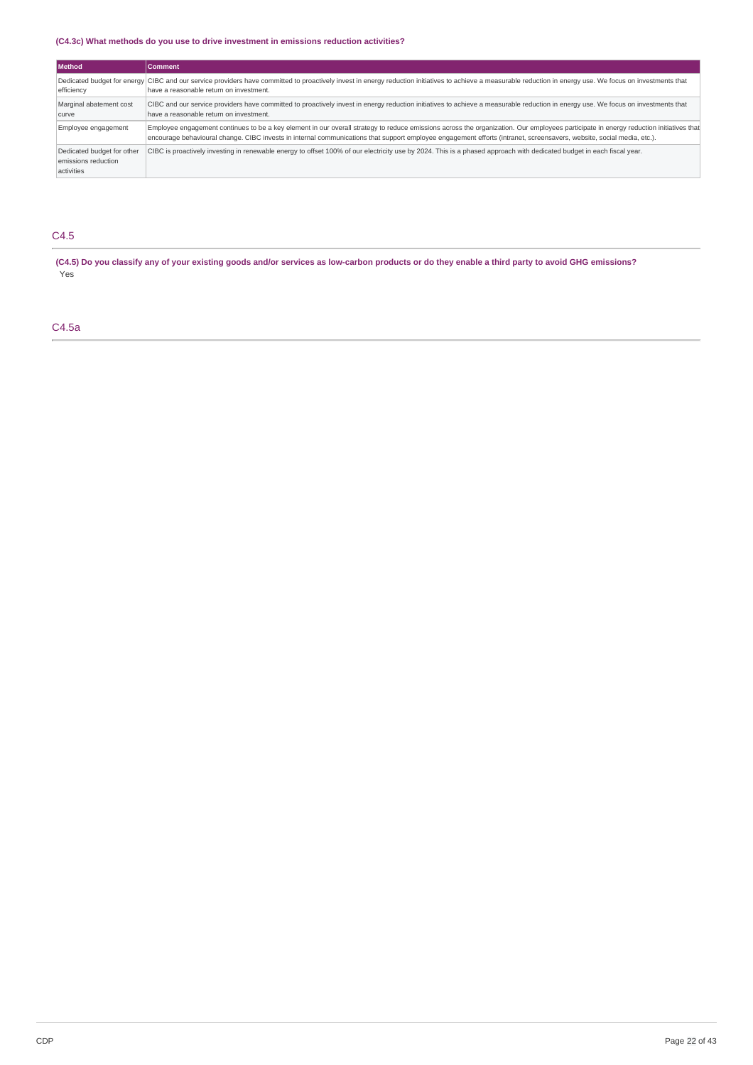# **(C4.3c) What methods do you use to drive investment in emissions reduction activities?**

| l Method                                                        | <b>Comment</b>                                                                                                                                                                                                                                                                                                                                                 |
|-----------------------------------------------------------------|----------------------------------------------------------------------------------------------------------------------------------------------------------------------------------------------------------------------------------------------------------------------------------------------------------------------------------------------------------------|
| efficiency                                                      | Dedicated budget for energy CIBC and our service providers have committed to proactively invest in energy reduction initiatives to achieve a measurable reduction in energy use. We focus on investments that<br>have a reasonable return on investment.                                                                                                       |
| Marginal abatement cost<br>curve                                | CIBC and our service providers have committed to proactively invest in energy reduction initiatives to achieve a measurable reduction in energy use. We focus on investments that<br>have a reasonable return on investment.                                                                                                                                   |
| Employee engagement                                             | Employee engagement continues to be a key element in our overall strategy to reduce emissions across the organization. Our employees participate in energy reduction initiatives that<br>encourage behavioural change. CIBC invests in internal communications that support employee engagement efforts (intranet, screensavers, website, social media, etc.). |
| Dedicated budget for other<br>emissions reduction<br>activities | CIBC is proactively investing in renewable energy to offset 100% of our electricity use by 2024. This is a phased approach with dedicated budget in each fiscal year.                                                                                                                                                                                          |

# C4.5

(C4.5) Do you classify any of your existing goods and/or services as low-carbon products or do they enable a third party to avoid GHG emissions? Yes

# C4.5a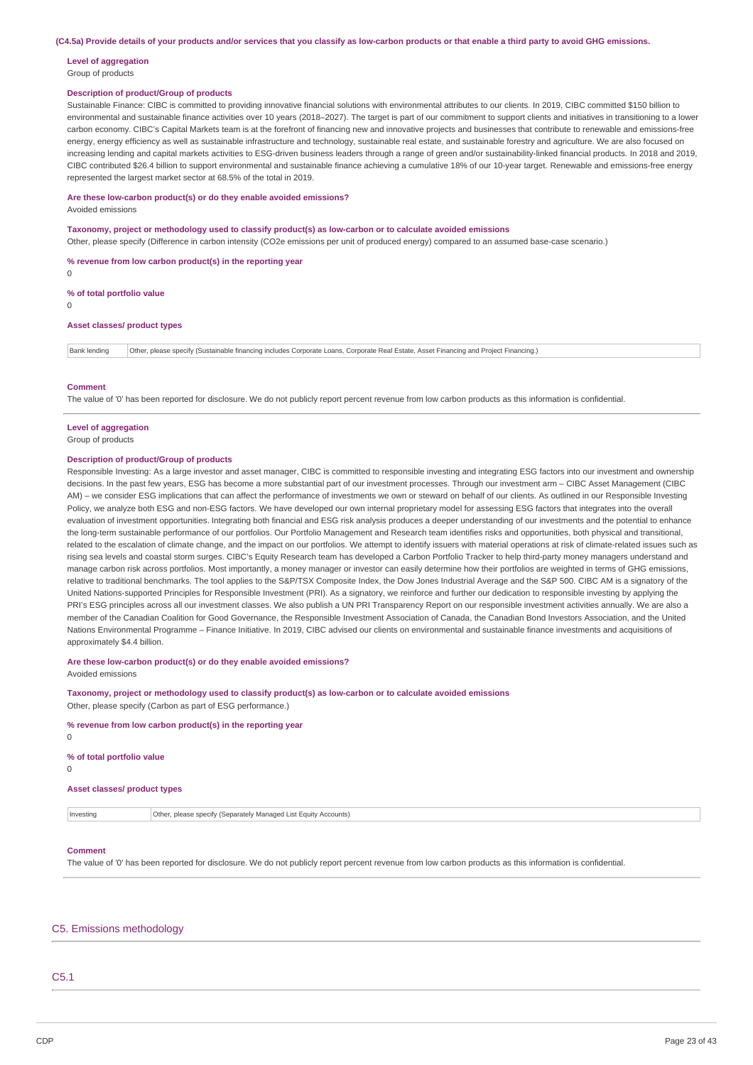#### (C4.5a) Provide details of your products and/or services that you classify as low-carbon products or that enable a third party to avoid GHG emissions.

# **Level of aggregation**

Group of products

# **Description of product/Group of products**

Sustainable Finance: CIBC is committed to providing innovative financial solutions with environmental attributes to our clients. In 2019, CIBC committed \$150 billion to environmental and sustainable finance activities over 10 years (2018–2027). The target is part of our commitment to support clients and initiatives in transitioning to a lower carbon economy. CIBC's Capital Markets team is at the forefront of financing new and innovative projects and businesses that contribute to renewable and emissions-free energy, energy efficiency as well as sustainable infrastructure and technology, sustainable real estate, and sustainable forestry and agriculture. We are also focused on increasing lending and capital markets activities to ESG-driven business leaders through a range of green and/or sustainability-linked financial products. In 2018 and 2019, CIBC contributed \$26.4 billion to support environmental and sustainable finance achieving a cumulative 18% of our 10-year target. Renewable and emissions-free energy represented the largest market sector at 68.5% of the total in 2019.

#### **Are these low-carbon product(s) or do they enable avoided emissions?**

Avoided emissions

**Taxonomy, project or methodology used to classify product(s) as low-carbon or to calculate avoided emissions** Other, please specify (Difference in carbon intensity (CO2e emissions per unit of produced energy) compared to an assumed base-case scenario.)

**% revenue from low carbon product(s) in the reporting year**

 $\Omega$ 

**% of total portfolio value**

 $\Omega$ 

#### **Asset classes/ product types**

Bank lending **Other, please specify (Sustainable financing includes Corporate Loans, Corporate Real Estate, Asset Financing and Project Financing.)** 

#### **Comment**

The value of '0' has been reported for disclosure. We do not publicly report percent revenue from low carbon products as this information is confidential.

# **Level of aggregation**

Group of products

#### **Description of product/Group of products**

Responsible Investing: As a large investor and asset manager, CIBC is committed to responsible investing and integrating ESG factors into our investment and ownership decisions. In the past few years, ESG has become a more substantial part of our investment processes. Through our investment arm – CIBC Asset Management (CIBC AM) – we consider ESG implications that can affect the performance of investments we own or steward on behalf of our clients. As outlined in our Responsible Investing Policy, we analyze both ESG and non-ESG factors. We have developed our own internal proprietary model for assessing ESG factors that integrates into the overall evaluation of investment opportunities. Integrating both financial and ESG risk analysis produces a deeper understanding of our investments and the potential to enhance the long-term sustainable performance of our portfolios. Our Portfolio Management and Research team identifies risks and opportunities, both physical and transitional, related to the escalation of climate change, and the impact on our portfolios. We attempt to identify issuers with material operations at risk of climate-related issues such as rising sea levels and coastal storm surges. CIBC's Equity Research team has developed a Carbon Portfolio Tracker to help third-party money managers understand and manage carbon risk across portfolios. Most importantly, a money manager or investor can easily determine how their portfolios are weighted in terms of GHG emissions, relative to traditional benchmarks. The tool applies to the S&P/TSX Composite Index, the Dow Jones Industrial Average and the S&P 500. CIBC AM is a signatory of the United Nations-supported Principles for Responsible Investment (PRI). As a signatory, we reinforce and further our dedication to responsible investing by applying the PRI's ESG principles across all our investment classes. We also publish a UN PRI Transparency Report on our responsible investment activities annually. We are also a member of the Canadian Coalition for Good Governance, the Responsible Investment Association of Canada, the Canadian Bond Investors Association, and the United Nations Environmental Programme – Finance Initiative. In 2019, CIBC advised our clients on environmental and sustainable finance investments and acquisitions of approximately \$4.4 billion.

#### **Are these low-carbon product(s) or do they enable avoided emissions?**

Avoided emissions

## **Taxonomy, project or methodology used to classify product(s) as low-carbon or to calculate avoided emissions** Other, please specify (Carbon as part of ESG performance.)

| % revenue from low carbon product(s) in the reporting year |  |  |  |
|------------------------------------------------------------|--|--|--|
| $\cap$                                                     |  |  |  |

# **% of total portfolio value**

 $\Omega$ 

#### **Asset classes/ product types**

Investing **Other, please specify (Separately Managed List Equity Accounts)** 

#### **Comment**

The value of '0' has been reported for disclosure. We do not publicly report percent revenue from low carbon products as this information is confidential.

#### C5. Emissions methodology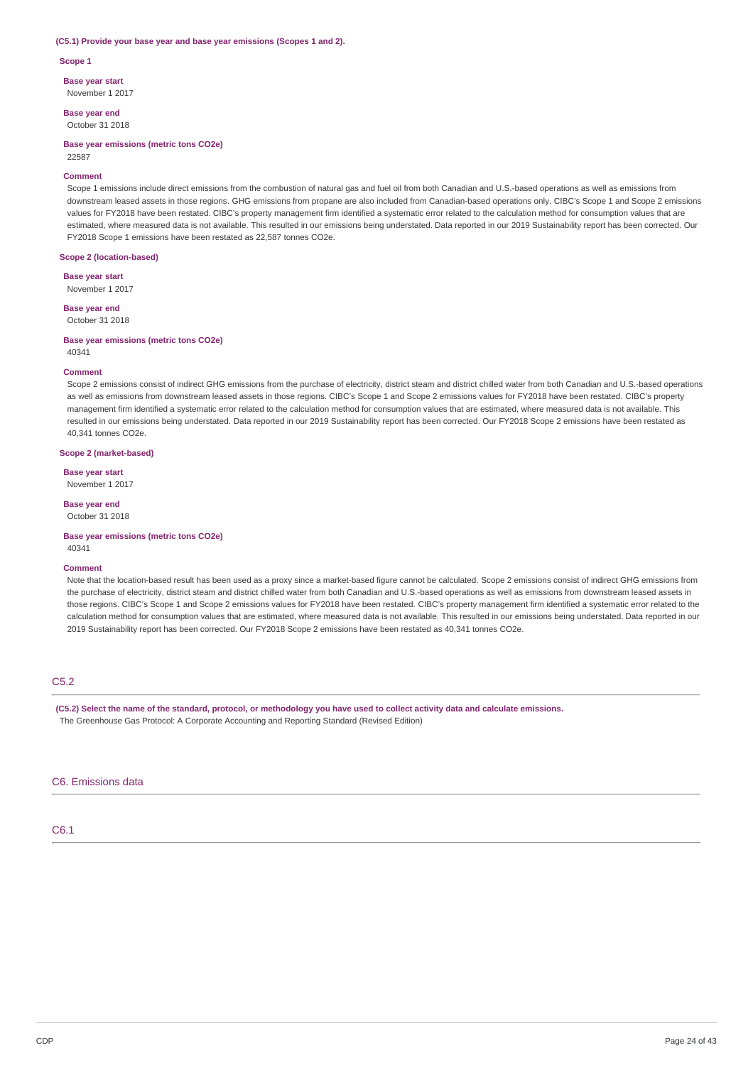#### **(C5.1) Provide your base year and base year emissions (Scopes 1 and 2).**

**Scope 1**

**Base year start**

November 1 2017

**Base year end** October 31 2018

**Base year emissions (metric tons CO2e)** 22587

#### **Comment**

Scope 1 emissions include direct emissions from the combustion of natural gas and fuel oil from both Canadian and U.S.-based operations as well as emissions from downstream leased assets in those regions. GHG emissions from propane are also included from Canadian-based operations only. CIBC's Scope 1 and Scope 2 emissions values for FY2018 have been restated. CIBC's property management firm identified a systematic error related to the calculation method for consumption values that are estimated, where measured data is not available. This resulted in our emissions being understated. Data reported in our 2019 Sustainability report has been corrected. Our FY2018 Scope 1 emissions have been restated as 22,587 tonnes CO2e.

#### **Scope 2 (location-based)**

**Base year start** November 1 2017

**Base year end** October 31 2018

**Base year emissions (metric tons CO2e)** 40341

#### **Comment**

Scope 2 emissions consist of indirect GHG emissions from the purchase of electricity, district steam and district chilled water from both Canadian and U.S.-based operations as well as emissions from downstream leased assets in those regions. CIBC's Scope 1 and Scope 2 emissions values for FY2018 have been restated. CIBC's property management firm identified a systematic error related to the calculation method for consumption values that are estimated, where measured data is not available. This resulted in our emissions being understated. Data reported in our 2019 Sustainability report has been corrected. Our FY2018 Scope 2 emissions have been restated as 40,341 tonnes CO2e.

#### **Scope 2 (market-based)**

**Base year start** November 1 2017

# **Base year end**

October 31 2018

**Base year emissions (metric tons CO2e)** 40341

#### **Comment**

Note that the location-based result has been used as a proxy since a market-based figure cannot be calculated. Scope 2 emissions consist of indirect GHG emissions from the purchase of electricity, district steam and district chilled water from both Canadian and U.S.-based operations as well as emissions from downstream leased assets in those regions. CIBC's Scope 1 and Scope 2 emissions values for FY2018 have been restated. CIBC's property management firm identified a systematic error related to the calculation method for consumption values that are estimated, where measured data is not available. This resulted in our emissions being understated. Data reported in our 2019 Sustainability report has been corrected. Our FY2018 Scope 2 emissions have been restated as 40,341 tonnes CO2e.

# C5.2

(C5.2) Select the name of the standard, protocol, or methodology you have used to collect activity data and calculate emissions. The Greenhouse Gas Protocol: A Corporate Accounting and Reporting Standard (Revised Edition)

# C6. Emissions data

C6.1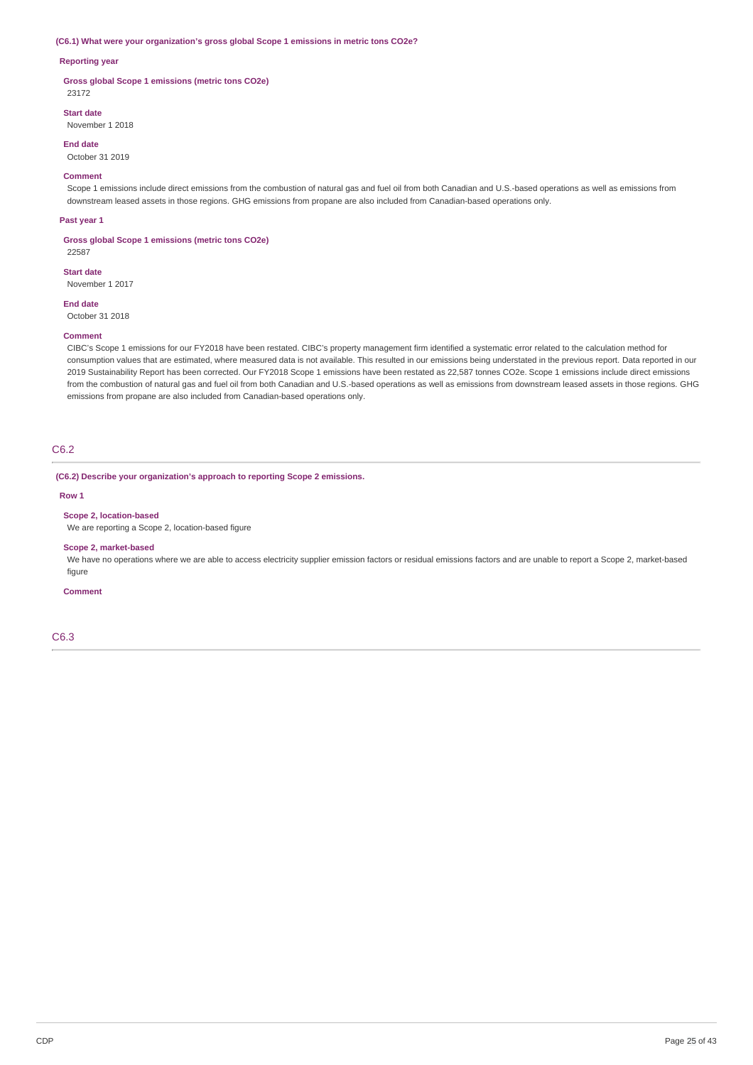#### **(C6.1) What were your organization's gross global Scope 1 emissions in metric tons CO2e?**

#### **Reporting year**

**Gross global Scope 1 emissions (metric tons CO2e)**

# 23172

**Start date** November 1 2018

**End date**

October 31 2019

#### **Comment**

Scope 1 emissions include direct emissions from the combustion of natural gas and fuel oil from both Canadian and U.S.-based operations as well as emissions from downstream leased assets in those regions. GHG emissions from propane are also included from Canadian-based operations only.

#### **Past year 1**

**Gross global Scope 1 emissions (metric tons CO2e)**

# 22587

**Start date** November 1 2017

**End date**

October 31 2018

#### **Comment**

CIBC's Scope 1 emissions for our FY2018 have been restated. CIBC's property management firm identified a systematic error related to the calculation method for consumption values that are estimated, where measured data is not available. This resulted in our emissions being understated in the previous report. Data reported in our 2019 Sustainability Report has been corrected. Our FY2018 Scope 1 emissions have been restated as 22,587 tonnes CO2e. Scope 1 emissions include direct emissions from the combustion of natural gas and fuel oil from both Canadian and U.S.-based operations as well as emissions from downstream leased assets in those regions. GHG emissions from propane are also included from Canadian-based operations only.

# C6.2

# **(C6.2) Describe your organization's approach to reporting Scope 2 emissions.**

#### **Row 1**

#### **Scope 2, location-based**

We are reporting a Scope 2, location-based figure

#### **Scope 2, market-based**

We have no operations where we are able to access electricity supplier emission factors or residual emissions factors and are unable to report a Scope 2, market-based figure

#### **Comment**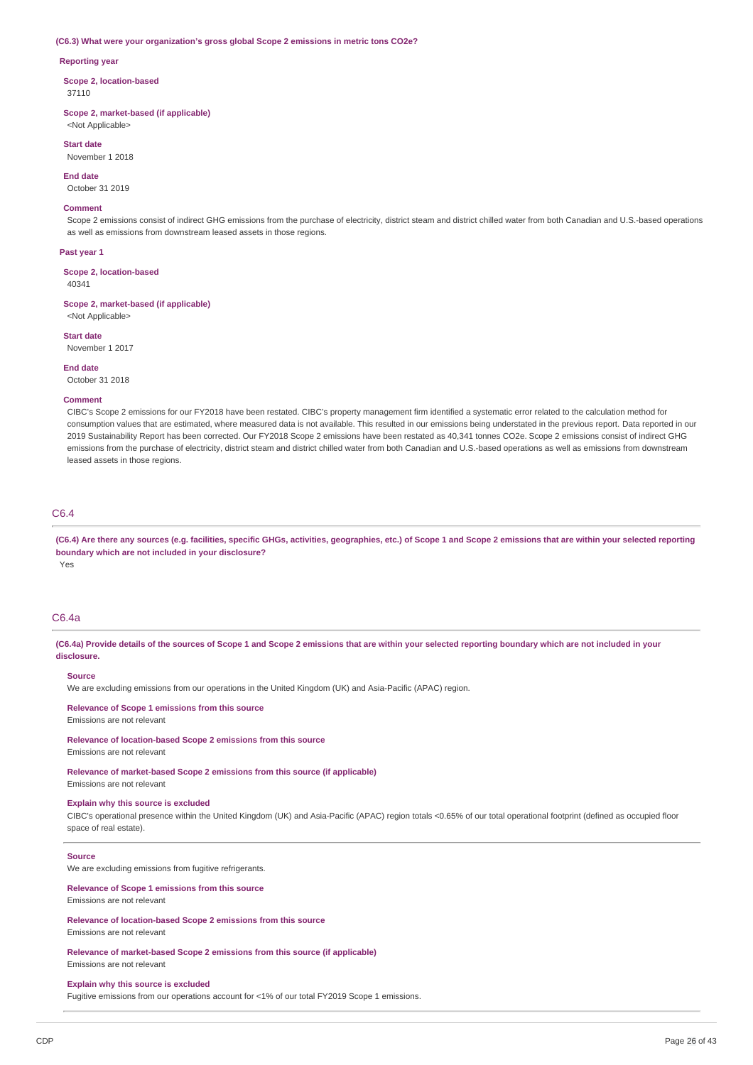#### **(C6.3) What were your organization's gross global Scope 2 emissions in metric tons CO2e?**

#### **Reporting year**

**Scope 2, location-based** 37110

**Scope 2, market-based (if applicable)** <Not Applicable>

**Start date**

November 1 2018

**End date** October 31 2019

# **Comment**

Scope 2 emissions consist of indirect GHG emissions from the purchase of electricity, district steam and district chilled water from both Canadian and U.S.-based operations as well as emissions from downstream leased assets in those regions.

#### **Past year 1**

**Scope 2, location-based** 40341

#### **Scope 2, market-based (if applicable)**

<Not Applicable>

**Start date**

November 1 2017

**End date**

October 31 2018

#### **Comment**

CIBC's Scope 2 emissions for our FY2018 have been restated. CIBC's property management firm identified a systematic error related to the calculation method for consumption values that are estimated, where measured data is not available. This resulted in our emissions being understated in the previous report. Data reported in our 2019 Sustainability Report has been corrected. Our FY2018 Scope 2 emissions have been restated as 40,341 tonnes CO2e. Scope 2 emissions consist of indirect GHG emissions from the purchase of electricity, district steam and district chilled water from both Canadian and U.S.-based operations as well as emissions from downstream leased assets in those regions.

## C6.4

(C6.4) Are there any sources (e.g. facilities, specific GHGs, activities, geographies, etc.) of Scope 1 and Scope 2 emissions that are within your selected reporting **boundary which are not included in your disclosure?** Yes

# C6.4a

(C6.4a) Provide details of the sources of Scope 1 and Scope 2 emissions that are within your selected reporting boundary which are not included in your **disclosure.**

#### **Source**

We are excluding emissions from our operations in the United Kingdom (UK) and Asia-Pacific (APAC) region.

**Relevance of Scope 1 emissions from this source**

Emissions are not relevant

**Relevance of location-based Scope 2 emissions from this source** Emissions are not relevant

**Relevance of market-based Scope 2 emissions from this source (if applicable)**

Emissions are not relevant

# **Explain why this source is excluded**

CIBC's operational presence within the United Kingdom (UK) and Asia-Pacific (APAC) region totals <0.65% of our total operational footprint (defined as occupied floor space of real estate).

#### **Source**

We are excluding emissions from fugitive refrigerants.

**Relevance of Scope 1 emissions from this source**

Emissions are not relevant

**Relevance of location-based Scope 2 emissions from this source** Emissions are not relevant

**Relevance of market-based Scope 2 emissions from this source (if applicable)**

Emissions are not relevant

#### **Explain why this source is excluded**

Fugitive emissions from our operations account for <1% of our total FY2019 Scope 1 emissions.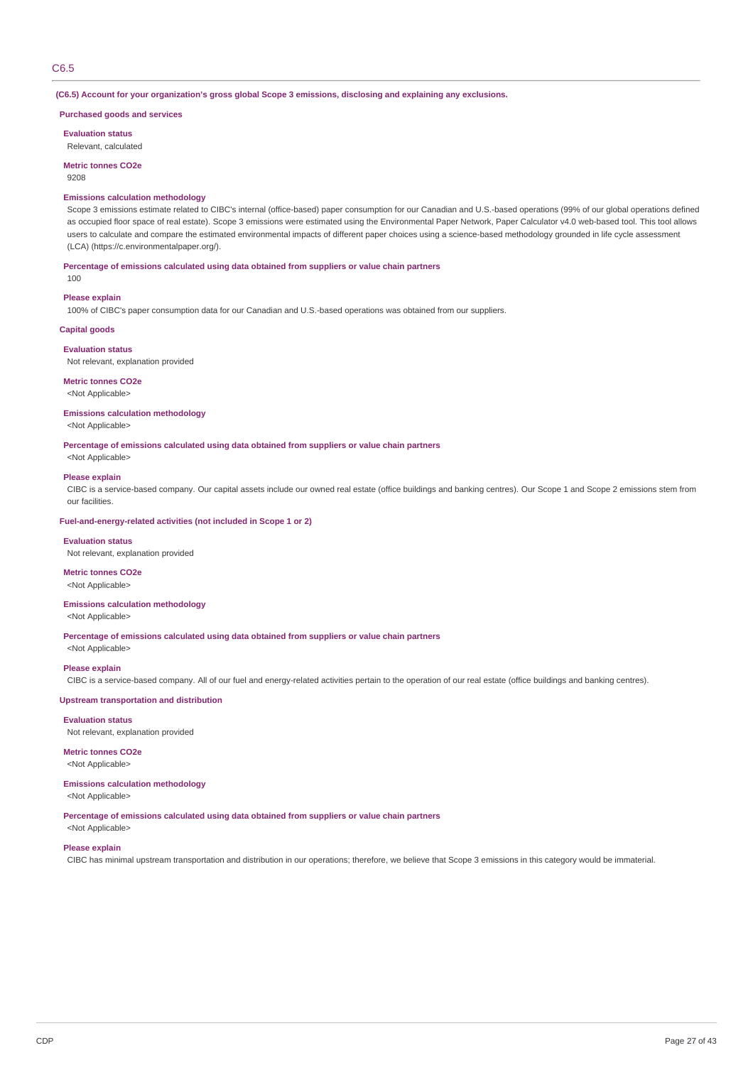# C6.5

**(C6.5) Account for your organization's gross global Scope 3 emissions, disclosing and explaining any exclusions.**

#### **Purchased goods and services**

**Evaluation status**

Relevant, calculated

**Metric tonnes CO2e**

9208

#### **Emissions calculation methodology**

Scope 3 emissions estimate related to CIBC's internal (office-based) paper consumption for our Canadian and U.S.-based operations (99% of our global operations defined as occupied floor space of real estate). Scope 3 emissions were estimated using the Environmental Paper Network, Paper Calculator v4.0 web-based tool. This tool allows users to calculate and compare the estimated environmental impacts of different paper choices using a science-based methodology grounded in life cycle assessment (LCA) (https://c.environmentalpaper.org/).

**Percentage of emissions calculated using data obtained from suppliers or value chain partners**

100

## **Please explain**

100% of CIBC's paper consumption data for our Canadian and U.S.-based operations was obtained from our suppliers.

## **Capital goods**

**Evaluation status**

Not relevant, explanation provided

## **Metric tonnes CO2e**

<Not Applicable>

#### **Emissions calculation methodology**

<Not Applicable>

**Percentage of emissions calculated using data obtained from suppliers or value chain partners**

# <Not Applicable>

#### **Please explain**

CIBC is a service-based company. Our capital assets include our owned real estate (office buildings and banking centres). Our Scope 1 and Scope 2 emissions stem from our facilities.

#### **Fuel-and-energy-related activities (not included in Scope 1 or 2)**

**Evaluation status**

Not relevant, explanation provided

# **Metric tonnes CO2e**

<Not Applicable>

# **Emissions calculation methodology**

<Not Applicable>

**Percentage of emissions calculated using data obtained from suppliers or value chain partners**

<Not Applicable>

#### **Please explain**

CIBC is a service-based company. All of our fuel and energy-related activities pertain to the operation of our real estate (office buildings and banking centres).

#### **Upstream transportation and distribution**

#### **Evaluation status**

Not relevant, explanation provided

#### **Metric tonnes CO2e** <Not Applicable>

## **Emissions calculation methodology** <Not Applicable>

## **Percentage of emissions calculated using data obtained from suppliers or value chain partners**

<Not Applicable>

## **Please explain**

CIBC has minimal upstream transportation and distribution in our operations; therefore, we believe that Scope 3 emissions in this category would be immaterial.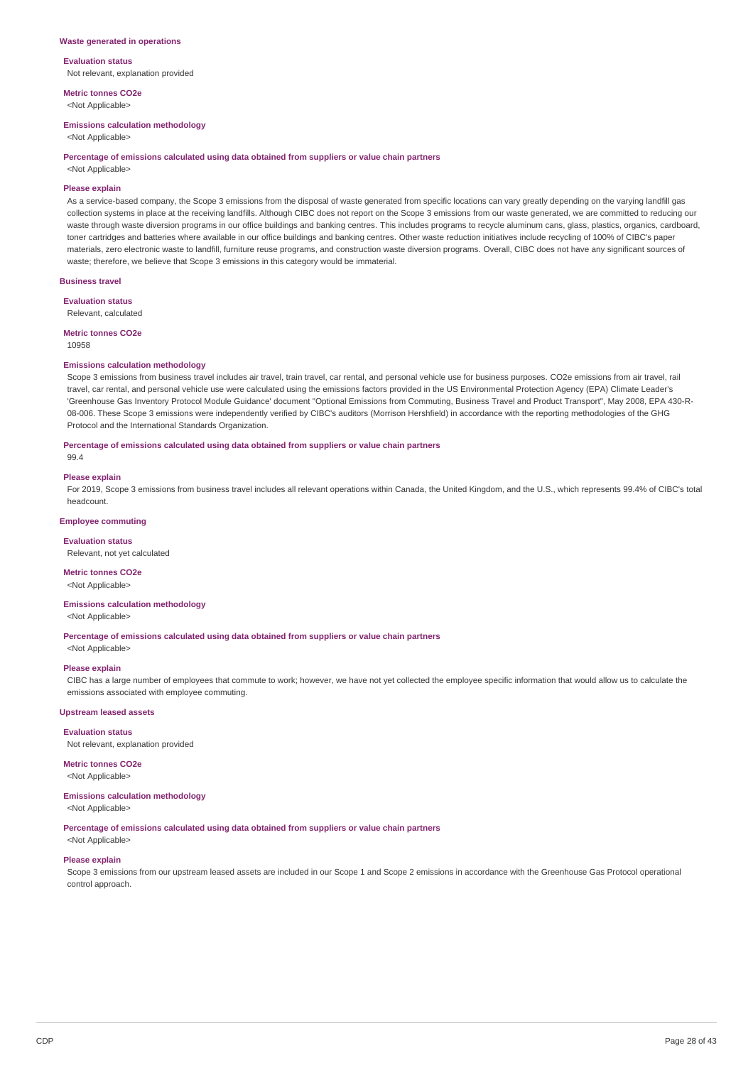#### **Waste generated in operations**

**Evaluation status** Not relevant, explanation provided

**Metric tonnes CO2e** <Not Applicable>

# **Emissions calculation methodology**

<Not Applicable>

#### **Percentage of emissions calculated using data obtained from suppliers or value chain partners**

<Not Applicable>

## **Please explain**

As a service-based company, the Scope 3 emissions from the disposal of waste generated from specific locations can vary greatly depending on the varying landfill gas collection systems in place at the receiving landfills. Although CIBC does not report on the Scope 3 emissions from our waste generated, we are committed to reducing our waste through waste diversion programs in our office buildings and banking centres. This includes programs to recycle aluminum cans, glass, plastics, organics, cardboard, toner cartridges and batteries where available in our office buildings and banking centres. Other waste reduction initiatives include recycling of 100% of CIBC's paper materials, zero electronic waste to landfill, furniture reuse programs, and construction waste diversion programs. Overall, CIBC does not have any significant sources of waste; therefore, we believe that Scope 3 emissions in this category would be immaterial.

#### **Business travel**

**Evaluation status** Relevant, calculated

# **Metric tonnes CO2e**

10958

#### **Emissions calculation methodology**

Scope 3 emissions from business travel includes air travel, train travel, car rental, and personal vehicle use for business purposes. CO2e emissions from air travel, rail travel, car rental, and personal vehicle use were calculated using the emissions factors provided in the US Environmental Protection Agency (EPA) Climate Leader's 'Greenhouse Gas Inventory Protocol Module Guidance' document "Optional Emissions from Commuting, Business Travel and Product Transport", May 2008, EPA 430-R-08-006. These Scope 3 emissions were independently verified by CIBC's auditors (Morrison Hershfield) in accordance with the reporting methodologies of the GHG Protocol and the International Standards Organization.

**Percentage of emissions calculated using data obtained from suppliers or value chain partners**

# **Please explain**

99.4

For 2019, Scope 3 emissions from business travel includes all relevant operations within Canada, the United Kingdom, and the U.S., which represents 99.4% of CIBC's total headcount.

#### **Employee commuting**

**Evaluation status** Relevant, not yet calculated

# **Metric tonnes CO2e**

<Not Applicable>

# **Emissions calculation methodology**

<Not Applicable>

**Percentage of emissions calculated using data obtained from suppliers or value chain partners**

<Not Applicable>

#### **Please explain**

CIBC has a large number of employees that commute to work; however, we have not yet collected the employee specific information that would allow us to calculate the emissions associated with employee commuting.

#### **Upstream leased assets**

#### **Evaluation status**

Not relevant, explanation provided

# **Metric tonnes CO2e**

<Not Applicable>

# **Emissions calculation methodology**

<Not Applicable>

**Percentage of emissions calculated using data obtained from suppliers or value chain partners** <Not Applicable>

#### **Please explain**

Scope 3 emissions from our upstream leased assets are included in our Scope 1 and Scope 2 emissions in accordance with the Greenhouse Gas Protocol operational control approach.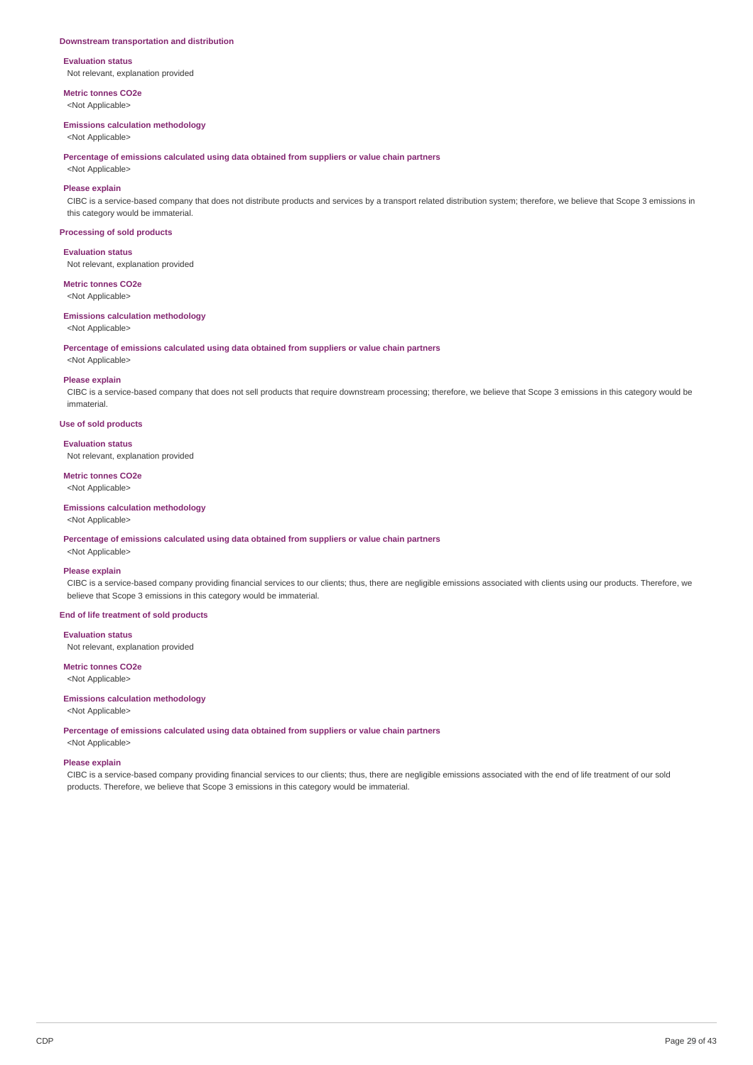#### **Downstream transportation and distribution**

# **Evaluation status**

Not relevant, explanation provided

**Metric tonnes CO2e** <Not Applicable>

#### **Emissions calculation methodology**

<Not Applicable>

**Percentage of emissions calculated using data obtained from suppliers or value chain partners**

# <Not Applicable>

**Please explain** CIBC is a service-based company that does not distribute products and services by a transport related distribution system; therefore, we believe that Scope 3 emissions in this category would be immaterial.

#### **Processing of sold products**

#### **Evaluation status**

Not relevant, explanation provided

## **Metric tonnes CO2e**

<Not Applicable>

## **Emissions calculation methodology**

<Not Applicable>

**Percentage of emissions calculated using data obtained from suppliers or value chain partners**

<Not Applicable>

## **Please explain**

CIBC is a service-based company that does not sell products that require downstream processing; therefore, we believe that Scope 3 emissions in this category would be immaterial.

## **Use of sold products**

#### **Evaluation status**

Not relevant, explanation provided

# **Metric tonnes CO2e**

<Not Applicable>

## **Emissions calculation methodology**

<Not Applicable>

#### **Percentage of emissions calculated using data obtained from suppliers or value chain partners**

# <Not Applicable>

# **Please explain**

CIBC is a service-based company providing financial services to our clients; thus, there are negligible emissions associated with clients using our products. Therefore, we believe that Scope 3 emissions in this category would be immaterial.

## **End of life treatment of sold products**

# **Evaluation status**

Not relevant, explanation provided

# **Metric tonnes CO2e**

<Not Applicable>

# **Emissions calculation methodology**

<Not Applicable>

**Percentage of emissions calculated using data obtained from suppliers or value chain partners**

<Not Applicable>

# **Please explain**

CIBC is a service-based company providing financial services to our clients; thus, there are negligible emissions associated with the end of life treatment of our sold products. Therefore, we believe that Scope 3 emissions in this category would be immaterial.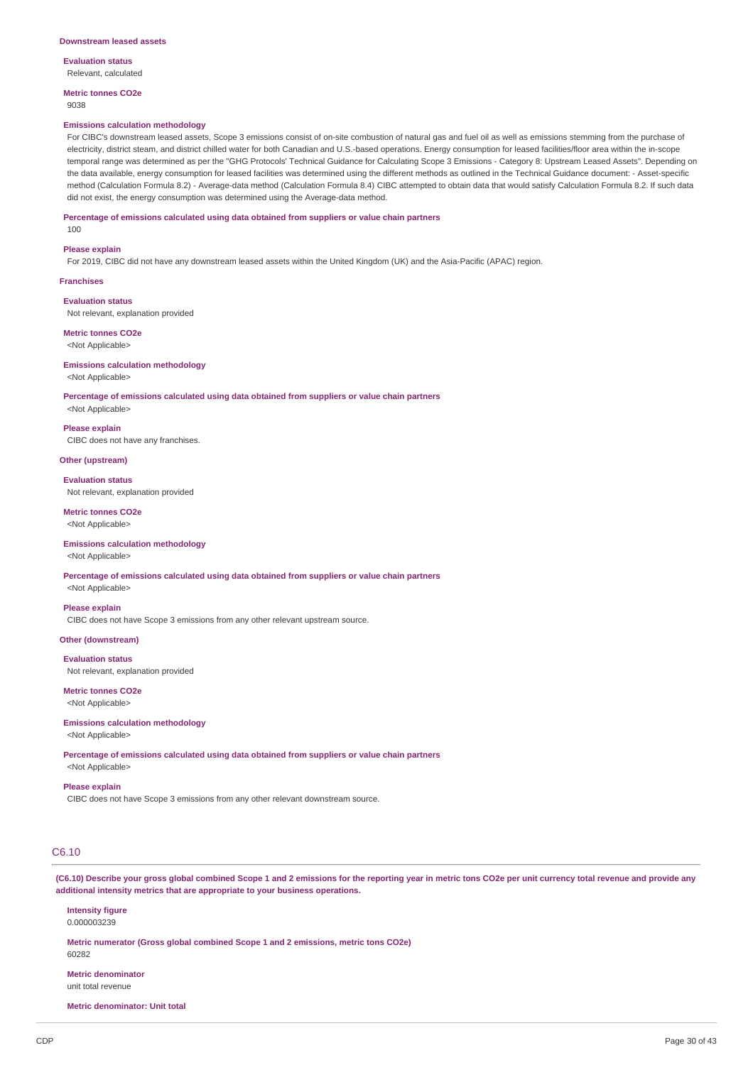**Evaluation status** Relevant, calculated

**Metric tonnes CO2e**

9038

## **Emissions calculation methodology**

For CIBC's downstream leased assets, Scope 3 emissions consist of on-site combustion of natural gas and fuel oil as well as emissions stemming from the purchase of electricity, district steam, and district chilled water for both Canadian and U.S.-based operations. Energy consumption for leased facilities/floor area within the in-scope temporal range was determined as per the "GHG Protocols' Technical Guidance for Calculating Scope 3 Emissions - Category 8: Upstream Leased Assets". Depending on the data available, energy consumption for leased facilities was determined using the different methods as outlined in the Technical Guidance document: - Asset-specific method (Calculation Formula 8.2) - Average-data method (Calculation Formula 8.4) CIBC attempted to obtain data that would satisfy Calculation Formula 8.2. If such data did not exist, the energy consumption was determined using the Average-data method.

#### **Percentage of emissions calculated using data obtained from suppliers or value chain partners**

100

#### **Please explain**

For 2019, CIBC did not have any downstream leased assets within the United Kingdom (UK) and the Asia-Pacific (APAC) region.

#### **Franchises**

**Evaluation status** Not relevant, explanation provided

# **Metric tonnes CO2e**

<Not Applicable>

# **Emissions calculation methodology**

<Not Applicable>

**Percentage of emissions calculated using data obtained from suppliers or value chain partners**

<Not Applicable>

**Please explain** CIBC does not have any franchises.

#### **Other (upstream)**

**Evaluation status** Not relevant, explanation provided

# **Metric tonnes CO2e**

<Not Applicable>

# **Emissions calculation methodology**

<Not Applicable>

**Percentage of emissions calculated using data obtained from suppliers or value chain partners** <Not Applicable>

#### **Please explain**

CIBC does not have Scope 3 emissions from any other relevant upstream source.

#### **Other (downstream)**

**Evaluation status** Not relevant, explanation provided

# **Metric tonnes CO2e**

<Not Applicable>

# **Emissions calculation methodology**

<Not Applicable>

**Percentage of emissions calculated using data obtained from suppliers or value chain partners**

# <Not Applicable>

# **Please explain**

CIBC does not have Scope 3 emissions from any other relevant downstream source.

# C6.10

(C6.10) Describe your gross global combined Scope 1 and 2 emissions for the reporting year in metric tons CO2e per unit currency total revenue and provide any **additional intensity metrics that are appropriate to your business operations.**

**Intensity figure** 0.000003239

**Metric numerator (Gross global combined Scope 1 and 2 emissions, metric tons CO2e)** 60282

**Metric denominator**

unit total revenue

**Metric denominator: Unit total**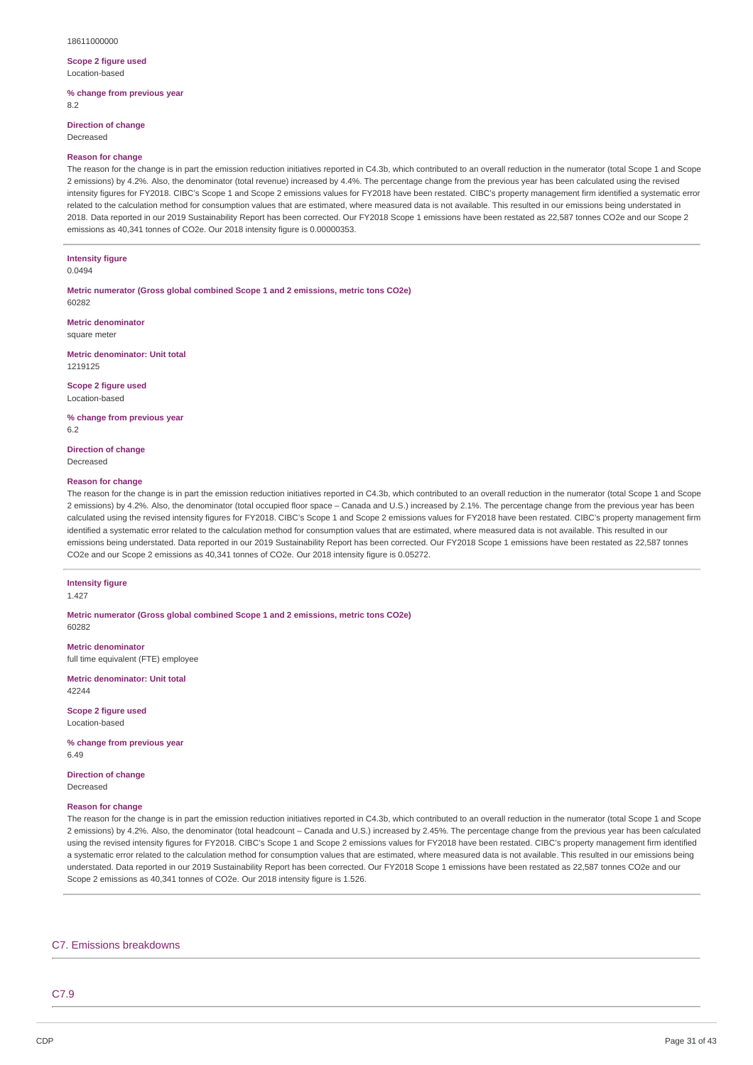#### **Scope 2 figure used** Location-based

**% change from previous year**

8.2

#### **Direction of change**

Decreased

#### **Reason for change**

The reason for the change is in part the emission reduction initiatives reported in C4.3b, which contributed to an overall reduction in the numerator (total Scope 1 and Scope 2 emissions) by 4.2%. Also, the denominator (total revenue) increased by 4.4%. The percentage change from the previous year has been calculated using the revised intensity figures for FY2018. CIBC's Scope 1 and Scope 2 emissions values for FY2018 have been restated. CIBC's property management firm identified a systematic error related to the calculation method for consumption values that are estimated, where measured data is not available. This resulted in our emissions being understated in 2018. Data reported in our 2019 Sustainability Report has been corrected. Our FY2018 Scope 1 emissions have been restated as 22,587 tonnes CO2e and our Scope 2 emissions as 40,341 tonnes of CO2e. Our 2018 intensity figure is 0.00000353.

#### **Intensity figure**

0.0494

**Metric numerator (Gross global combined Scope 1 and 2 emissions, metric tons CO2e)** 60282

**Metric denominator**

square meter

**Metric denominator: Unit total** 1219125

**Scope 2 figure used** Location-based

**% change from previous year** 6.2

**Direction of change** Decreased

#### **Reason for change**

The reason for the change is in part the emission reduction initiatives reported in C4.3b, which contributed to an overall reduction in the numerator (total Scope 1 and Scope 2 emissions) by 4.2%. Also, the denominator (total occupied floor space – Canada and U.S.) increased by 2.1%. The percentage change from the previous year has been calculated using the revised intensity figures for FY2018. CIBC's Scope 1 and Scope 2 emissions values for FY2018 have been restated. CIBC's property management firm identified a systematic error related to the calculation method for consumption values that are estimated, where measured data is not available. This resulted in our emissions being understated. Data reported in our 2019 Sustainability Report has been corrected. Our FY2018 Scope 1 emissions have been restated as 22,587 tonnes CO2e and our Scope 2 emissions as 40,341 tonnes of CO2e. Our 2018 intensity figure is 0.05272.

**Intensity figure** 1.427

**Metric numerator (Gross global combined Scope 1 and 2 emissions, metric tons CO2e)** 60282

**Metric denominator** full time equivalent (FTE) employee

**Metric denominator: Unit total** 42244

**Scope 2 figure used** Location-based

**% change from previous year** 6.49

**Direction of change** Decreased

# **Reason for change**

The reason for the change is in part the emission reduction initiatives reported in C4.3b, which contributed to an overall reduction in the numerator (total Scope 1 and Scope 2 emissions) by 4.2%. Also, the denominator (total headcount – Canada and U.S.) increased by 2.45%. The percentage change from the previous year has been calculated using the revised intensity figures for FY2018. CIBC's Scope 1 and Scope 2 emissions values for FY2018 have been restated. CIBC's property management firm identified a systematic error related to the calculation method for consumption values that are estimated, where measured data is not available. This resulted in our emissions being understated. Data reported in our 2019 Sustainability Report has been corrected. Our FY2018 Scope 1 emissions have been restated as 22,587 tonnes CO2e and our Scope 2 emissions as 40,341 tonnes of CO2e. Our 2018 intensity figure is 1.526.

## C7. Emissions breakdowns

# C7.9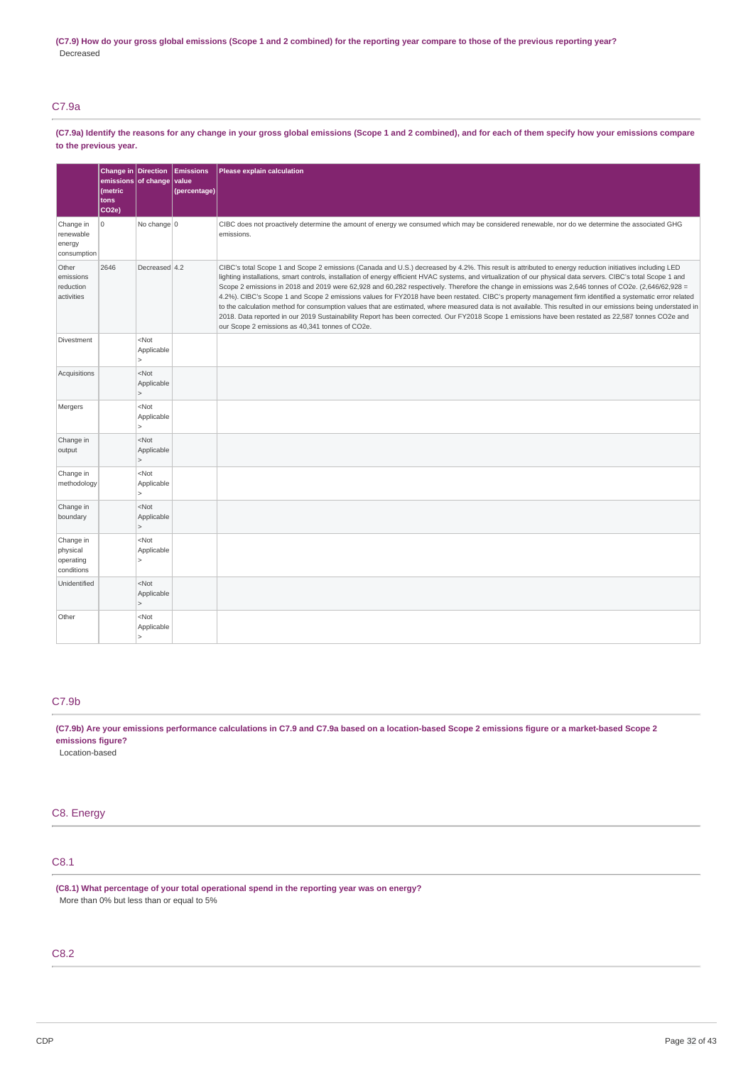(C7.9) How do your gross global emissions (Scope 1 and 2 combined) for the reporting year compare to those of the previous reporting year? Decreased

# C7.9a

**Change in emissions (metric tons CO2e) Direction of change Emiss value** (perce **Please explain calculation** Change in renewable energy consumption  $|0 \rangle$  No change  $|0 \rangle$  CIBC does not proactively determine the amount of energy we consumed which may be considered renewable, nor do we determine the associated GHG emissions. Other emissions reduction activities 2646 Decreased 4.2 CIBC's total Scope 1 and Scope 2 emissions (Canada and U.S.) decreased by 4.2%. This result is attributed to energy reduction initiatives including LED lighting installations, smart controls, installation of energy efficient HVAC systems, and virtualization of our physical data servers. CIBC's total Scope 1 and Scope 2 emissions in 2018 and 2019 were 62,928 and 60,282 respectively. Therefore the change in emissions was 2,646 tonnes of CO2e. (2,646/62,928 = 4.2%). CIBC's Scope 1 and Scope 2 emissions values for FY2018 have been restated. CIBC's property management firm identified a systematic error related to the calculation method for consumption values that are estimated, where measured data is not available. This resulted in our emissions being understated in 2018. Data reported in our 2019 Sustainability Report has been corrected. Our FY2018 Scope 1 emissions have been restated as 22,587 tonnes CO2e and our Scope 2 emissions as 40,341 tonnes of CO2e. Divestment <Not Applicable > Acquisitions  $\vert$  <Not Applicable > Mergers | <Not Applicable > Change in output <Not Applicable > Change in methodology <Not Applicable > Change in boundary <Not Applicable > Change in physical operating conditions <Not Applic > Unidentified <Not Applicable > Other <Not Applicable

(C7.9a) Identify the reasons for any change in your gross global emissions (Scope 1 and 2 combined), and for each of them specify how your emissions compare **to the previous year.**

# C7.9b

(C7.9b) Are your emissions performance calculations in C7.9 and C7.9a based on a location-based Scope 2 emissions figure or a market-based Scope 2 **emissions figure?**

Location-based

>

# C8. Energy

# C8.1

**(C8.1) What percentage of your total operational spend in the reporting year was on energy?** More than 0% but less than or equal to 5%

# C8.2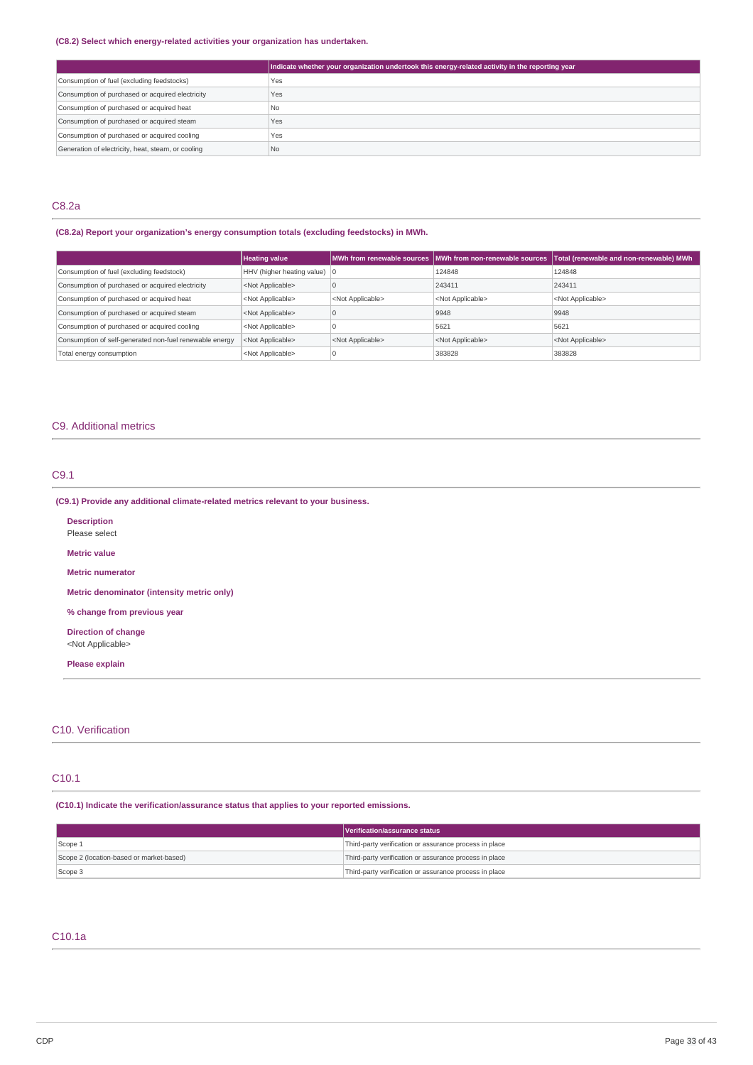# **(C8.2) Select which energy-related activities your organization has undertaken.**

|                                                    | Indicate whether your organization undertook this energy-related activity in the reporting year |
|----------------------------------------------------|-------------------------------------------------------------------------------------------------|
| Consumption of fuel (excluding feedstocks)         | Yes                                                                                             |
| Consumption of purchased or acquired electricity   | Yes                                                                                             |
| Consumption of purchased or acquired heat          | N <sub>o</sub>                                                                                  |
| Consumption of purchased or acquired steam         | Yes                                                                                             |
| Consumption of purchased or acquired cooling       | Yes                                                                                             |
| Generation of electricity, heat, steam, or cooling | N <sub>o</sub>                                                                                  |

# C8.2a

# **(C8.2a) Report your organization's energy consumption totals (excluding feedstocks) in MWh.**

|                                                         | <b>Heating value</b>                   |                           | MWh from renewable sources MWh from non-renewable sources | Total (renewable and non-renewable) MWh |
|---------------------------------------------------------|----------------------------------------|---------------------------|-----------------------------------------------------------|-----------------------------------------|
| Consumption of fuel (excluding feedstock)               | HHV (higher heating value) $ 0\rangle$ |                           | 124848                                                    | 124848                                  |
| Consumption of purchased or acquired electricity        | <not applicable=""></not>              |                           | 243411                                                    | 243411                                  |
| Consumption of purchased or acquired heat               | <not applicable=""></not>              | <not applicable=""></not> | <not applicable=""></not>                                 | <not applicable=""></not>               |
| Consumption of purchased or acquired steam              | <not applicable=""></not>              |                           | 9948                                                      | 9948                                    |
| Consumption of purchased or acquired cooling            | <not applicable=""></not>              |                           | 5621                                                      | 5621                                    |
| Consumption of self-generated non-fuel renewable energy | <not applicable=""></not>              | <not applicable=""></not> | <not applicable=""></not>                                 | <not applicable=""></not>               |
| Total energy consumption                                | <not applicable=""></not>              |                           | 383828                                                    | 383828                                  |

# C9. Additional metrics

# C9.1

# **(C9.1) Provide any additional climate-related metrics relevant to your business.**

| <b>Description</b><br>Please select              |
|--------------------------------------------------|
| Metric value                                     |
| <b>Metric numerator</b>                          |
| Metric denominator (intensity metric only)       |
| % change from previous year                      |
| Direction of change<br><not applicable=""></not> |

**Please explain**

# C10. Verification

# C10.1

# **(C10.1) Indicate the verification/assurance status that applies to your reported emissions.**

|                                          | Verification/assurance status                          |
|------------------------------------------|--------------------------------------------------------|
| Scope 1                                  | Third-party verification or assurance process in place |
| Scope 2 (location-based or market-based) | Third-party verification or assurance process in place |
| Scope 3                                  | Third-party verification or assurance process in place |

# C10.1a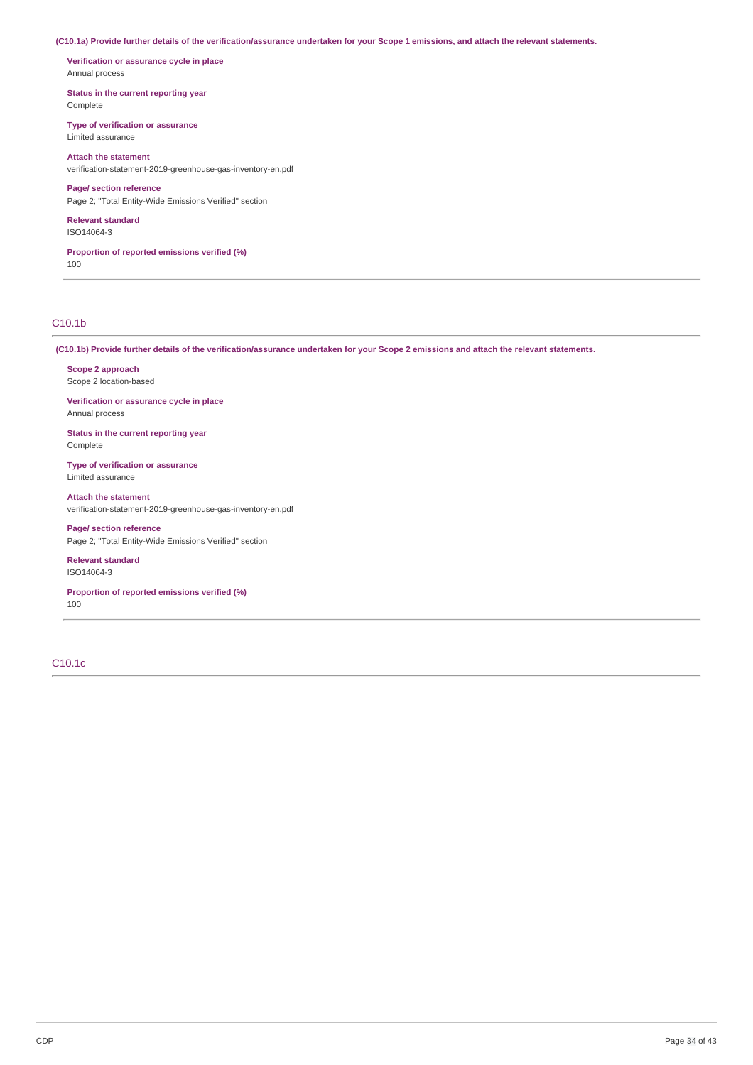(C10.1a) Provide further details of the verification/assurance undertaken for your Scope 1 emissions, and attach the relevant statements.

**Verification or assurance cycle in place** Annual process

**Status in the current reporting year** Complete

**Type of verification or assurance** Limited assurance

**Attach the statement** verification-statement-2019-greenhouse-gas-inventory-en.pdf

**Page/ section reference** Page 2; "Total Entity-Wide Emissions Verified" section

**Relevant standard** ISO14064-3

**Proportion of reported emissions verified (%)** 100

# C10.1b

(C10.1b) Provide further details of the verification/assurance undertaken for your Scope 2 emissions and attach the relevant statements.

**Scope 2 approach** Scope 2 location-based

**Verification or assurance cycle in place** Annual process

**Status in the current reporting year** Complete

**Type of verification or assurance** Limited assurance

**Attach the statement** verification-statement-2019-greenhouse-gas-inventory-en.pdf

**Page/ section reference** Page 2; "Total Entity-Wide Emissions Verified" section

**Relevant standard** ISO14064-3

**Proportion of reported emissions verified (%)** 100

C10.1c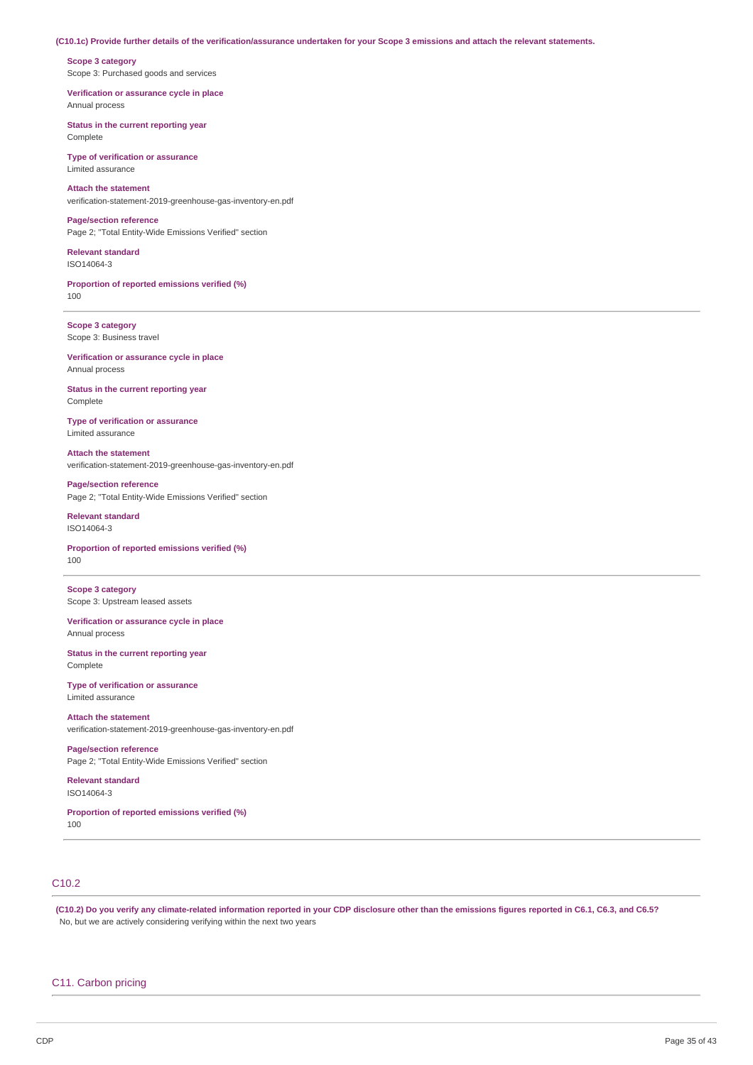#### (C10.1c) Provide further details of the verification/assurance undertaken for your Scope 3 emissions and attach the relevant statements.

**Scope 3 category** Scope 3: Purchased goods and services

**Verification or assurance cycle in place** Annual process

**Status in the current reporting year** Complete

**Type of verification or assurance** Limited assurance

**Attach the statement** verification-statement-2019-greenhouse-gas-inventory-en.pdf

**Page/section reference** Page 2; "Total Entity-Wide Emissions Verified" section

**Relevant standard** ISO14064-3

**Proportion of reported emissions verified (%)** 100

**Scope 3 category** Scope 3: Business travel

**Verification or assurance cycle in place** Annual process

**Status in the current reporting year** Complete

**Type of verification or assurance** Limited assurance

**Attach the statement** verification-statement-2019-greenhouse-gas-inventory-en.pdf

**Page/section reference** Page 2; "Total Entity-Wide Emissions Verified" section

**Relevant standard** ISO14064-3

**Proportion of reported emissions verified (%)** 100

**Scope 3 category** Scope 3: Upstream leased assets

**Verification or assurance cycle in place** Annual process

**Status in the current reporting year** Complete

**Type of verification or assurance** Limited assurance

**Attach the statement** verification-statement-2019-greenhouse-gas-inventory-en.pdf

**Page/section reference** Page 2; "Total Entity-Wide Emissions Verified" section

**Relevant standard** ISO14064-3

**Proportion of reported emissions verified (%)** 100

# C10.2

(C10.2) Do you verify any climate-related information reported in your CDP disclosure other than the emissions figures reported in C6.1, C6.3, and C6.5? No, but we are actively considering verifying within the next two years

#### C11. Carbon pricing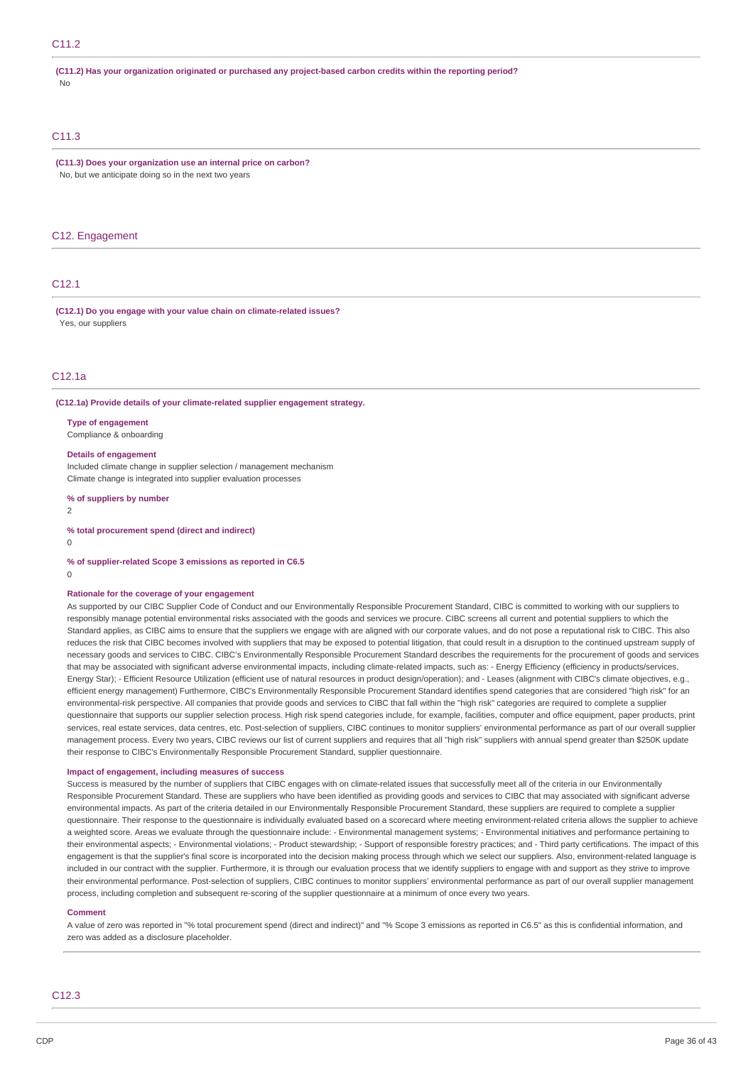# C<sub>11.2</sub>

**(C11.2) Has your organization originated or purchased any project-based carbon credits within the reporting period?** No

# C<sub>11.3</sub>

**(C11.3) Does your organization use an internal price on carbon?** No, but we anticipate doing so in the next two years

#### C12. Engagement

# C<sub>12</sub>.1

**(C12.1) Do you engage with your value chain on climate-related issues?** Yes, our suppliers

## C12.1a

**(C12.1a) Provide details of your climate-related supplier engagement strategy.**

**Type of engagement** Compliance & onboarding

#### **Details of engagement**

Included climate change in supplier selection / management mechanism Climate change is integrated into supplier evaluation processes

#### **% of suppliers by number**

 $\Omega$ 

#### **% total procurement spend (direct and indirect)**

 $\Omega$ 

#### **% of supplier-related Scope 3 emissions as reported in C6.5**

0

### **Rationale for the coverage of your engagement**

As supported by our CIBC Supplier Code of Conduct and our Environmentally Responsible Procurement Standard, CIBC is committed to working with our suppliers to responsibly manage potential environmental risks associated with the goods and services we procure. CIBC screens all current and potential suppliers to which the Standard applies, as CIBC aims to ensure that the suppliers we engage with are aligned with our corporate values, and do not pose a reputational risk to CIBC. This also reduces the risk that CIBC becomes involved with suppliers that may be exposed to potential litigation, that could result in a disruption to the continued upstream supply of necessary goods and services to CIBC. CIBC's Environmentally Responsible Procurement Standard describes the requirements for the procurement of goods and services that may be associated with significant adverse environmental impacts, including climate-related impacts, such as: - Energy Efficiency (efficiency in products/services Energy Star); - Efficient Resource Utilization (efficient use of natural resources in product design/operation); and - Leases (alignment with CIBC's climate objectives, e.g., efficient energy management) Furthermore, CIBC's Environmentally Responsible Procurement Standard identifies spend categories that are considered "high risk" for an environmental-risk perspective. All companies that provide goods and services to CIBC that fall within the "high risk" categories are required to complete a supplier questionnaire that supports our supplier selection process. High risk spend categories include, for example, facilities, computer and office equipment, paper products, print services, real estate services, data centres, etc. Post-selection of suppliers, CIBC continues to monitor suppliers' environmental performance as part of our overall supplier management process. Every two years, CIBC reviews our list of current suppliers and requires that all "high risk" suppliers with annual spend greater than \$250K update their response to CIBC's Environmentally Responsible Procurement Standard, supplier questionnaire.

# **Impact of engagement, including measures of success**

Success is measured by the number of suppliers that CIBC engages with on climate-related issues that successfully meet all of the criteria in our Environmentally Responsible Procurement Standard. These are suppliers who have been identified as providing goods and services to CIBC that may associated with significant adverse environmental impacts. As part of the criteria detailed in our Environmentally Responsible Procurement Standard, these suppliers are required to complete a supplier questionnaire. Their response to the questionnaire is individually evaluated based on a scorecard where meeting environment-related criteria allows the supplier to achieve a weighted score. Areas we evaluate through the questionnaire include: - Environmental management systems; - Environmental initiatives and performance pertaining to their environmental aspects; - Environmental violations; - Product stewardship; - Support of responsible forestry practices; and - Third party certifications. The impact of this engagement is that the supplier's final score is incorporated into the decision making process through which we select our suppliers. Also, environment-related language is included in our contract with the supplier. Furthermore, it is through our evaluation process that we identify suppliers to engage with and support as they strive to improve their environmental performance. Post-selection of suppliers, CIBC continues to monitor suppliers' environmental performance as part of our overall supplier management process, including completion and subsequent re-scoring of the supplier questionnaire at a minimum of once every two years.

#### **Comment**

A value of zero was reported in "% total procurement spend (direct and indirect)" and "% Scope 3 emissions as reported in C6.5" as this is confidential information, and zero was added as a disclosure placeholder.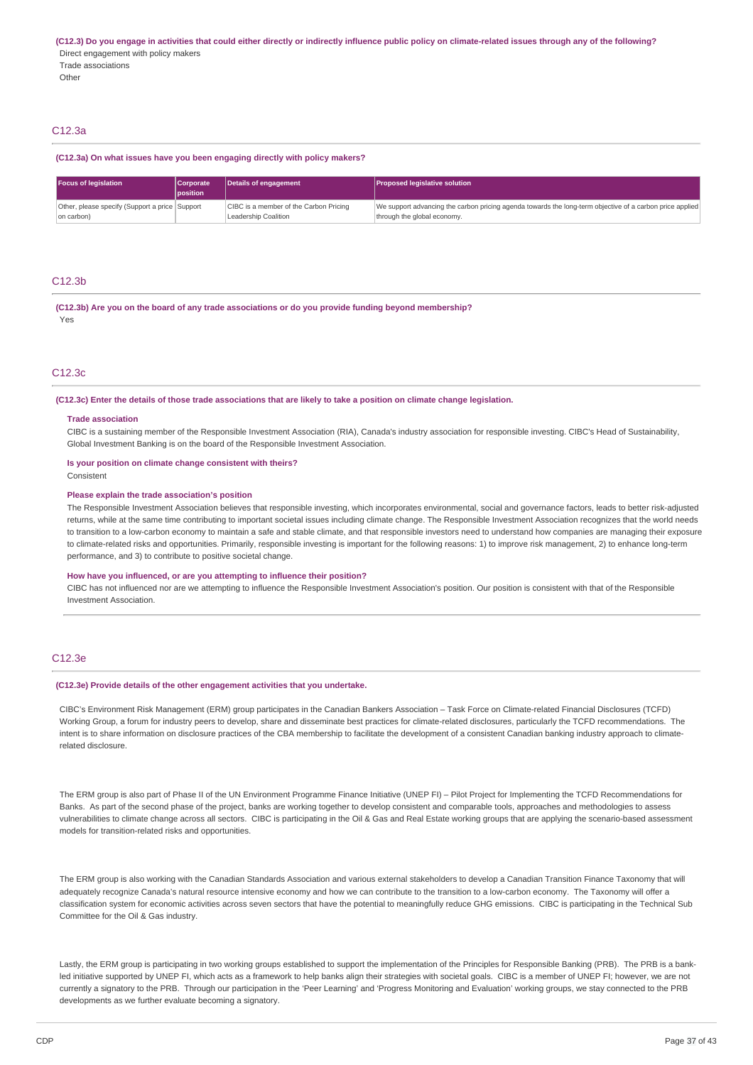(C12.3) Do you engage in activities that could either directly or indirectly influence public policy on climate-related issues through any of the following? Direct engagement with policy makers

Trade associations **Other** 

# C12.3a

#### **(C12.3a) On what issues have you been engaging directly with policy makers?**

| <b>Focus of legislation</b>                    | <b>Corporate</b><br>position | Details of engagement                  | <b>Proposed legislative solution</b>                                                                     |
|------------------------------------------------|------------------------------|----------------------------------------|----------------------------------------------------------------------------------------------------------|
| Other, please specify (Support a price Support |                              | CIBC is a member of the Carbon Pricing | We support advancing the carbon pricing agenda towards the long-term objective of a carbon price applied |
| on carbon)                                     |                              | Leadership Coalition                   | through the global economy.                                                                              |

# C12.3b

**(C12.3b) Are you on the board of any trade associations or do you provide funding beyond membership?** Yes

# C12.3c

(C12.3c) Enter the details of those trade associations that are likely to take a position on climate change legislation.

#### **Trade association**

CIBC is a sustaining member of the Responsible Investment Association (RIA), Canada's industry association for responsible investing. CIBC's Head of Sustainability, Global Investment Banking is on the board of the Responsible Investment Association.

#### **Is your position on climate change consistent with theirs?**

Consistent

#### **Please explain the trade association's position**

The Responsible Investment Association believes that responsible investing, which incorporates environmental, social and governance factors, leads to better risk-adjusted returns, while at the same time contributing to important societal issues including climate change. The Responsible Investment Association recognizes that the world needs to transition to a low-carbon economy to maintain a safe and stable climate, and that responsible investors need to understand how companies are managing their exposure to climate-related risks and opportunities. Primarily, responsible investing is important for the following reasons: 1) to improve risk management, 2) to enhance long-term performance, and 3) to contribute to positive societal change.

#### **How have you influenced, or are you attempting to influence their position?**

CIBC has not influenced nor are we attempting to influence the Responsible Investment Association's position. Our position is consistent with that of the Responsible Investment Association.

# C12.3e

## **(C12.3e) Provide details of the other engagement activities that you undertake.**

CIBC's Environment Risk Management (ERM) group participates in the Canadian Bankers Association – Task Force on Climate-related Financial Disclosures (TCFD) Working Group, a forum for industry peers to develop, share and disseminate best practices for climate-related disclosures, particularly the TCFD recommendations. The intent is to share information on disclosure practices of the CBA membership to facilitate the development of a consistent Canadian banking industry approach to climaterelated disclosure.

The ERM group is also part of Phase II of the UN Environment Programme Finance Initiative (UNEP FI) – Pilot Project for Implementing the TCFD Recommendations for Banks. As part of the second phase of the project, banks are working together to develop consistent and comparable tools, approaches and methodologies to assess vulnerabilities to climate change across all sectors. CIBC is participating in the Oil & Gas and Real Estate working groups that are applying the scenario-based assessment models for transition-related risks and opportunities.

The ERM group is also working with the Canadian Standards Association and various external stakeholders to develop a Canadian Transition Finance Taxonomy that will adequately recognize Canada's natural resource intensive economy and how we can contribute to the transition to a low-carbon economy. The Taxonomy will offer a classification system for economic activities across seven sectors that have the potential to meaningfully reduce GHG emissions. CIBC is participating in the Technical Sub Committee for the Oil & Gas industry.

Lastly, the ERM group is participating in two working groups established to support the implementation of the Principles for Responsible Banking (PRB). The PRB is a bankled initiative supported by UNEP FI, which acts as a framework to help banks align their strategies with societal goals. CIBC is a member of UNEP FI; however, we are not currently a signatory to the PRB. Through our participation in the 'Peer Learning' and 'Progress Monitoring and Evaluation' working groups, we stay connected to the PRB developments as we further evaluate becoming a signatory.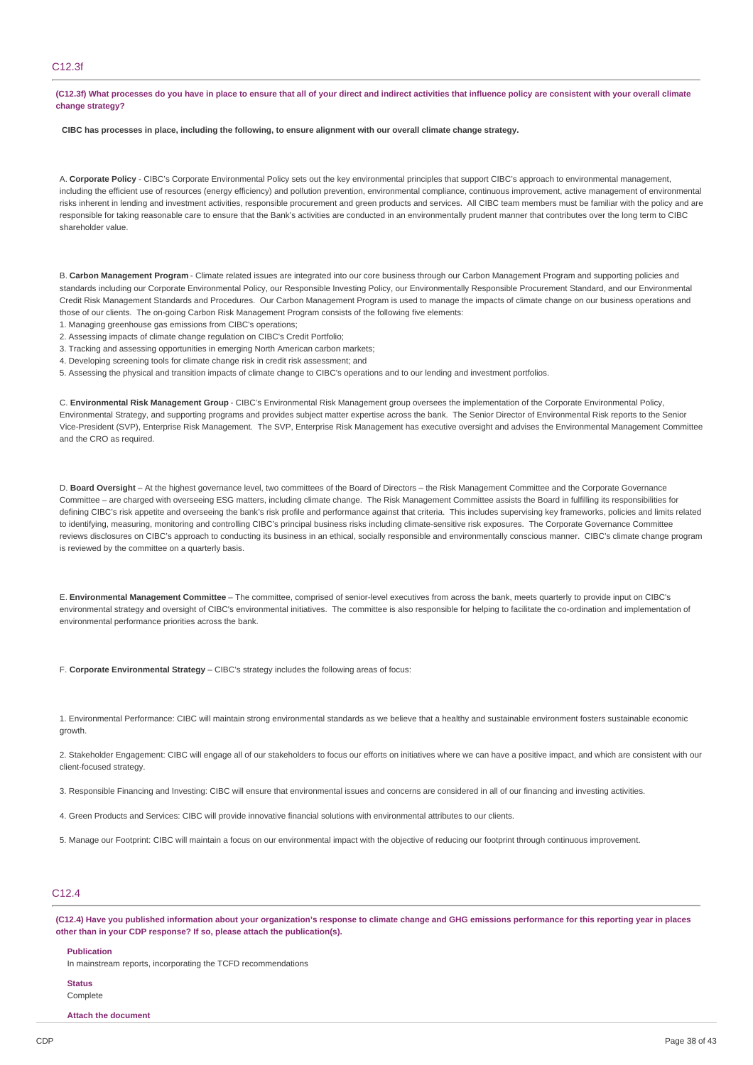## C12.3f

## (C12.3f) What processes do you have in place to ensure that all of your direct and indirect activities that influence policy are consistent with your overall climate **change strategy?**

CIBC has processes in place, including the following, to ensure alignment with our overall climate change strategy.

A. **Corporate Policy** - CIBC's Corporate Environmental Policy sets out the key environmental principles that support CIBC's approach to environmental management, including the efficient use of resources (energy efficiency) and pollution prevention, environmental compliance, continuous improvement, active management of environmental risks inherent in lending and investment activities, responsible procurement and green products and services. All CIBC team members must be familiar with the policy and are responsible for taking reasonable care to ensure that the Bank's activities are conducted in an environmentally prudent manner that contributes over the long term to CIBC shareholder value.

B. **Carbon Management Program** - Climate related issues are integrated into our core business through our Carbon Management Program and supporting policies and standards including our Corporate Environmental Policy, our Responsible Investing Policy, our Environmentally Responsible Procurement Standard, and our Environmental Credit Risk Management Standards and Procedures. Our Carbon Management Program is used to manage the impacts of climate change on our business operations and those of our clients. The on-going Carbon Risk Management Program consists of the following five elements:

1. Managing greenhouse gas emissions from CIBC's operations;

2. Assessing impacts of climate change regulation on CIBC's Credit Portfolio;

3. Tracking and assessing opportunities in emerging North American carbon markets;

4. Developing screening tools for climate change risk in credit risk assessment; and

5. Assessing the physical and transition impacts of climate change to CIBC's operations and to our lending and investment portfolios.

C. **Environmental Risk Management Group** - CIBC's Environmental Risk Management group oversees the implementation of the Corporate Environmental Policy, Environmental Strategy, and supporting programs and provides subject matter expertise across the bank. The Senior Director of Environmental Risk reports to the Senior Vice-President (SVP), Enterprise Risk Management. The SVP, Enterprise Risk Management has executive oversight and advises the Environmental Management Committee and the CRO as required.

D. **Board Oversight** – At the highest governance level, two committees of the Board of Directors – the Risk Management Committee and the Corporate Governance Committee – are charged with overseeing ESG matters, including climate change. The Risk Management Committee assists the Board in fulfilling its responsibilities for defining CIBC's risk appetite and overseeing the bank's risk profile and performance against that criteria. This includes supervising key frameworks, policies and limits related to identifying, measuring, monitoring and controlling CIBC's principal business risks including climate-sensitive risk exposures. The Corporate Governance Committee reviews disclosures on CIBC's approach to conducting its business in an ethical, socially responsible and environmentally conscious manner. CIBC's climate change program is reviewed by the committee on a quarterly basis.

E. **Environmental Management Committee** – The committee, comprised of senior-level executives from across the bank, meets quarterly to provide input on CIBC's environmental strategy and oversight of CIBC's environmental initiatives. The committee is also responsible for helping to facilitate the co-ordination and implementation of environmental performance priorities across the bank.

F. **Corporate Environmental Strategy** – CIBC's strategy includes the following areas of focus:

1. Environmental Performance: CIBC will maintain strong environmental standards as we believe that a healthy and sustainable environment fosters sustainable economic growth.

2. Stakeholder Engagement: CIBC will engage all of our stakeholders to focus our efforts on initiatives where we can have a positive impact, and which are consistent with our client-focused strategy.

3. Responsible Financing and Investing: CIBC will ensure that environmental issues and concerns are considered in all of our financing and investing activities.

4. Green Products and Services: CIBC will provide innovative financial solutions with environmental attributes to our clients.

5. Manage our Footprint: CIBC will maintain a focus on our environmental impact with the objective of reducing our footprint through continuous improvement.

# C12.4

(C12.4) Have you published information about your organization's response to climate change and GHG emissions performance for this reporting year in places **other than in your CDP response? If so, please attach the publication(s).**

#### **Publication**

In mainstream reports, incorporating the TCFD recommendations

# **Status**

**Complete** 

# **Attach the document**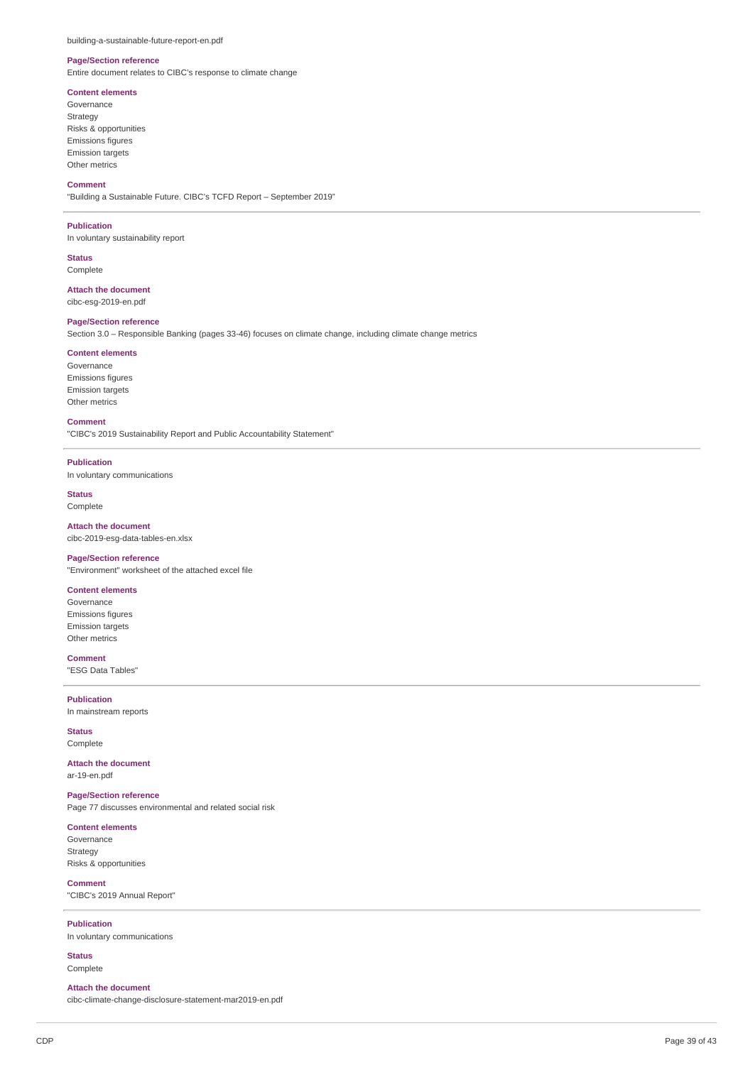building-a-sustainable-future-report-en.pdf

#### **Page/Section reference**

Entire document relates to CIBC's response to climate change

### **Content elements**

Governance Strategy Risks & opportunities Emissions figures Emission targets Other metrics

## **Comment**

"Building a Sustainable Future. CIBC's TCFD Report – September 2019"

#### **Publication**

In voluntary sustainability report

**Status** Complete

**Attach the document** cibc-esg-2019-en.pdf

#### **Page/Section reference**

Section 3.0 – Responsible Banking (pages 33-46) focuses on climate change, including climate change metrics

#### **Content elements**

Governance Emissions figures Emission targets Other metrics

## **Comment**

"CIBC's 2019 Sustainability Report and Public Accountability Statement"

# **Publication**

In voluntary communications

#### **Status** Complete

**Attach the document** cibc-2019-esg-data-tables-en.xlsx

# **Page/Section reference**

"Environment" worksheet of the attached excel file

# **Content elements**

Governance Emissions figures Emission targets Other metrics

**Comment** "ESG Data Tables"

**Publication** In mainstream reports

#### **Status** Complete

**Attach the document** ar-19-en.pdf

**Page/Section reference** Page 77 discusses environmental and related social risk

## **Content elements**

Governance Strategy Risks & opportunities

**Comment** "CIBC's 2019 Annual Report"

**Publication** In voluntary communications

**Status** Complete

## **Attach the document**

cibc-climate-change-disclosure-statement-mar2019-en.pdf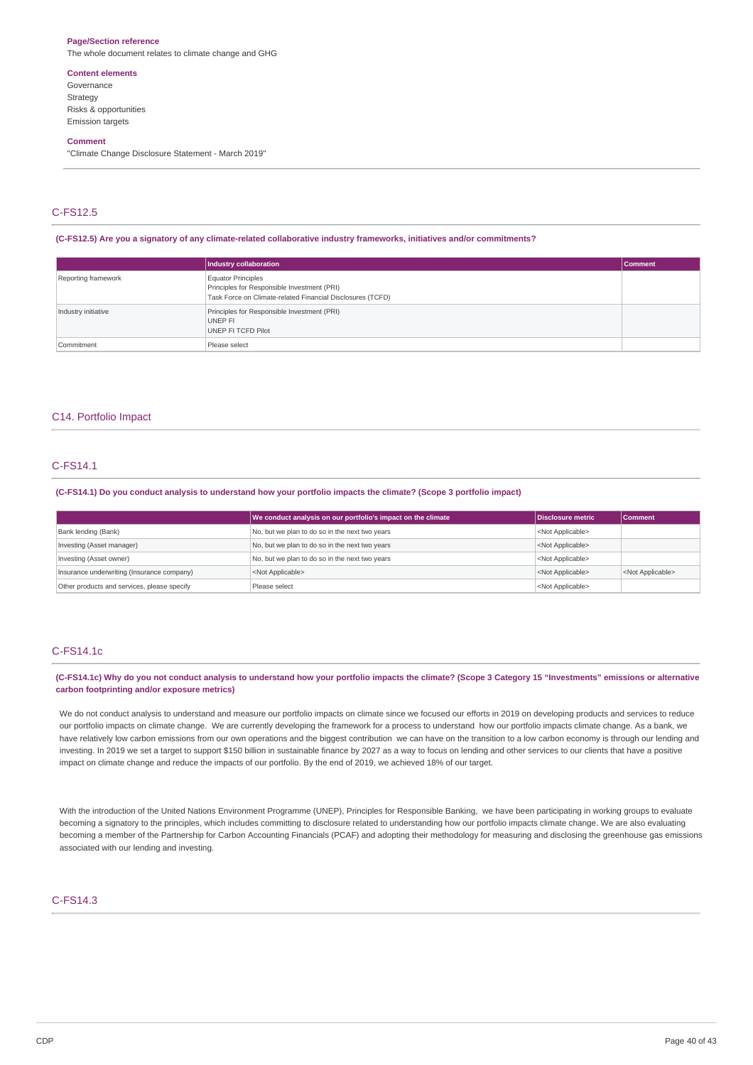#### **Page/Section reference**

The whole document relates to climate change and GHG

#### **Content elements**

Governance Strategy Risks & opportunities Emission targets

#### **Comment**

"Climate Change Disclosure Statement - March 2019"

# C-FS12.5

# **(C-FS12.5) Are you a signatory of any climate-related collaborative industry frameworks, initiatives and/or commitments?**

|                     | Industry collaboration                                                                                                          | <b>Comment</b> |
|---------------------|---------------------------------------------------------------------------------------------------------------------------------|----------------|
| Reporting framework | Equator Principles<br>Principles for Responsible Investment (PRI)<br>Task Force on Climate-related Financial Disclosures (TCFD) |                |
| Industry initiative | Principles for Responsible Investment (PRI)<br>UNEP FI<br>UNEP FI TCFD Pilot                                                    |                |
| Commitment          | Please select                                                                                                                   |                |

## C14. Portfolio Impact

# C-FS14.1

(C-FS14.1) Do you conduct analysis to understand how your portfolio impacts the climate? (Scope 3 portfolio impact)

|                                             | We conduct analysis on our portfolio's impact on the climate | Disclosure metric         | <b>Comment</b>            |
|---------------------------------------------|--------------------------------------------------------------|---------------------------|---------------------------|
| Bank lending (Bank)                         | No, but we plan to do so in the next two years               | <not applicable=""></not> |                           |
| Investing (Asset manager)                   | No, but we plan to do so in the next two years               | <not applicable=""></not> |                           |
| Investing (Asset owner)                     | No, but we plan to do so in the next two years               | <not applicable=""></not> |                           |
| Insurance underwriting (Insurance company)  | <not applicable=""></not>                                    | <not applicable=""></not> | <not applicable=""></not> |
| Other products and services, please specify | Please select                                                | <not applicable=""></not> |                           |

# C-FS14.1c

#### (C-FS14.1c) Why do you not conduct analysis to understand how your portfolio impacts the climate? (Scope 3 Category 15 "Investments" emissions or alternative **carbon footprinting and/or exposure metrics)**

We do not conduct analysis to understand and measure our portfolio impacts on climate since we focused our efforts in 2019 on developing products and services to reduce our portfolio impacts on climate change. We are currently developing the framework for a process to understand how our portfolio impacts climate change. As a bank, we have relatively low carbon emissions from our own operations and the biggest contribution we can have on the transition to a low carbon economy is through our lending and investing. In 2019 we set a target to support \$150 billion in sustainable finance by 2027 as a way to focus on lending and other services to our clients that have a positive impact on climate change and reduce the impacts of our portfolio. By the end of 2019, we achieved 18% of our target.

With the introduction of the United Nations Environment Programme (UNEP), Principles for Responsible Banking, we have been participating in working groups to evaluate becoming a signatory to the principles, which includes committing to disclosure related to understanding how our portfolio impacts climate change. We are also evaluating becoming a member of the Partnership for Carbon Accounting Financials (PCAF) and adopting their methodology for measuring and disclosing the greenhouse gas emissions associated with our lending and investing.

# C-FS14.3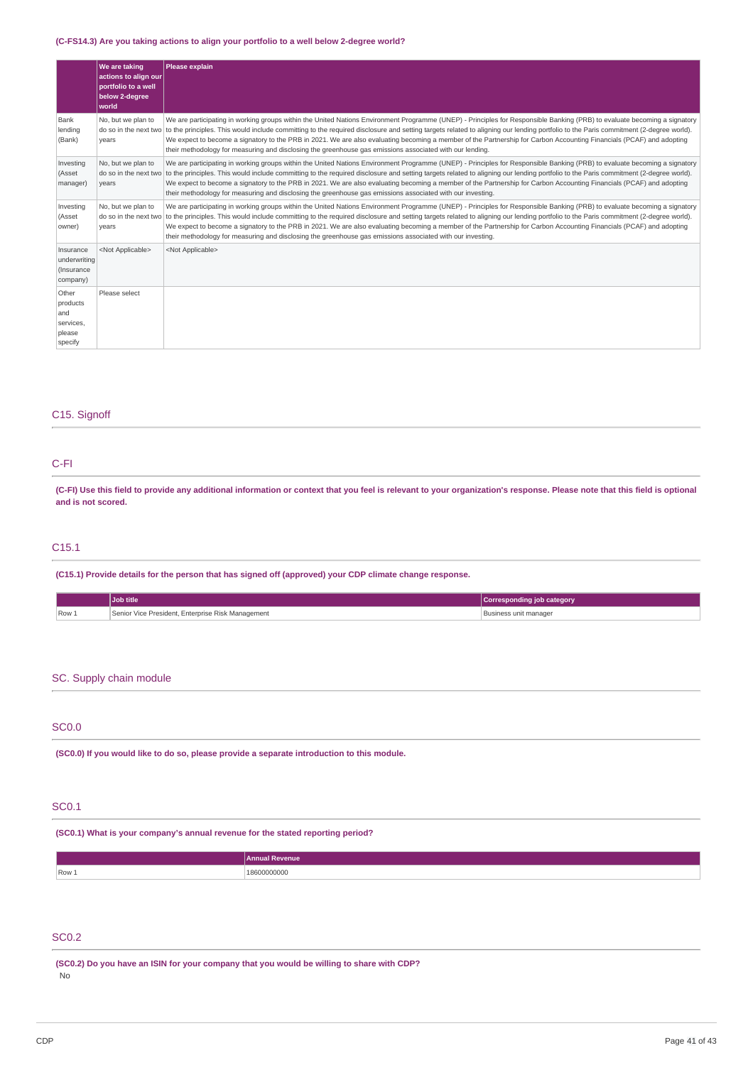# **(C-FS14.3) Are you taking actions to align your portfolio to a well below 2-degree world?**

|                                                            | We are taking<br>actions to align our<br>portfolio to a well<br>below 2-degree<br>world | Please explain                                                                                                                                                                                                                                                                                                                                                                                                                                                                                                                                                                                                                                                               |
|------------------------------------------------------------|-----------------------------------------------------------------------------------------|------------------------------------------------------------------------------------------------------------------------------------------------------------------------------------------------------------------------------------------------------------------------------------------------------------------------------------------------------------------------------------------------------------------------------------------------------------------------------------------------------------------------------------------------------------------------------------------------------------------------------------------------------------------------------|
| Bank<br>lending<br>(Bank)                                  | No, but we plan to<br>vears                                                             | We are participating in working groups within the United Nations Environment Programme (UNEP) - Principles for Responsible Banking (PRB) to evaluate becoming a signatory<br>do so in the next two to the principles. This would include committing to the required disclosure and setting targets related to aligning our lending portfolio to the Paris commitment (2-degree world).<br>We expect to become a signatory to the PRB in 2021. We are also evaluating becoming a member of the Partnership for Carbon Accounting Financials (PCAF) and adopting<br>their methodology for measuring and disclosing the greenhouse gas emissions associated with our lending.   |
| Investing<br>(Asset<br>manager)                            | No, but we plan to<br>vears                                                             | We are participating in working groups within the United Nations Environment Programme (UNEP) - Principles for Responsible Banking (PRB) to evaluate becoming a signatory<br>do so in the next two to the principles. This would include committing to the required disclosure and setting targets related to aligning our lending portfolio to the Paris commitment (2-degree world).<br>We expect to become a signatory to the PRB in 2021. We are also evaluating becoming a member of the Partnership for Carbon Accounting Financials (PCAF) and adopting<br>their methodology for measuring and disclosing the greenhouse gas emissions associated with our investing. |
| Investing<br>(Asset<br>owner)                              | No, but we plan to<br>years                                                             | We are participating in working groups within the United Nations Environment Programme (UNEP) - Principles for Responsible Banking (PRB) to evaluate becoming a signatory<br>do so in the next two to the principles. This would include committing to the required disclosure and setting targets related to aligning our lending portfolio to the Paris commitment (2-degree world).<br>We expect to become a signatory to the PRB in 2021. We are also evaluating becoming a member of the Partnership for Carbon Accounting Financials (PCAF) and adopting<br>their methodology for measuring and disclosing the greenhouse gas emissions associated with our investing. |
| Insurance<br>underwriting<br>(Insurance<br>company)        | <not applicable=""></not>                                                               | <not applicable=""></not>                                                                                                                                                                                                                                                                                                                                                                                                                                                                                                                                                                                                                                                    |
| Other<br>products<br>and<br>services,<br>please<br>specify | Please select                                                                           |                                                                                                                                                                                                                                                                                                                                                                                                                                                                                                                                                                                                                                                                              |

# C15. Signoff

# C-FI

(C-FI) Use this field to provide any additional information or context that you feel is relevant to your organization's response. Please note that this field is optional **and is not scored.**

# C15.1

**(C15.1) Provide details for the person that has signed off (approved) your CDP climate change response.**

|       | Job title                                         | Corresponding job category |
|-------|---------------------------------------------------|----------------------------|
| Row 1 | Senior Vice President, Enterprise Risk Management | stress unit manager        |

# SC. Supply chain module

# SC0.0

**(SC0.0) If you would like to do so, please provide a separate introduction to this module.**

## SC0.1

**(SC0.1) What is your company's annual revenue for the stated reporting period?**

|       | <b>Annual Revenue</b> |
|-------|-----------------------|
| Row 1 | '8600000000<br>.      |

# SC0.2

**(SC0.2) Do you have an ISIN for your company that you would be willing to share with CDP?** No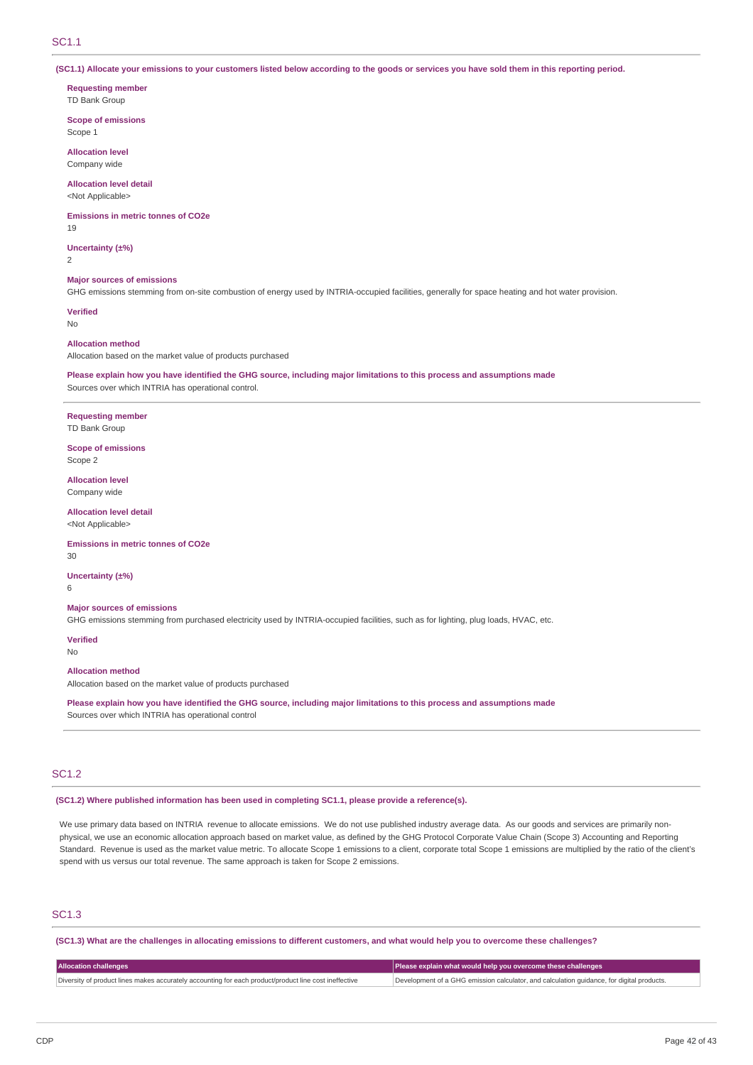## SC1.1

(SC1.1) Allocate your emissions to your customers listed below according to the goods or services you have sold them in this reporting period.

**Requesting member** TD Bank Group

**Scope of emissions** Scope 1

**Allocation level** Company wide

**Allocation level detail** <Not Applicable>

**Emissions in metric tonnes of CO2e**

19

**Uncertainty (±%)**

 $\overline{2}$ 

#### **Major sources of emissions**

GHG emissions stemming from on-site combustion of energy used by INTRIA-occupied facilities, generally for space heating and hot water provision.

**Verified**

No

#### **Allocation method**

Allocation based on the market value of products purchased

Please explain how you have identified the GHG source, including major limitations to this process and assumptions made Sources over which INTRIA has operational control.

**Requesting member** TD Bank Group

**Scope of emissions** Scope 2

**Allocation level** Company wide

**Allocation level detail** <Not Applicable>

**Emissions in metric tonnes of CO2e** 30

**Uncertainty (±%)**

6

#### **Major sources of emissions**

GHG emissions stemming from purchased electricity used by INTRIA-occupied facilities, such as for lighting, plug loads, HVAC, etc.

**Verified** No

# **Allocation method**

Allocation based on the market value of products purchased

Please explain how you have identified the GHG source, including major limitations to this process and assumptions made Sources over which INTRIA has operational control

## SC1.2

**(SC1.2) Where published information has been used in completing SC1.1, please provide a reference(s).**

We use primary data based on INTRIA revenue to allocate emissions. We do not use published industry average data. As our goods and services are primarily nonphysical, we use an economic allocation approach based on market value, as defined by the GHG Protocol Corporate Value Chain (Scope 3) Accounting and Reporting Standard. Revenue is used as the market value metric. To allocate Scope 1 emissions to a client, corporate total Scope 1 emissions are multiplied by the ratio of the client's spend with us versus our total revenue. The same approach is taken for Scope 2 emissions.

# SC1.3

(SC1.3) What are the challenges in allocating emissions to different customers, and what would help you to overcome these challenges?

| <b>Allocation challenges</b>                                                                          | Please explain what would help you overcome these challenges                              |
|-------------------------------------------------------------------------------------------------------|-------------------------------------------------------------------------------------------|
| Diversity of product lines makes accurately accounting for each product/product line cost ineffective | Development of a GHG emission calculator, and calculation quidance, for digital products. |